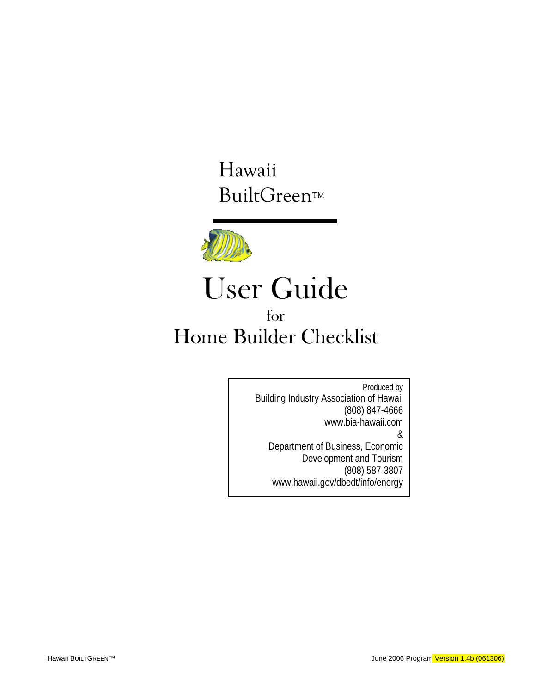Hawaii BuiltGreen™



# User Guide for Home Builder Checklist

Produced by Building Industry Association of Hawaii (808) 847-4666 www.bia-hawaii.com & Department of Business, Economic Development and Tourism (808) 587-3807 www.hawaii.gov/dbedt/info/energy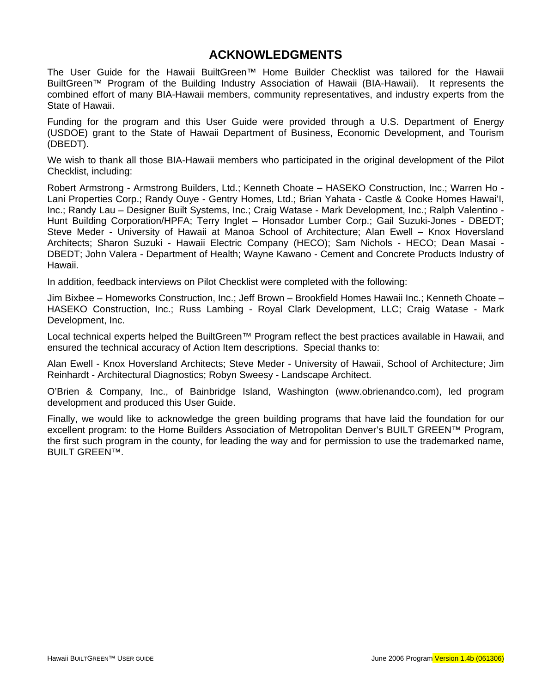### **ACKNOWLEDGMENTS**

The User Guide for the Hawaii BuiltGreen™ Home Builder Checklist was tailored for the Hawaii BuiltGreen™ Program of the Building Industry Association of Hawaii (BIA-Hawaii). It represents the combined effort of many BIA-Hawaii members, community representatives, and industry experts from the State of Hawaii.

Funding for the program and this User Guide were provided through a U.S. Department of Energy (USDOE) grant to the State of Hawaii Department of Business, Economic Development, and Tourism (DBEDT).

We wish to thank all those BIA-Hawaii members who participated in the original development of the Pilot Checklist, including:

Robert Armstrong - Armstrong Builders, Ltd.; Kenneth Choate – HASEKO Construction, Inc.; Warren Ho - Lani Properties Corp.; Randy Ouye - Gentry Homes, Ltd.; Brian Yahata - Castle & Cooke Homes Hawai'I, Inc.; Randy Lau – Designer Built Systems, Inc.; Craig Watase - Mark Development, Inc.; Ralph Valentino - Hunt Building Corporation/HPFA; Terry Inglet – Honsador Lumber Corp.; Gail Suzuki-Jones - DBEDT; Steve Meder - University of Hawaii at Manoa School of Architecture; Alan Ewell – Knox Hoversland Architects; Sharon Suzuki - Hawaii Electric Company (HECO); Sam Nichols - HECO; Dean Masai - DBEDT; John Valera - Department of Health; Wayne Kawano - Cement and Concrete Products Industry of Hawaii.

In addition, feedback interviews on Pilot Checklist were completed with the following:

Jim Bixbee – Homeworks Construction, Inc.; Jeff Brown – Brookfield Homes Hawaii Inc.; Kenneth Choate – HASEKO Construction, Inc.; Russ Lambing - Royal Clark Development, LLC; Craig Watase - Mark Development, Inc.

Local technical experts helped the BuiltGreen™ Program reflect the best practices available in Hawaii, and ensured the technical accuracy of Action Item descriptions. Special thanks to:

Alan Ewell - Knox Hoversland Architects; Steve Meder - University of Hawaii, School of Architecture; Jim Reinhardt - Architectural Diagnostics; Robyn Sweesy - Landscape Architect.

O'Brien & Company, Inc., of Bainbridge Island, Washington (www.obrienandco.com), led program development and produced this User Guide.

Finally, we would like to acknowledge the green building programs that have laid the foundation for our excellent program: to the Home Builders Association of Metropolitan Denver's BUILT GREEN™ Program, the first such program in the county, for leading the way and for permission to use the trademarked name, BUILT GREEN™.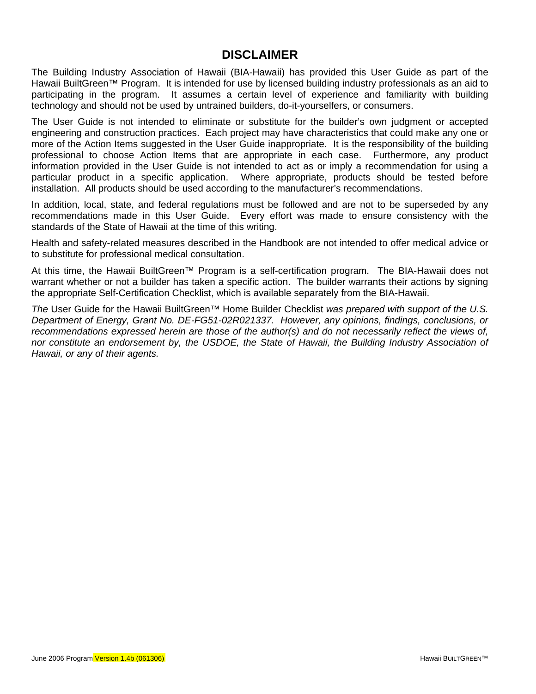### **DISCLAIMER**

The Building Industry Association of Hawaii (BIA-Hawaii) has provided this User Guide as part of the Hawaii BuiltGreen™ Program. It is intended for use by licensed building industry professionals as an aid to participating in the program. It assumes a certain level of experience and familiarity with building technology and should not be used by untrained builders, do-it-yourselfers, or consumers.

The User Guide is not intended to eliminate or substitute for the builder's own judgment or accepted engineering and construction practices. Each project may have characteristics that could make any one or more of the Action Items suggested in the User Guide inappropriate. It is the responsibility of the building professional to choose Action Items that are appropriate in each case. Furthermore, any product information provided in the User Guide is not intended to act as or imply a recommendation for using a particular product in a specific application. Where appropriate, products should be tested before installation. All products should be used according to the manufacturer's recommendations.

In addition, local, state, and federal regulations must be followed and are not to be superseded by any recommendations made in this User Guide. Every effort was made to ensure consistency with the standards of the State of Hawaii at the time of this writing.

Health and safety-related measures described in the Handbook are not intended to offer medical advice or to substitute for professional medical consultation.

At this time, the Hawaii BuiltGreen™ Program is a self-certification program. The BIA-Hawaii does not warrant whether or not a builder has taken a specific action. The builder warrants their actions by signing the appropriate Self-Certification Checklist, which is available separately from the BIA-Hawaii.

*The* User Guide for the Hawaii BuiltGreen™ Home Builder Checklist *was prepared with support of the U.S. Department of Energy, Grant No. DE-FG51-02R021337. However, any opinions, findings, conclusions, or recommendations expressed herein are those of the author(s) and do not necessarily reflect the views of, nor constitute an endorsement by, the USDOE, the State of Hawaii, the Building Industry Association of Hawaii, or any of their agents.*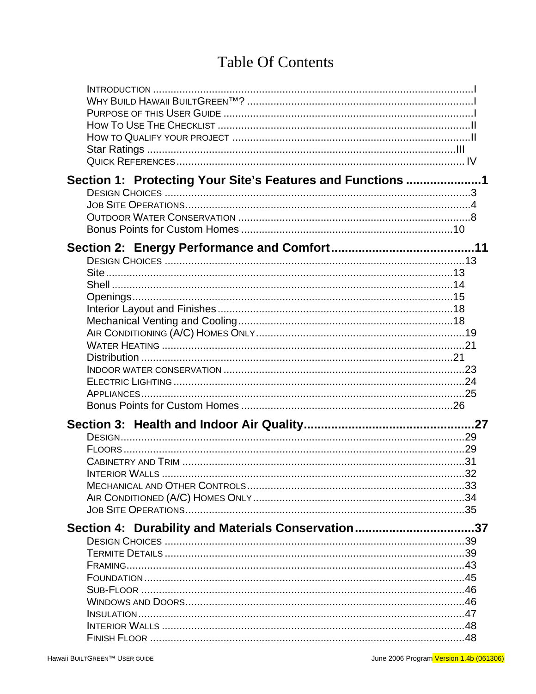# **Table Of Contents**

| Section 1: Protecting Your Site's Features and Functions 1                                                |  |
|-----------------------------------------------------------------------------------------------------------|--|
|                                                                                                           |  |
| <b>INTERIOR WALLS</b>                                                                                     |  |
| Section 4: Durability and Materials Conservation37<br>INTERIOR WALLS …………………………………………………………………………………………48 |  |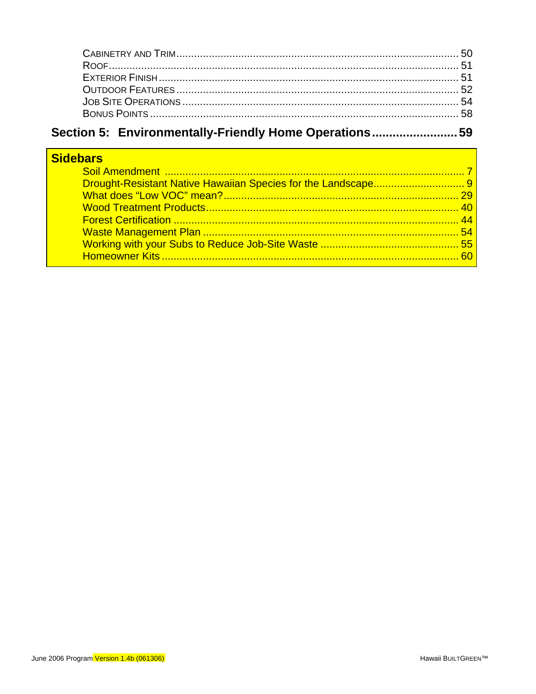# Section 5: Environmentally-Friendly Home Operations.........................59

| <b>Sidebars</b> |  |
|-----------------|--|
|                 |  |
|                 |  |
|                 |  |
|                 |  |
|                 |  |
|                 |  |
|                 |  |
|                 |  |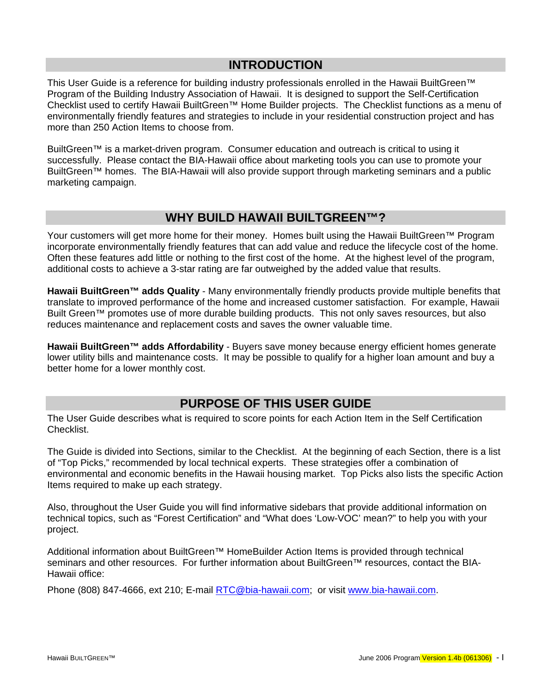### **INTRODUCTION**

<span id="page-6-0"></span>This User Guide is a reference for building industry professionals enrolled in the Hawaii BuiltGreen™ Program of the Building Industry Association of Hawaii. It is designed to support the Self-Certification Checklist used to certify Hawaii BuiltGreen™ Home Builder projects. The Checklist functions as a menu of environmentally friendly features and strategies to include in your residential construction project and has more than 250 Action Items to choose from.

BuiltGreen™ is a market-driven program. Consumer education and outreach is critical to using it successfully. Please contact the BIA-Hawaii office about marketing tools you can use to promote your BuiltGreen™ homes. The BIA-Hawaii will also provide support through marketing seminars and a public marketing campaign.

### **WHY BUILD HAWAII BUILTGREEN™?**

Your customers will get more home for their money. Homes built using the Hawaii BuiltGreen™ Program incorporate environmentally friendly features that can add value and reduce the lifecycle cost of the home. Often these features add little or nothing to the first cost of the home. At the highest level of the program, additional costs to achieve a 3-star rating are far outweighed by the added value that results.

**Hawaii BuiltGreen™ adds Quality** - Many environmentally friendly products provide multiple benefits that translate to improved performance of the home and increased customer satisfaction. For example, Hawaii Built Green™ promotes use of more durable building products. This not only saves resources, but also reduces maintenance and replacement costs and saves the owner valuable time.

**Hawaii BuiltGreen™ adds Affordability** - Buyers save money because energy efficient homes generate lower utility bills and maintenance costs. It may be possible to qualify for a higher loan amount and buy a better home for a lower monthly cost.

### **PURPOSE OF THIS USER GUIDE**

The User Guide describes what is required to score points for each Action Item in the Self Certification Checklist.

The Guide is divided into Sections, similar to the Checklist. At the beginning of each Section, there is a list of "Top Picks," recommended by local technical experts. These strategies offer a combination of environmental and economic benefits in the Hawaii housing market. Top Picks also lists the specific Action Items required to make up each strategy.

Also, throughout the User Guide you will find informative sidebars that provide additional information on technical topics, such as "Forest Certification" and "What does 'Low-VOC' mean?" to help you with your project.

Additional information about BuiltGreen™ HomeBuilder Action Items is provided through technical seminars and other resources. For further information about BuiltGreen™ resources, contact the BIA-Hawaii office:

Phone (808) 847-4666, ext 210; E-mail [RTC@bia-hawaii.com;](mailto:RTC@bia-hawaii.com) or visit [www.bia-hawaii.com](http://www.bia-hawaii.com/).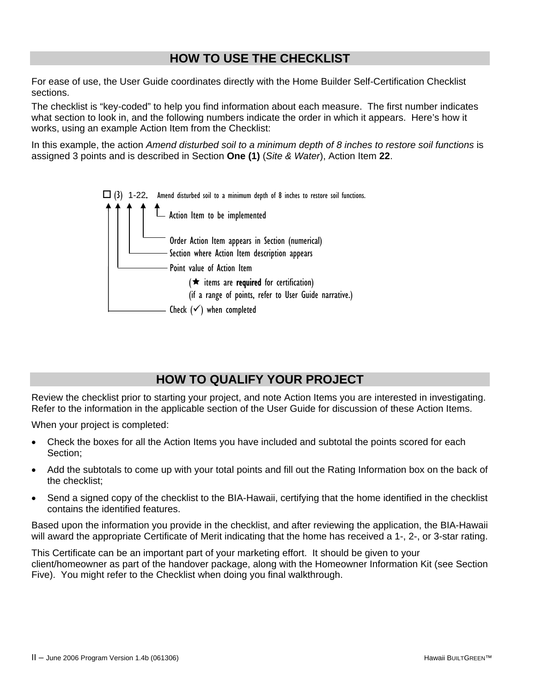### **HOW TO USE THE CHECKLIST**

<span id="page-7-0"></span>For ease of use, the User Guide coordinates directly with the Home Builder Self-Certification Checklist sections.

The checklist is "key-coded" to help you find information about each measure. The first number indicates what section to look in, and the following numbers indicate the order in which it appears. Here's how it works, using an example Action Item from the Checklist:

In this example, the action *Amend disturbed soil to a minimum depth of 8 inches to restore soil functions* is assigned 3 points and is described in Section **One (1)** (*Site & Water*), Action Item **22**.



### **HOW TO QUALIFY YOUR PROJECT**

Review the checklist prior to starting your project, and note Action Items you are interested in investigating. Refer to the information in the applicable section of the User Guide for discussion of these Action Items.

When your project is completed:

- Check the boxes for all the Action Items you have included and subtotal the points scored for each Section;
- Add the subtotals to come up with your total points and fill out the Rating Information box on the back of the checklist;
- Send a signed copy of the checklist to the BIA-Hawaii, certifying that the home identified in the checklist contains the identified features.

Based upon the information you provide in the checklist, and after reviewing the application, the BIA-Hawaii will award the appropriate Certificate of Merit indicating that the home has received a 1-, 2-, or 3-star rating.

This Certificate can be an important part of your marketing effort. It should be given to your client/homeowner as part of the handover package, along with the Homeowner Information Kit (see Section Five). You might refer to the Checklist when doing you final walkthrough.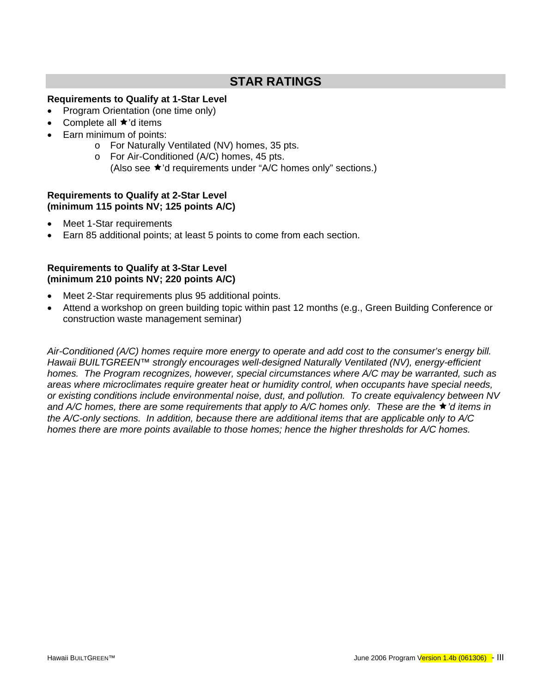### **STAR RATINGS**

### <span id="page-8-0"></span>**Requirements to Qualify at 1-Star Level**

- Program Orientation (one time only)
- Complete all  $\star$ 'd items
	- Earn minimum of points:
		- o For Naturally Ventilated (NV) homes, 35 pts.
		- o For Air-Conditioned (A/C) homes, 45 pts.
			- (Also see  $\star$ 'd requirements under "A/C homes only" sections.)

### **Requirements to Qualify at 2-Star Level (minimum 115 points NV; 125 points A/C)**

- Meet 1-Star requirements
- Earn 85 additional points; at least 5 points to come from each section.

### **Requirements to Qualify at 3-Star Level (minimum 210 points NV; 220 points A/C)**

- Meet 2-Star requirements plus 95 additional points.
- Attend a workshop on green building topic within past 12 months (e.g., Green Building Conference or construction waste management seminar)

*Air-Conditioned (A/C) homes require more energy to operate and add cost to the consumer's energy bill. Hawaii BUILTGREEN™ strongly encourages well-designed Naturally Ventilated (NV), energy-efficient homes. The Program recognizes, however, special circumstances where A/C may be warranted, such as areas where microclimates require greater heat or humidity control, when occupants have special needs, or existing conditions include environmental noise, dust, and pollution. To create equivalency between NV*  and A/C homes, there are some requirements that apply to A/C homes only. These are the ★<sup>'</sup>d items in *the A/C-only sections. In addition, because there are additional items that are applicable only to A/C homes there are more points available to those homes; hence the higher thresholds for A/C homes.*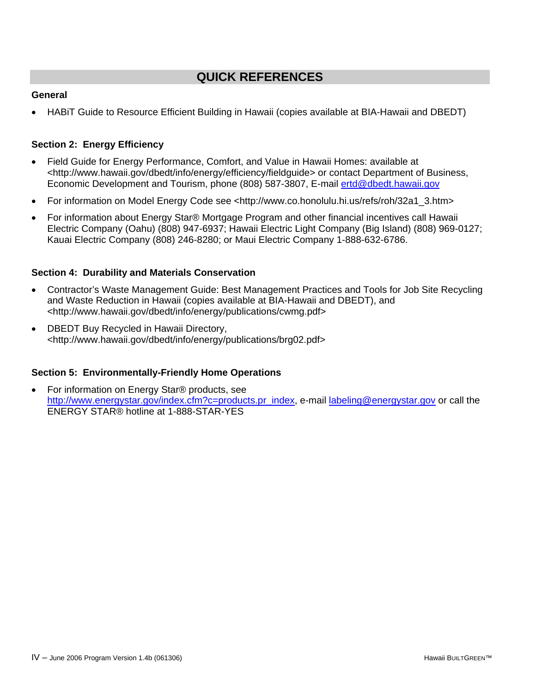### **QUICK REFERENCES**

### <span id="page-9-0"></span>**General**

• HABiT Guide to Resource Efficient Building in Hawaii (copies available at BIA-Hawaii and DBEDT)

### **Section 2: Energy Efficiency**

- Field Guide for Energy Performance, Comfort, and Value in Hawaii Homes: available at <http://www.hawaii.gov/dbedt/info/energy/efficiency/fieldguide> or contact Department of Business, Economic Development and Tourism, phone (808) 587-3807, E-mail [ertd@dbedt.hawaii.gov](mailto:ertd@dbedt.hawaii.gov)
- For information on Model Energy Code see <http://www.co.honolulu.hi.us/refs/roh/32a1\_3.htm>
- For information about Energy Star® Mortgage Program and other financial incentives call Hawaii Electric Company (Oahu) (808) 947-6937; Hawaii Electric Light Company (Big Island) (808) 969-0127; Kauai Electric Company (808) 246-8280; or Maui Electric Company 1-888-632-6786.

### **Section 4: Durability and Materials Conservation**

- Contractor's Waste Management Guide: Best Management Practices and Tools for Job Site Recycling and Waste Reduction in Hawaii (copies available at BIA-Hawaii and DBEDT), and <http://www.hawaii.gov/dbedt/info/energy/publications/cwmg.pdf>
- DBEDT Buy Recycled in Hawaii Directory, <http://www.hawaii.gov/dbedt/info/energy/publications/brg02.pdf>

### **Section 5: Environmentally-Friendly Home Operations**

• For information on Energy Star® products, see [http://www.energystar.gov/index.cfm?c=products.pr\\_index,](http://www.energystar.gov/index.cfm?c=products.pr_index) e-mail [labeling@energystar.gov](mailto:labeling@energystar.gov) or call the ENERGY STAR® hotline at 1-888-STAR-YES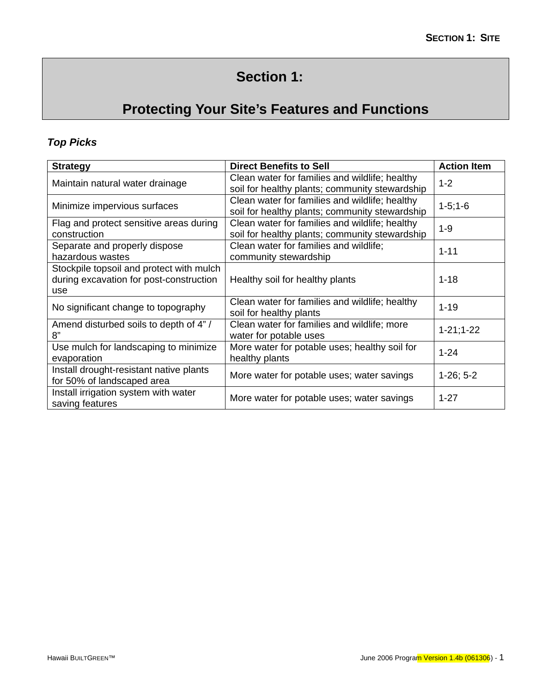# **Section 1:**

# **Protecting Your Site's Features and Functions**

### <span id="page-10-0"></span>*Top Picks*

| <b>Strategy</b>                                                                            | <b>Direct Benefits to Sell</b>                                                                   | <b>Action Item</b> |
|--------------------------------------------------------------------------------------------|--------------------------------------------------------------------------------------------------|--------------------|
| Maintain natural water drainage                                                            | Clean water for families and wildlife; healthy<br>soil for healthy plants; community stewardship | $1 - 2$            |
| Minimize impervious surfaces                                                               | Clean water for families and wildlife; healthy<br>soil for healthy plants; community stewardship | $1-5;1-6$          |
| Flag and protect sensitive areas during<br>construction                                    | Clean water for families and wildlife; healthy<br>soil for healthy plants; community stewardship | $1 - 9$            |
| Separate and properly dispose<br>hazardous wastes                                          | Clean water for families and wildlife;<br>community stewardship                                  | $1 - 11$           |
| Stockpile topsoil and protect with mulch<br>during excavation for post-construction<br>use | Healthy soil for healthy plants                                                                  | $1 - 18$           |
| No significant change to topography                                                        | Clean water for families and wildlife; healthy<br>soil for healthy plants                        | $1 - 19$           |
| Amend disturbed soils to depth of 4"/<br>8"                                                | Clean water for families and wildlife; more<br>water for potable uses                            | $1 - 21; 1 - 22$   |
| Use mulch for landscaping to minimize<br>evaporation                                       | More water for potable uses; healthy soil for<br>healthy plants                                  | $1 - 24$           |
| Install drought-resistant native plants<br>for 50% of landscaped area                      | More water for potable uses; water savings                                                       | $1-26; 5-2$        |
| Install irrigation system with water<br>saving features                                    | More water for potable uses; water savings                                                       | $1 - 27$           |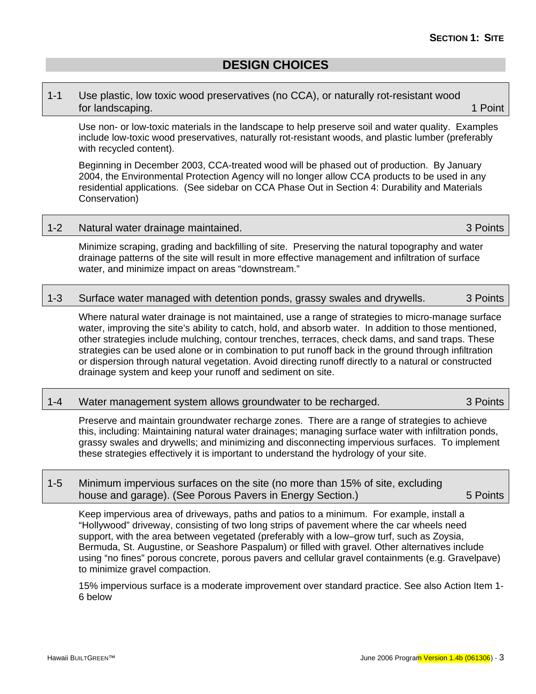### <span id="page-12-0"></span>1-1 Use plastic, low toxic wood preservatives (no CCA), or naturally rot-resistant wood for landscaping. The control of the control of the control of the control of the control of the control of the control of the control of the control of the control of the control of the control of the control of the contro

Use non- or low-toxic materials in the landscape to help preserve soil and water quality. Examples include low-toxic wood preservatives, naturally rot-resistant woods, and plastic lumber (preferably with recycled content).

Beginning in December 2003, CCA-treated wood will be phased out of production. By January 2004, the Environmental Protection Agency will no longer allow CCA products to be used in any residential applications. (See sidebar on CCA Phase Out in Section 4: Durability and Materials Conservation)

### 1-2 Natural water drainage maintained. **3 Points** 3 Points

Minimize scraping, grading and backfilling of site. Preserving the natural topography and water drainage patterns of the site will result in more effective management and infiltration of surface water, and minimize impact on areas "downstream."

### 1-3 Surface water managed with detention ponds, grassy swales and drywells. 3 Points

Where natural water drainage is not maintained, use a range of strategies to micro-manage surface water, improving the site's ability to catch, hold, and absorb water. In addition to those mentioned, other strategies include mulching, contour trenches, terraces, check dams, and sand traps. These strategies can be used alone or in combination to put runoff back in the ground through infiltration or dispersion through natural vegetation. Avoid directing runoff directly to a natural or constructed drainage system and keep your runoff and sediment on site.

### 1-4 Water management system allows groundwater to be recharged. 3 Points

Preserve and maintain groundwater recharge zones. There are a range of strategies to achieve this, including: Maintaining natural water drainages; managing surface water with infiltration ponds, grassy swales and drywells; and minimizing and disconnecting impervious surfaces. To implement these strategies effectively it is important to understand the hydrology of your site.

### 1-5 Minimum impervious surfaces on the site (no more than 15% of site, excluding house and garage). (See Porous Pavers in Energy Section.) 5 Points

Keep impervious area of driveways, paths and patios to a minimum. For example, install a "Hollywood" driveway, consisting of two long strips of pavement where the car wheels need support, with the area between vegetated (preferably with a low–grow turf, such as Zoysia, Bermuda, St. Augustine, or Seashore Paspalum) or filled with gravel. Other alternatives include using "no fines" porous concrete, porous pavers and cellular gravel containments (e.g. Gravelpave) to minimize gravel compaction.

15% impervious surface is a moderate improvement over standard practice. See also Action Item 1- 6 below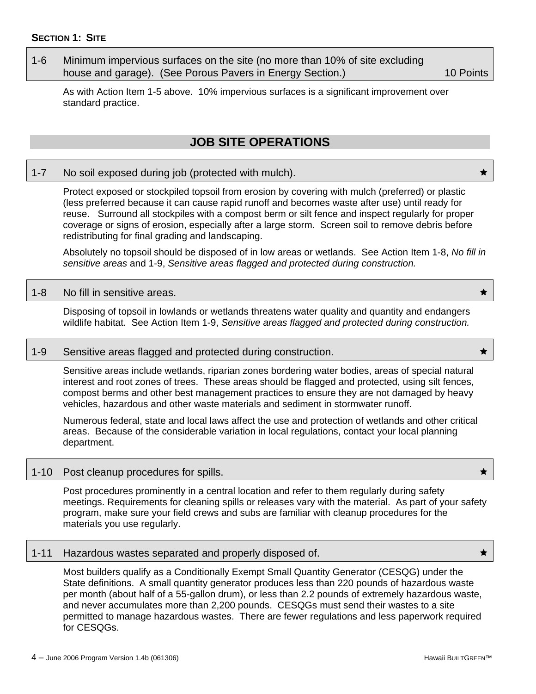<span id="page-13-0"></span>1-6 Minimum impervious surfaces on the site (no more than 10% of site excluding house and garage). (See Porous Pavers in Energy Section.) 10 Points

As with Action Item 1-5 above. 10% impervious surfaces is a significant improvement over standard practice.

### **JOB SITE OPERATIONS**

### 1-7 No soil exposed during job (protected with mulch).

Protect exposed or stockpiled topsoil from erosion by covering with mulch (preferred) or plastic (less preferred because it can cause rapid runoff and becomes waste after use) until ready for reuse. Surround all stockpiles with a compost berm or silt fence and inspect regularly for proper coverage or signs of erosion, especially after a large storm. Screen soil to remove debris before redistributing for final grading and landscaping.

Absolutely no topsoil should be disposed of in low areas or wetlands. See Action Item 1-8, *No fill in sensitive areas* and 1-9, *Sensitive areas flagged and protected during construction.* 

#### 1-8 No fill in sensitive areas.

Disposing of topsoil in lowlands or wetlands threatens water quality and quantity and endangers wildlife habitat. See Action Item 1-9, *Sensitive areas flagged and protected during construction.*

#### 1-9 Sensitive areas flagged and protected during construction.

Sensitive areas include wetlands, riparian zones bordering water bodies, areas of special natural interest and root zones of trees. These areas should be flagged and protected, using silt fences, compost berms and other best management practices to ensure they are not damaged by heavy vehicles, hazardous and other waste materials and sediment in stormwater runoff.

Numerous federal, state and local laws affect the use and protection of wetlands and other critical areas. Because of the considerable variation in local regulations, contact your local planning department.

#### 1-10 Post cleanup procedures for spills.  $\star$

Post procedures prominently in a central location and refer to them regularly during safety meetings. Requirements for cleaning spills or releases vary with the material. As part of your safety program, make sure your field crews and subs are familiar with cleanup procedures for the materials you use regularly.

#### 1-11 Hazardous wastes separated and properly disposed of.  $\qquad \qquad \star$

Most builders qualify as a Conditionally Exempt Small Quantity Generator (CESQG) under the State definitions. A small quantity generator produces less than 220 pounds of hazardous waste per month (about half of a 55-gallon drum), or less than 2.2 pounds of extremely hazardous waste, and never accumulates more than 2,200 pounds. CESQGs must send their wastes to a site permitted to manage hazardous wastes. There are fewer regulations and less paperwork required for CESQGs.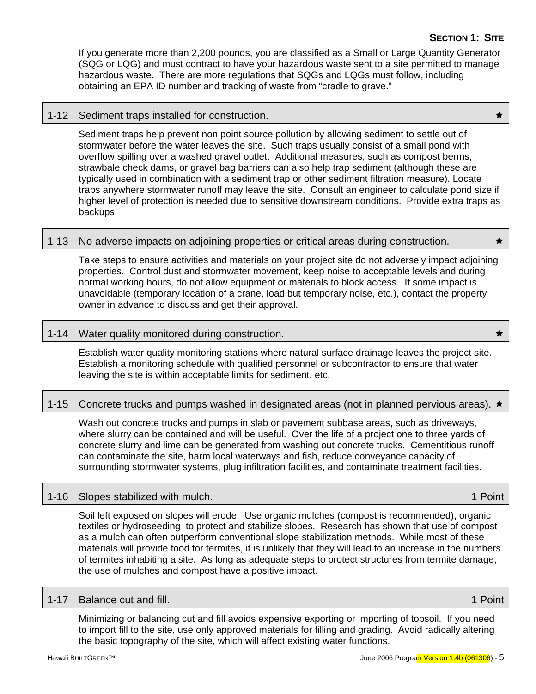If you generate more than 2,200 pounds, you are classified as a Small or Large Quantity Generator (SQG or LQG) and must contract to have your hazardous waste sent to a site permitted to manage hazardous waste. There are more regulations that SQGs and LQGs must follow, including obtaining an EPA ID number and tracking of waste from "cradle to grave."

### 1-12 Sediment traps installed for construction.

Sediment traps help prevent non point source pollution by allowing sediment to settle out of stormwater before the water leaves the site. Such traps usually consist of a small pond with overflow spilling over a washed gravel outlet. Additional measures, such as compost berms, strawbale check dams, or gravel bag barriers can also help trap sediment (although these are typically used in combination with a sediment trap or other sediment filtration measure). Locate traps anywhere stormwater runoff may leave the site. Consult an engineer to calculate pond size if higher level of protection is needed due to sensitive downstream conditions. Provide extra traps as backups.

### 1-13 No adverse impacts on adjoining properties or critical areas during construction.

Take steps to ensure activities and materials on your project site do not adversely impact adjoining properties. Control dust and stormwater movement, keep noise to acceptable levels and during normal working hours, do not allow equipment or materials to block access. If some impact is unavoidable (temporary location of a crane, load but temporary noise, etc.), contact the property owner in advance to discuss and get their approval.

### 1-14 Water quality monitored during construction. Ì

Establish water quality monitoring stations where natural surface drainage leaves the project site. Establish a monitoring schedule with qualified personnel or subcontractor to ensure that water leaving the site is within acceptable limits for sediment, etc.

### 1-15 Concrete trucks and pumps washed in designated areas (not in planned pervious areas).  $\star$

Wash out concrete trucks and pumps in slab or pavement subbase areas, such as driveways, where slurry can be contained and will be useful. Over the life of a project one to three yards of concrete slurry and lime can be generated from washing out concrete trucks. Cementitious runoff can contaminate the site, harm local waterways and fish, reduce conveyance capacity of surrounding stormwater systems, plug infiltration facilities, and contaminate treatment facilities.

### 1-16 Slopes stabilized with mulch. 1.1 Point 1.1 Point

Soil left exposed on slopes will erode. Use organic mulches (compost is recommended), organic textiles or hydroseeding to protect and stabilize slopes. Research has shown that use of compost as a mulch can often outperform conventional slope stabilization methods. While most of these materials will provide food for termites, it is unlikely that they will lead to an increase in the numbers of termites inhabiting a site. As long as adequate steps to protect structures from termite damage, the use of mulches and compost have a positive impact.

#### 1-17 Balance cut and fill. **1 Point 2 Point 2 Point 2 Point 2 Point** 2 Point 2 Point 2 Point 2 Point 2 Point 2 Point

Minimizing or balancing cut and fill avoids expensive exporting or importing of topsoil. If you need to import fill to the site, use only approved materials for filling and grading. Avoid radically altering the basic topography of the site, which will affect existing water functions.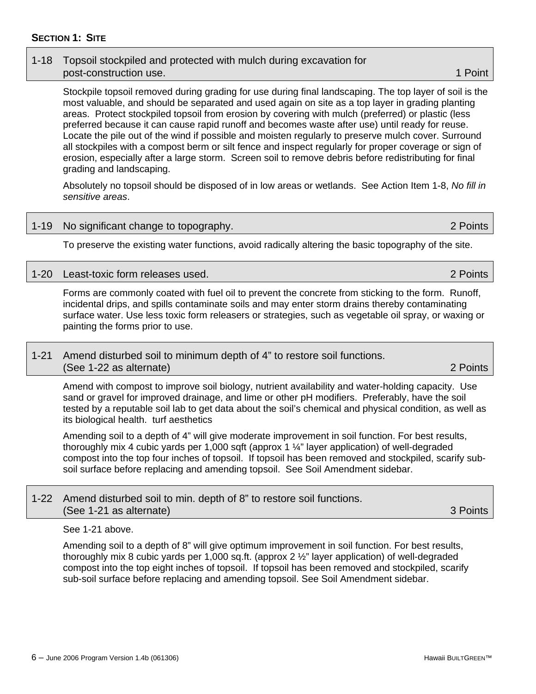### **SECTION 1: SITE**

### 1-18 Topsoil stockpiled and protected with mulch during excavation for post-construction use. **1 post-construction** use. 1 *post-construction* use. 1 *post-construction* use.

Stockpile topsoil removed during grading for use during final landscaping. The top layer of soil is the most valuable, and should be separated and used again on site as a top layer in grading planting areas. Protect stockpiled topsoil from erosion by covering with mulch (preferred) or plastic (less preferred because it can cause rapid runoff and becomes waste after use) until ready for reuse. Locate the pile out of the wind if possible and moisten regularly to preserve mulch cover. Surround all stockpiles with a compost berm or silt fence and inspect regularly for proper coverage or sign of erosion, especially after a large storm. Screen soil to remove debris before redistributing for final grading and landscaping.

Absolutely no topsoil should be disposed of in low areas or wetlands. See Action Item 1-8, *No fill in sensitive areas*.

### 1-19 No significant change to topography. 2 Points

To preserve the existing water functions, avoid radically altering the basic topography of the site.

### 1-20 Least-toxic form releases used. 2 Points

Forms are commonly coated with fuel oil to prevent the concrete from sticking to the form. Runoff, incidental drips, and spills contaminate soils and may enter storm drains thereby contaminating surface water. Use less toxic form releasers or strategies, such as vegetable oil spray, or waxing or painting the forms prior to use.

### 1-21 Amend disturbed soil to minimum depth of 4" to restore soil functions. (See 1-22 as alternate) 2 Points

Amend with compost to improve soil biology, nutrient availability and water-holding capacity. Use sand or gravel for improved drainage, and lime or other pH modifiers. Preferably, have the soil tested by a reputable soil lab to get data about the soil's chemical and physical condition, as well as its biological health. turf aesthetics

Amending soil to a depth of 4" will give moderate improvement in soil function. For best results, thoroughly mix 4 cubic yards per 1,000 sqft (approx 1  $\frac{1}{4}$ " layer application) of well-degraded compost into the top four inches of topsoil. If topsoil has been removed and stockpiled, scarify subsoil surface before replacing and amending topsoil. See Soil Amendment sidebar.

### 1-22 Amend disturbed soil to min. depth of 8" to restore soil functions. (See 1-21 as alternate) 3 Points

See 1-21 above.

Amending soil to a depth of 8" will give optimum improvement in soil function. For best results, thoroughly mix 8 cubic yards per 1,000 sq.ft. (approx 2 ½" layer application) of well-degraded compost into the top eight inches of topsoil. If topsoil has been removed and stockpiled, scarify sub-soil surface before replacing and amending topsoil. See Soil Amendment sidebar.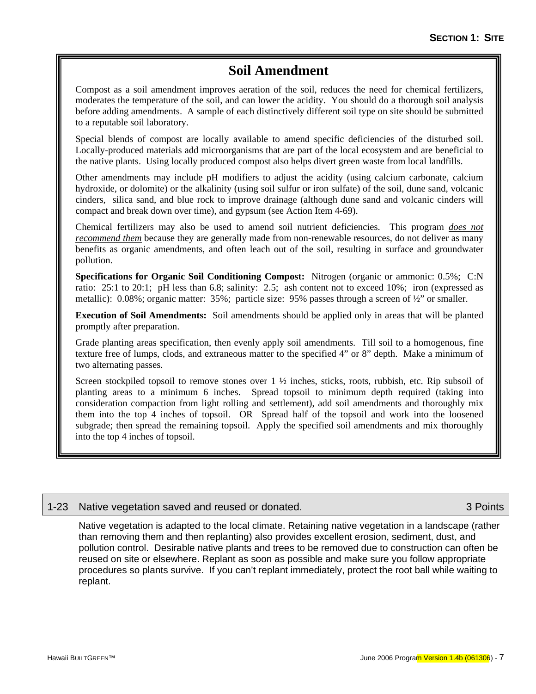### **Soil Amendment**

Compost as a soil amendment improves aeration of the soil, reduces the need for chemical fertilizers, moderates the temperature of the soil, and can lower the acidity. You should do a thorough soil analysis before adding amendments. A sample of each distinctively different soil type on site should be submitted to a reputable soil laboratory.

Special blends of compost are locally available to amend specific deficiencies of the disturbed soil. Locally-produced materials add microorganisms that are part of the local ecosystem and are beneficial to the native plants. Using locally produced compost also helps divert green waste from local landfills.

Other amendments may include pH modifiers to adjust the acidity (using calcium carbonate, calcium hydroxide, or dolomite) or the alkalinity (using soil sulfur or iron sulfate) of the soil, dune sand, volcanic cinders, silica sand, and blue rock to improve drainage (although dune sand and volcanic cinders will compact and break down over time), and gypsum (see Action Item 4-69).

Chemical fertilizers may also be used to amend soil nutrient deficiencies. This program *does not recommend them* because they are generally made from non-renewable resources, do not deliver as many benefits as organic amendments, and often leach out of the soil, resulting in surface and groundwater pollution.

**Specifications for Organic Soil Conditioning Compost:** Nitrogen (organic or ammonic: 0.5%; C:N ratio: 25:1 to 20:1; pH less than 6.8; salinity: 2.5; ash content not to exceed 10%; iron (expressed as metallic): 0.08%; organic matter: 35%; particle size: 95% passes through a screen of ½" or smaller.

**Execution of Soil Amendments:** Soil amendments should be applied only in areas that will be planted promptly after preparation.

Grade planting areas specification, then evenly apply soil amendments. Till soil to a homogenous, fine texture free of lumps, clods, and extraneous matter to the specified 4" or 8" depth. Make a minimum of two alternating passes.

Screen stockpiled topsoil to remove stones over  $1 \frac{1}{2}$  inches, sticks, roots, rubbish, etc. Rip subsoil of planting areas to a minimum 6 inches. Spread topsoil to minimum depth required (taking into consideration compaction from light rolling and settlement), add soil amendments and thoroughly mix them into the top 4 inches of topsoil. OR Spread half of the topsoil and work into the loosened subgrade; then spread the remaining topsoil. Apply the specified soil amendments and mix thoroughly into the top 4 inches of topsoil.

### 1-23 Native vegetation saved and reused or donated. 3 Points

Native vegetation is adapted to the local climate. Retaining native vegetation in a landscape (rather than removing them and then replanting) also provides excellent erosion, sediment, dust, and pollution control. Desirable native plants and trees to be removed due to construction can often be reused on site or elsewhere. Replant as soon as possible and make sure you follow appropriate procedures so plants survive. If you can't replant immediately, protect the root ball while waiting to replant.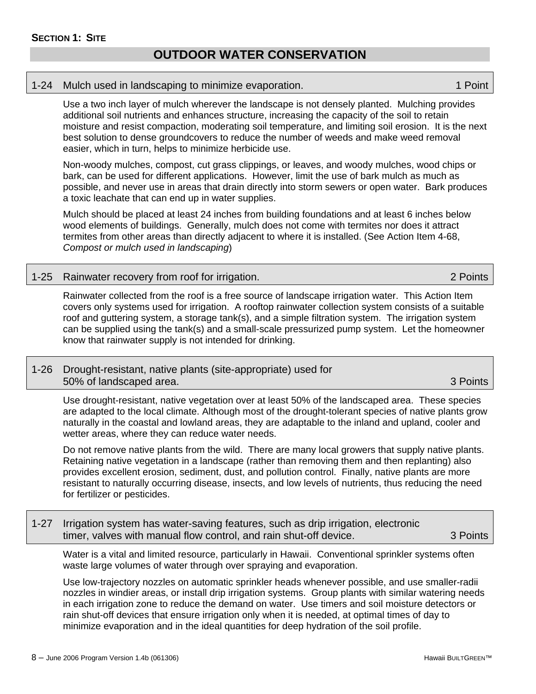### **OUTDOOR WATER CONSERVATION**

#### <span id="page-17-0"></span>1-24 Mulch used in landscaping to minimize evaporation. 1 **Point** 1 Point

Use a two inch layer of mulch wherever the landscape is not densely planted. Mulching provides additional soil nutrients and enhances structure, increasing the capacity of the soil to retain moisture and resist compaction, moderating soil temperature, and limiting soil erosion. It is the next best solution to dense groundcovers to reduce the number of weeds and make weed removal easier, which in turn, helps to minimize herbicide use.

Non-woody mulches, compost, cut grass clippings, or leaves, and woody mulches, wood chips or bark, can be used for different applications. However, limit the use of bark mulch as much as possible, and never use in areas that drain directly into storm sewers or open water. Bark produces a toxic leachate that can end up in water supplies.

Mulch should be placed at least 24 inches from building foundations and at least 6 inches below wood elements of buildings. Generally, mulch does not come with termites nor does it attract termites from other areas than directly adjacent to where it is installed. (See Action Item 4-68, *Compost or mulch used in landscaping*)

### 1-25 Rainwater recovery from roof for irrigation. 2 Points

Rainwater collected from the roof is a free source of landscape irrigation water. This Action Item covers only systems used for irrigation. A rooftop rainwater collection system consists of a suitable roof and guttering system, a storage tank(s), and a simple filtration system. The irrigation system can be supplied using the tank(s) and a small-scale pressurized pump system. Let the homeowner know that rainwater supply is not intended for drinking.

### 1-26 Drought-resistant, native plants (site-appropriate) used for 50% of landscaped area. 3 Points

Use drought-resistant, native vegetation over at least 50% of the landscaped area. These species are adapted to the local climate. Although most of the drought-tolerant species of native plants grow naturally in the coastal and lowland areas, they are adaptable to the inland and upland, cooler and wetter areas, where they can reduce water needs.

Do not remove native plants from the wild. There are many local growers that supply native plants. Retaining native vegetation in a landscape (rather than removing them and then replanting) also provides excellent erosion, sediment, dust, and pollution control. Finally, native plants are more resistant to naturally occurring disease, insects, and low levels of nutrients, thus reducing the need for fertilizer or pesticides.

### 1-27 Irrigation system has water-saving features, such as drip irrigation, electronic timer, valves with manual flow control, and rain shut-off device. 3 Points

Water is a vital and limited resource, particularly in Hawaii. Conventional sprinkler systems often waste large volumes of water through over spraying and evaporation.

Use low-trajectory nozzles on automatic sprinkler heads whenever possible, and use smaller-radii nozzles in windier areas, or install drip irrigation systems. Group plants with similar watering needs in each irrigation zone to reduce the demand on water. Use timers and soil moisture detectors or rain shut-off devices that ensure irrigation only when it is needed, at optimal times of day to minimize evaporation and in the ideal quantities for deep hydration of the soil profile.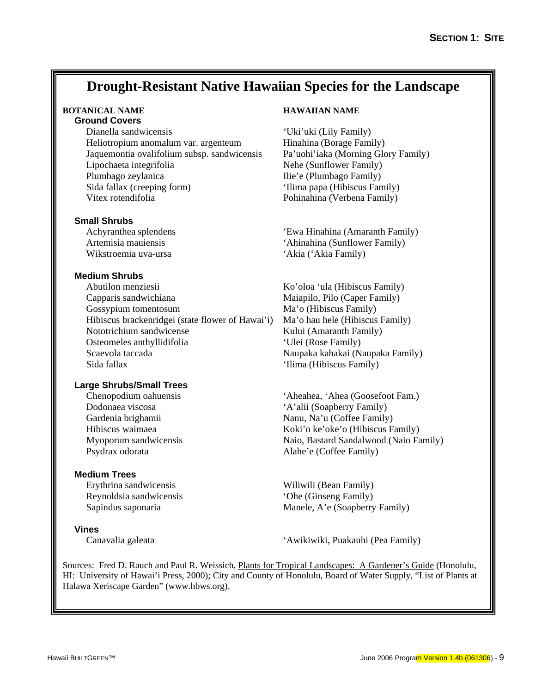### **Drought-Resistant Native Hawaiian Species for the Landscape**

# **Ground Covers**

Dianella sandwicensis 'Uki'uki (Lily Family) Heliotropium anomalum var. argenteum Hinahina (Borage Family) Jaquemontia ovalifolium subsp. sandwicensis Pa'uohi'iaka (Morning Glory Family) Lipochaeta integrifolia Nehe (Sunflower Family) Plumbago zeylanica Ilie'e (Plumbago Family) Sida fallax (creeping form) 'Ilima papa (Hibiscus Family) Vitex rotendifolia Pohinahina (Verbena Family)

#### **Small Shrubs**

Wikstroemia uva-ursa 'Akia ('Akia Family)

#### **Medium Shrubs**

Abutilon menziesii Ko'oloa 'ula (Hibiscus Family) Capparis sandwichiana Maiapilo, Pilo (Caper Family) Gossypium tomentosum Ma'o (Hibiscus Family) Hibiscus brackenridgei (state flower of Hawai'i) Ma'o hau hele (Hibiscus Family) Nototrichium sandwicense Kului (Amaranth Family) Osteomeles anthyllidifolia 'Ulei (Rose Family) Scaevola taccada Naupaka kahakai (Naupaka Family) Sida fallax 'Ilima (Hibiscus Family)

#### **Large Shrubs/Small Trees**

Psydrax odorata Alahe'e (Coffee Family)

#### **Medium Trees**

Erythrina sandwicensis Wiliwili (Bean Family) Reynoldsia sandwicensis 'Ohe (Ginseng Family)

#### **Vines**

### **BOTANICAL NAME HAWAIIAN NAME**

Achyranthea splendens 'Ewa Hinahina (Amaranth Family) Artemisia mauiensis 'Ahinahina (Sunflower Family)

Chenopodium oahuensis 'Aheahea, 'Ahea (Goosefoot Fam.) Dodonaea viscosa 'A'alii (Soapberry Family) Gardenia brighamii Nanu, Na'u (Coffee Family) Hibiscus waimaea Koki'o ke'oke'o (Hibiscus Family) Myoporum sandwicensis Naio, Bastard Sandalwood (Naio Family)

Sapindus saponaria Manele, A'e (Soapberry Family)

Canavalia galeata 'Awikiwiki, Puakauhi (Pea Family)

Sources: Fred D. Rauch and Paul R. Weissich, Plants for Tropical Landscapes: A Gardener's Guide (Honolulu, HI: University of Hawai'i Press, 2000); City and County of Honolulu, Board of Water Supply, "List of Plants at Halawa Xeriscape Garden" (www.hbws.org).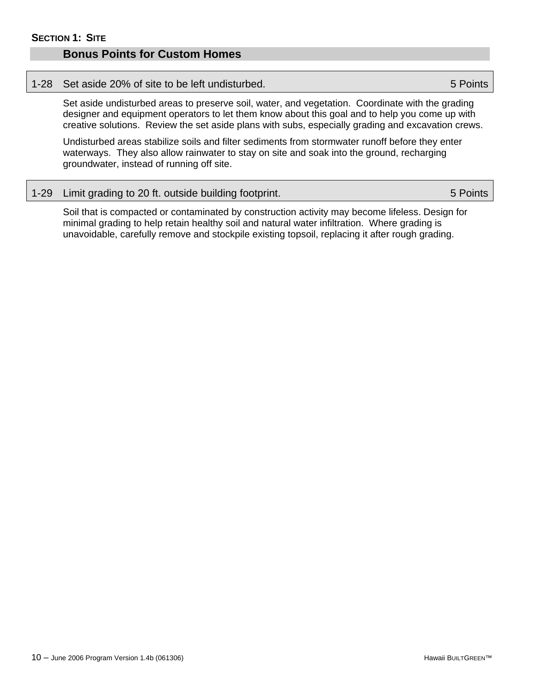### <span id="page-19-0"></span>**Bonus Points for Custom Homes**

#### 1-28 Set aside 20% of site to be left undisturbed. 5 Points

Set aside undisturbed areas to preserve soil, water, and vegetation. Coordinate with the grading designer and equipment operators to let them know about this goal and to help you come up with creative solutions. Review the set aside plans with subs, especially grading and excavation crews.

Undisturbed areas stabilize soils and filter sediments from stormwater runoff before they enter waterways. They also allow rainwater to stay on site and soak into the ground, recharging groundwater, instead of running off site.

|  | 1-29 Limit grading to 20 ft. outside building footprint. | 5 Points |
|--|----------------------------------------------------------|----------|
|--|----------------------------------------------------------|----------|

Soil that is compacted or contaminated by construction activity may become lifeless. Design for minimal grading to help retain healthy soil and natural water infiltration. Where grading is unavoidable, carefully remove and stockpile existing topsoil, replacing it after rough grading.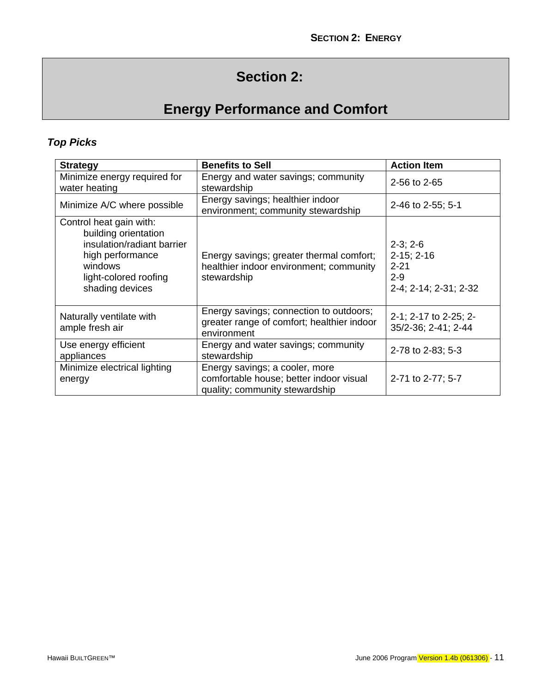# **Section 2:**

# **Energy Performance and Comfort**

## <span id="page-20-0"></span>*Top Picks*

| <b>Strategy</b>                                                                                                                                          | <b>Benefits to Sell</b>                                                                                     | <b>Action Item</b>                                                         |
|----------------------------------------------------------------------------------------------------------------------------------------------------------|-------------------------------------------------------------------------------------------------------------|----------------------------------------------------------------------------|
| Minimize energy required for<br>water heating                                                                                                            | Energy and water savings; community<br>stewardship                                                          | 2-56 to 2-65                                                               |
| Minimize A/C where possible                                                                                                                              | Energy savings; healthier indoor<br>environment; community stewardship                                      | 2-46 to 2-55; 5-1                                                          |
| Control heat gain with:<br>building orientation<br>insulation/radiant barrier<br>high performance<br>windows<br>light-colored roofing<br>shading devices | Energy savings; greater thermal comfort;<br>healthier indoor environment; community<br>stewardship          | $2-3; 2-6$<br>$2-15; 2-16$<br>$2 - 21$<br>$2 - 9$<br>2-4; 2-14; 2-31; 2-32 |
| Naturally ventilate with<br>ample fresh air                                                                                                              | Energy savings; connection to outdoors;<br>greater range of comfort; healthier indoor<br>environment        | 2-1; 2-17 to 2-25; 2-<br>35/2-36; 2-41; 2-44                               |
| Use energy efficient<br>appliances                                                                                                                       | Energy and water savings; community<br>stewardship                                                          | 2-78 to 2-83; 5-3                                                          |
| Minimize electrical lighting<br>energy                                                                                                                   | Energy savings; a cooler, more<br>comfortable house; better indoor visual<br>quality; community stewardship | 2-71 to 2-77; 5-7                                                          |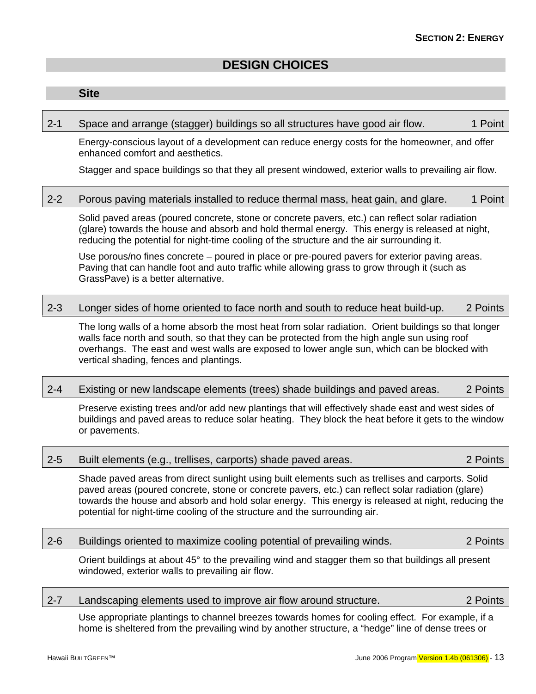### **DESIGN CHOICES**

### <span id="page-22-0"></span>**Site**

#### 2-1 Space and arrange (stagger) buildings so all structures have good air flow. 1 Point

Energy-conscious layout of a development can reduce energy costs for the homeowner, and offer enhanced comfort and aesthetics.

Stagger and space buildings so that they all present windowed, exterior walls to prevailing air flow.

### 2-2 Porous paving materials installed to reduce thermal mass, heat gain, and glare. 1 Point

Solid paved areas (poured concrete, stone or concrete pavers, etc.) can reflect solar radiation (glare) towards the house and absorb and hold thermal energy. This energy is released at night, reducing the potential for night-time cooling of the structure and the air surrounding it.

Use porous/no fines concrete – poured in place or pre-poured pavers for exterior paving areas. Paving that can handle foot and auto traffic while allowing grass to grow through it (such as GrassPave) is a better alternative.

### 2-3 Longer sides of home oriented to face north and south to reduce heat build-up. 2 Points

The long walls of a home absorb the most heat from solar radiation. Orient buildings so that longer walls face north and south, so that they can be protected from the high angle sun using roof overhangs. The east and west walls are exposed to lower angle sun, which can be blocked with vertical shading, fences and plantings.

### 2-4 Existing or new landscape elements (trees) shade buildings and paved areas. 2 Points

Preserve existing trees and/or add new plantings that will effectively shade east and west sides of buildings and paved areas to reduce solar heating. They block the heat before it gets to the window or pavements.

| $2 - 5$ | Built elements (e.g., trellises, carports) shade paved areas. |  | 2 Points |
|---------|---------------------------------------------------------------|--|----------|
|         |                                                               |  |          |

Shade paved areas from direct sunlight using built elements such as trellises and carports. Solid paved areas (poured concrete, stone or concrete pavers, etc.) can reflect solar radiation (glare) towards the house and absorb and hold solar energy. This energy is released at night, reducing the potential for night-time cooling of the structure and the surrounding air.

#### 2-6 Buildings oriented to maximize cooling potential of prevailing winds. 2 Points

Orient buildings at about 45° to the prevailing wind and stagger them so that buildings all present windowed, exterior walls to prevailing air flow.

### 2-7 Landscaping elements used to improve air flow around structure. 2 Points

Use appropriate plantings to channel breezes towards homes for cooling effect. For example, if a home is sheltered from the prevailing wind by another structure, a "hedge" line of dense trees or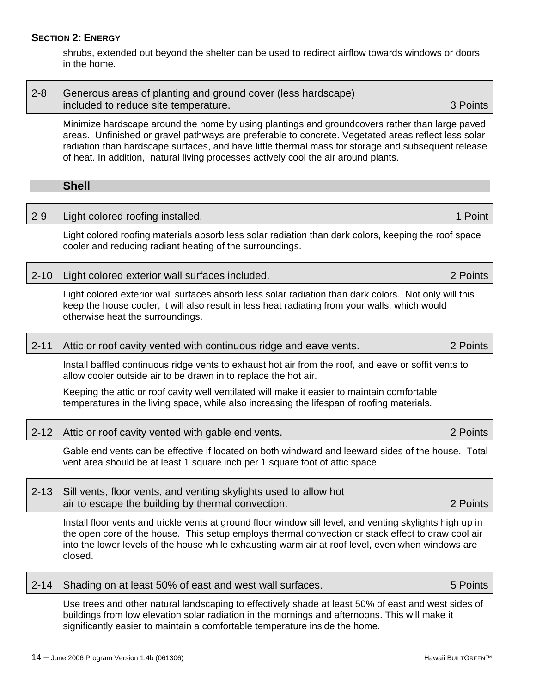### <span id="page-23-0"></span>**SECTION 2: ENERGY**

shrubs, extended out beyond the shelter can be used to redirect airflow towards windows or doors in the home.

| $2 - 8$ | Generous areas of planting and ground cover (less hardscape) |          |
|---------|--------------------------------------------------------------|----------|
|         | included to reduce site temperature.                         | 3 Points |

Minimize hardscape around the home by using plantings and groundcovers rather than large paved areas. Unfinished or gravel pathways are preferable to concrete. Vegetated areas reflect less solar radiation than hardscape surfaces, and have little thermal mass for storage and subsequent release of heat. In addition, natural living processes actively cool the air around plants.

### **Shell**

### 2-9 Light colored roofing installed. 1 Point 1 Point 1 Point

Light colored roofing materials absorb less solar radiation than dark colors, keeping the roof space cooler and reducing radiant heating of the surroundings.

### 2-10 Light colored exterior wall surfaces included. 2 Points

Light colored exterior wall surfaces absorb less solar radiation than dark colors. Not only will this keep the house cooler, it will also result in less heat radiating from your walls, which would otherwise heat the surroundings.

### 2-11 Attic or roof cavity vented with continuous ridge and eave vents. 2 Points

Install baffled continuous ridge vents to exhaust hot air from the roof, and eave or soffit vents to allow cooler outside air to be drawn in to replace the hot air.

Keeping the attic or roof cavity well ventilated will make it easier to maintain comfortable temperatures in the living space, while also increasing the lifespan of roofing materials.

2-12 Attic or roof cavity vented with gable end vents. 2 Points

Gable end vents can be effective if located on both windward and leeward sides of the house. Total vent area should be at least 1 square inch per 1 square foot of attic space.

| 2-13 Sill vents, floor vents, and venting skylights used to allow hot |          |
|-----------------------------------------------------------------------|----------|
| air to escape the building by thermal convection.                     | 2 Points |

Install floor vents and trickle vents at ground floor window sill level, and venting skylights high up in the open core of the house. This setup employs thermal convection or stack effect to draw cool air into the lower levels of the house while exhausting warm air at roof level, even when windows are closed.

|  | 2-14 Shading on at least 50% of east and west wall surfaces. | 5 Points |
|--|--------------------------------------------------------------|----------|
|--|--------------------------------------------------------------|----------|

Use trees and other natural landscaping to effectively shade at least 50% of east and west sides of buildings from low elevation solar radiation in the mornings and afternoons. This will make it significantly easier to maintain a comfortable temperature inside the home.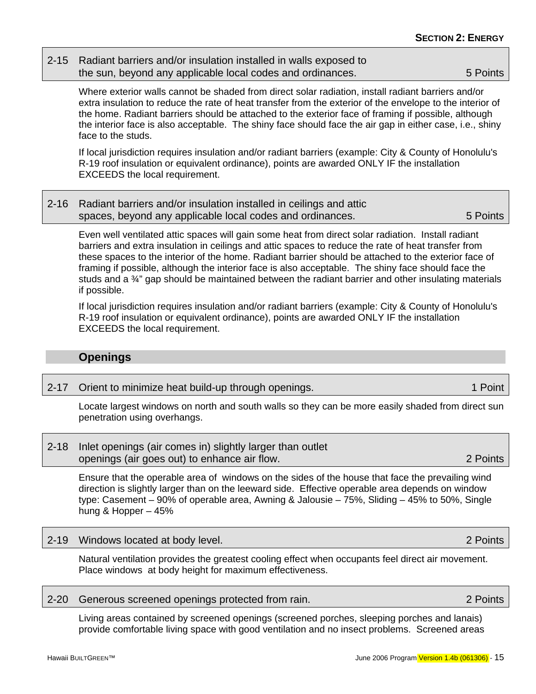### <span id="page-24-0"></span>2-15 Radiant barriers and/or insulation installed in walls exposed to the sun, beyond any applicable local codes and ordinances. 5 Points

Where exterior walls cannot be shaded from direct solar radiation, install radiant barriers and/or extra insulation to reduce the rate of heat transfer from the exterior of the envelope to the interior of the home. Radiant barriers should be attached to the exterior face of framing if possible, although the interior face is also acceptable. The shiny face should face the air gap in either case, i.e., shiny face to the studs.

If local jurisdiction requires insulation and/or radiant barriers (example: City & County of Honolulu's R-19 roof insulation or equivalent ordinance), points are awarded ONLY IF the installation EXCEEDS the local requirement.

| 2-16 Radiant barriers and/or insulation installed in ceilings and attic |          |
|-------------------------------------------------------------------------|----------|
| spaces, beyond any applicable local codes and ordinances.               | 5 Points |

Even well ventilated attic spaces will gain some heat from direct solar radiation. Install radiant barriers and extra insulation in ceilings and attic spaces to reduce the rate of heat transfer from these spaces to the interior of the home. Radiant barrier should be attached to the exterior face of framing if possible, although the interior face is also acceptable. The shiny face should face the studs and a ¾" gap should be maintained between the radiant barrier and other insulating materials if possible.

If local jurisdiction requires insulation and/or radiant barriers (example: City & County of Honolulu's R-19 roof insulation or equivalent ordinance), points are awarded ONLY IF the installation EXCEEDS the local requirement.

### **Openings**

2-17 Orient to minimize heat build-up through openings. 1 April 1 Point

Locate largest windows on north and south walls so they can be more easily shaded from direct sun penetration using overhangs.

| 2-18 Inlet openings (air comes in) slightly larger than outlet |          |
|----------------------------------------------------------------|----------|
| openings (air goes out) to enhance air flow.                   | 2 Points |

Ensure that the operable area of windows on the sides of the house that face the prevailing wind direction is slightly larger than on the leeward side. Effective operable area depends on window type: Casement – 90% of operable area, Awning & Jalousie – 75%, Sliding – 45% to 50%, Single hung & Hopper – 45%

### 2-19 Windows located at body level. 2 Points

Natural ventilation provides the greatest cooling effect when occupants feel direct air movement. Place windows at body height for maximum effectiveness.

### 2-20 Generous screened openings protected from rain. 2 2 Points

Living areas contained by screened openings (screened porches, sleeping porches and lanais) provide comfortable living space with good ventilation and no insect problems. Screened areas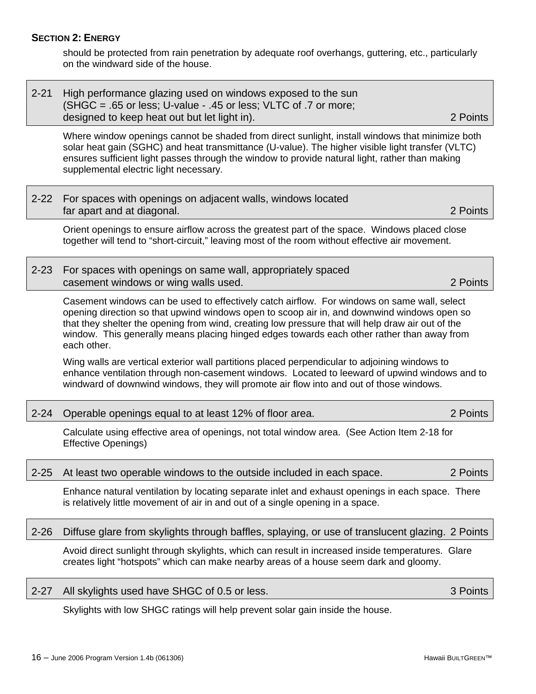#### 2-27 All skylights used have SHGC of 0.5 or less. 3 Points 3 Points

Skylights with low SHGC ratings will help prevent solar gain inside the house.

16 – June 2006 Program Version 1.4b (061306) Hawaii BUILTGREEN™

### **SECTION 2: ENERGY**

should be protected from rain penetration by adequate roof overhangs, guttering, etc., particularly on the windward side of the house.

| 2-21 High performance glazing used on windows exposed to the sun  |          |
|-------------------------------------------------------------------|----------|
| $(SHGC = .65$ or less; U-value - .45 or less; VLTC of .7 or more; |          |
| designed to keep heat out but let light in).                      | 2 Points |

Where window openings cannot be shaded from direct sunlight, install windows that minimize both solar heat gain (SGHC) and heat transmittance (U-value). The higher visible light transfer (VLTC) ensures sufficient light passes through the window to provide natural light, rather than making supplemental electric light necessary.

| 2-22 For spaces with openings on adjacent walls, windows located |          |
|------------------------------------------------------------------|----------|
| far apart and at diagonal.                                       | 2 Points |
|                                                                  |          |

Orient openings to ensure airflow across the greatest part of the space. Windows placed close together will tend to "short-circuit," leaving most of the room without effective air movement.

2-23 For spaces with openings on same wall, appropriately spaced casement windows or wing walls used. 2 Points

Casement windows can be used to effectively catch airflow. For windows on same wall, select opening direction so that upwind windows open to scoop air in, and downwind windows open so that they shelter the opening from wind, creating low pressure that will help draw air out of the window. This generally means placing hinged edges towards each other rather than away from each other.

Wing walls are vertical exterior wall partitions placed perpendicular to adjoining windows to enhance ventilation through non-casement windows. Located to leeward of upwind windows and to windward of downwind windows, they will promote air flow into and out of those windows.

2-24 Operable openings equal to at least 12% of floor area. 2 2 Points

Calculate using effective area of openings, not total window area. (See Action Item 2-18 for Effective Openings)

### 2-25 At least two operable windows to the outside included in each space. 2 Points

Enhance natural ventilation by locating separate inlet and exhaust openings in each space. There is relatively little movement of air in and out of a single opening in a space.

2-26 Diffuse glare from skylights through baffles, splaying, or use of translucent glazing. 2 Points

Avoid direct sunlight through skylights, which can result in increased inside temperatures. Glare creates light "hotspots" which can make nearby areas of a house seem dark and gloomy.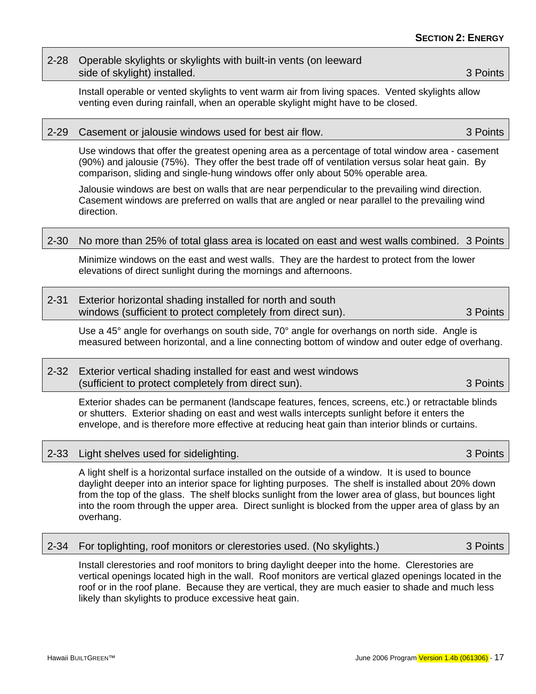### 2-28 Operable skylights or skylights with built-in vents (on leeward side of skylight) installed. **3** Points

Install operable or vented skylights to vent warm air from living spaces. Vented skylights allow venting even during rainfall, when an operable skylight might have to be closed.

### 2-29 Casement or jalousie windows used for best air flow. 3 Points

Use windows that offer the greatest opening area as a percentage of total window area - casement (90%) and jalousie (75%). They offer the best trade off of ventilation versus solar heat gain. By comparison, sliding and single-hung windows offer only about 50% operable area.

Jalousie windows are best on walls that are near perpendicular to the prevailing wind direction. Casement windows are preferred on walls that are angled or near parallel to the prevailing wind direction.

#### 2-30 No more than 25% of total glass area is located on east and west walls combined. 3 Points

Minimize windows on the east and west walls. They are the hardest to protect from the lower elevations of direct sunlight during the mornings and afternoons.

| $2 - 31$ | <b>Exterior horizontal shading installed for north and south</b> |  |  |          |  |
|----------|------------------------------------------------------------------|--|--|----------|--|
|          | windows (sufficient to protect completely from direct sun).      |  |  | 3 Points |  |

Use a 45° angle for overhangs on south side, 70° angle for overhangs on north side. Angle is measured between horizontal, and a line connecting bottom of window and outer edge of overhang.

### 2-32 Exterior vertical shading installed for east and west windows (sufficient to protect completely from direct sun). 3 Points

Exterior shades can be permanent (landscape features, fences, screens, etc.) or retractable blinds or shutters. Exterior shading on east and west walls intercepts sunlight before it enters the envelope, and is therefore more effective at reducing heat gain than interior blinds or curtains.

#### 2-33 Light shelves used for sidelighting. 3 Points

A light shelf is a horizontal surface installed on the outside of a window. It is used to bounce daylight deeper into an interior space for lighting purposes. The shelf is installed about 20% down from the top of the glass. The shelf blocks sunlight from the lower area of glass, but bounces light into the room through the upper area. Direct sunlight is blocked from the upper area of glass by an overhang.

|  |  | 2-34 For toplighting, roof monitors or clerestories used. (No skylights.) |  | 3 Points |
|--|--|---------------------------------------------------------------------------|--|----------|
|--|--|---------------------------------------------------------------------------|--|----------|

Install clerestories and roof monitors to bring daylight deeper into the home. Clerestories are vertical openings located high in the wall. Roof monitors are vertical glazed openings located in the roof or in the roof plane. Because they are vertical, they are much easier to shade and much less likely than skylights to produce excessive heat gain.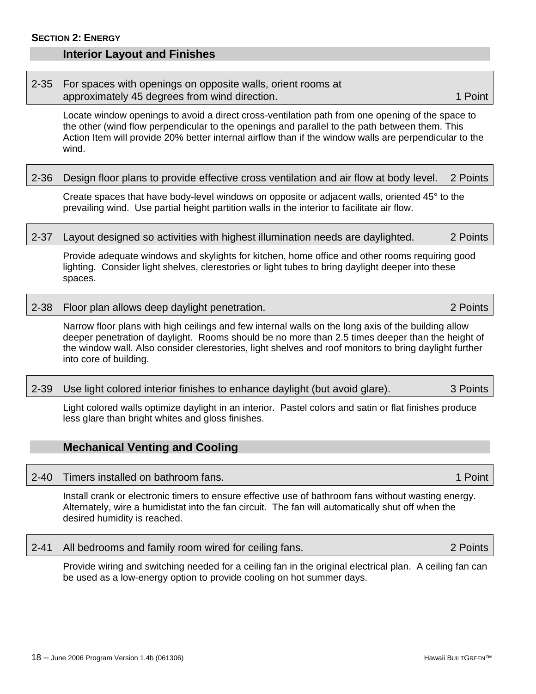### <span id="page-27-0"></span>**Interior Layout and Finishes**

### 2-35 For spaces with openings on opposite walls, orient rooms at approximately 45 degrees from wind direction. 1 Approximately 45 degrees from wind direction.

Locate window openings to avoid a direct cross-ventilation path from one opening of the space to the other (wind flow perpendicular to the openings and parallel to the path between them. This Action Item will provide 20% better internal airflow than if the window walls are perpendicular to the wind.

### 2-36 Design floor plans to provide effective cross ventilation and air flow at body level. 2 Points

Create spaces that have body-level windows on opposite or adjacent walls, oriented 45° to the prevailing wind. Use partial height partition walls in the interior to facilitate air flow.

### 2-37 Layout designed so activities with highest illumination needs are daylighted. 2 Points

Provide adequate windows and skylights for kitchen, home office and other rooms requiring good lighting. Consider light shelves, clerestories or light tubes to bring daylight deeper into these spaces.

### 2-38 Floor plan allows deep daylight penetration. 2 Points

Narrow floor plans with high ceilings and few internal walls on the long axis of the building allow deeper penetration of daylight. Rooms should be no more than 2.5 times deeper than the height of the window wall. Also consider clerestories, light shelves and roof monitors to bring daylight further into core of building.

### 2-39 Use light colored interior finishes to enhance daylight (but avoid glare). 3 Points

Light colored walls optimize daylight in an interior. Pastel colors and satin or flat finishes produce less glare than bright whites and gloss finishes.

### **Mechanical Venting and Cooling**

### 2-40 Timers installed on bathroom fans. 1 Point 1 Point 1 Point

Install crank or electronic timers to ensure effective use of bathroom fans without wasting energy. Alternately, wire a humidistat into the fan circuit. The fan will automatically shut off when the desired humidity is reached.

### 2-41 All bedrooms and family room wired for ceiling fans. 2 Points

Provide wiring and switching needed for a ceiling fan in the original electrical plan. A ceiling fan can be used as a low-energy option to provide cooling on hot summer days.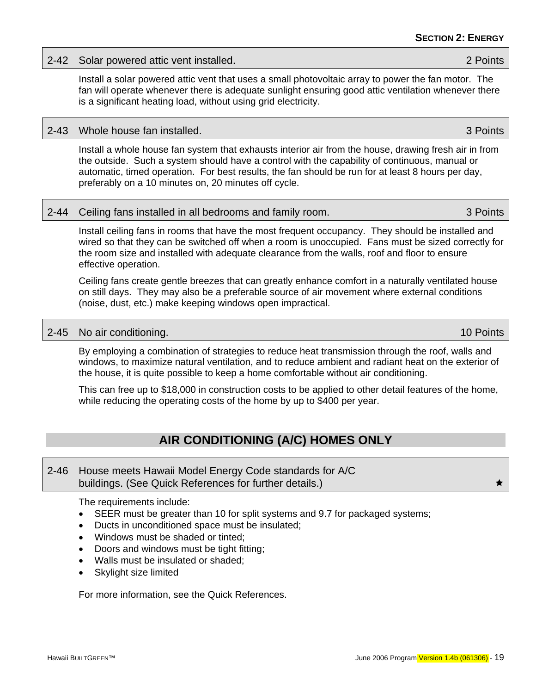#### <span id="page-28-0"></span>2-42 Solar powered attic vent installed. 2 Points

Install a solar powered attic vent that uses a small photovoltaic array to power the fan motor. The fan will operate whenever there is adequate sunlight ensuring good attic ventilation whenever there is a significant heating load, without using grid electricity.

### 2-43 Whole house fan installed. 3 Points

Install a whole house fan system that exhausts interior air from the house, drawing fresh air in from the outside. Such a system should have a control with the capability of continuous, manual or automatic, timed operation. For best results, the fan should be run for at least 8 hours per day, preferably on a 10 minutes on, 20 minutes off cycle.

|  |  | 2-44 Ceiling fans installed in all bedrooms and family room. | 3 Points |
|--|--|--------------------------------------------------------------|----------|
|--|--|--------------------------------------------------------------|----------|

Install ceiling fans in rooms that have the most frequent occupancy. They should be installed and wired so that they can be switched off when a room is unoccupied. Fans must be sized correctly for the room size and installed with adequate clearance from the walls, roof and floor to ensure effective operation.

Ceiling fans create gentle breezes that can greatly enhance comfort in a naturally ventilated house on still days. They may also be a preferable source of air movement where external conditions (noise, dust, etc.) make keeping windows open impractical.

### 2-45 No air conditioning. 2-45 No air conditioning.

By employing a combination of strategies to reduce heat transmission through the roof, walls and windows, to maximize natural ventilation, and to reduce ambient and radiant heat on the exterior of the house, it is quite possible to keep a home comfortable without air conditioning.

This can free up to \$18,000 in construction costs to be applied to other detail features of the home, while reducing the operating costs of the home by up to \$400 per year.

### **AIR CONDITIONING (A/C) HOMES ONLY**

| 2-46 House meets Hawaii Model Energy Code standards for A/C |  |
|-------------------------------------------------------------|--|
| buildings. (See Quick References for further details.)      |  |

The requirements include:

- SEER must be greater than 10 for split systems and 9.7 for packaged systems;
- Ducts in unconditioned space must be insulated;
- Windows must be shaded or tinted;
- Doors and windows must be tight fitting;
- Walls must be insulated or shaded;
- Skylight size limited

For more information, see the Quick References.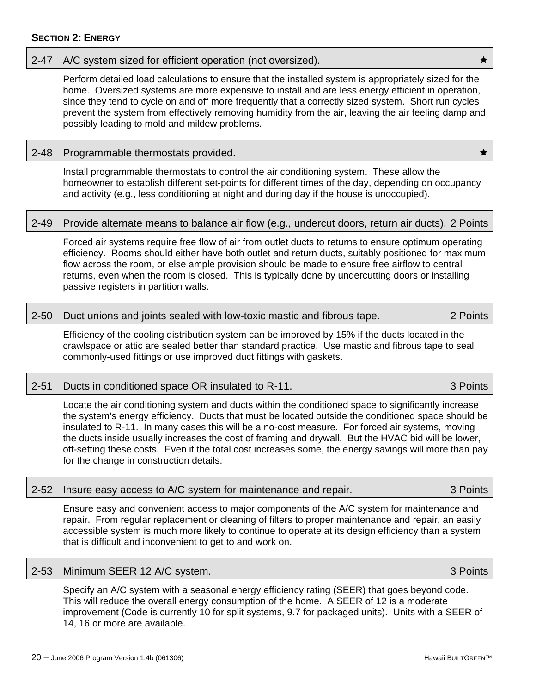### **SECTION 2: ENERGY**

#### 2-47 A/C system sized for efficient operation (not oversized).

Perform detailed load calculations to ensure that the installed system is appropriately sized for the home. Oversized systems are more expensive to install and are less energy efficient in operation, since they tend to cycle on and off more frequently that a correctly sized system. Short run cycles prevent the system from effectively removing humidity from the air, leaving the air feeling damp and possibly leading to mold and mildew problems.

### 2-48 Programmable thermostats provided.  $\star$

Install programmable thermostats to control the air conditioning system. These allow the homeowner to establish different set-points for different times of the day, depending on occupancy and activity (e.g., less conditioning at night and during day if the house is unoccupied).

#### 2-49 Provide alternate means to balance air flow (e.g., undercut doors, return air ducts). 2 Points

Forced air systems require free flow of air from outlet ducts to returns to ensure optimum operating efficiency. Rooms should either have both outlet and return ducts, suitably positioned for maximum flow across the room, or else ample provision should be made to ensure free airflow to central returns, even when the room is closed. This is typically done by undercutting doors or installing passive registers in partition walls.

### 2-50 Duct unions and joints sealed with low-toxic mastic and fibrous tape. 2 Points

Efficiency of the cooling distribution system can be improved by 15% if the ducts located in the crawlspace or attic are sealed better than standard practice. Use mastic and fibrous tape to seal commonly-used fittings or use improved duct fittings with gaskets.

#### 2-51 Ducts in conditioned space OR insulated to R-11. 3 Points

Locate the air conditioning system and ducts within the conditioned space to significantly increase the system's energy efficiency. Ducts that must be located outside the conditioned space should be insulated to R-11. In many cases this will be a no-cost measure. For forced air systems, moving the ducts inside usually increases the cost of framing and drywall. But the HVAC bid will be lower, off-setting these costs. Even if the total cost increases some, the energy savings will more than pay for the change in construction details.

|  |  |  | 2-52 Insure easy access to A/C system for maintenance and repair. | 3 Points |
|--|--|--|-------------------------------------------------------------------|----------|
|--|--|--|-------------------------------------------------------------------|----------|

Ensure easy and convenient access to major components of the A/C system for maintenance and repair. From regular replacement or cleaning of filters to proper maintenance and repair, an easily accessible system is much more likely to continue to operate at its design efficiency than a system that is difficult and inconvenient to get to and work on.

#### 2-53 Minimum SEER 12 A/C system. 3 Points

Specify an A/C system with a seasonal energy efficiency rating (SEER) that goes beyond code. This will reduce the overall energy consumption of the home. A SEER of 12 is a moderate improvement (Code is currently 10 for split systems, 9.7 for packaged units). Units with a SEER of 14, 16 or more are available.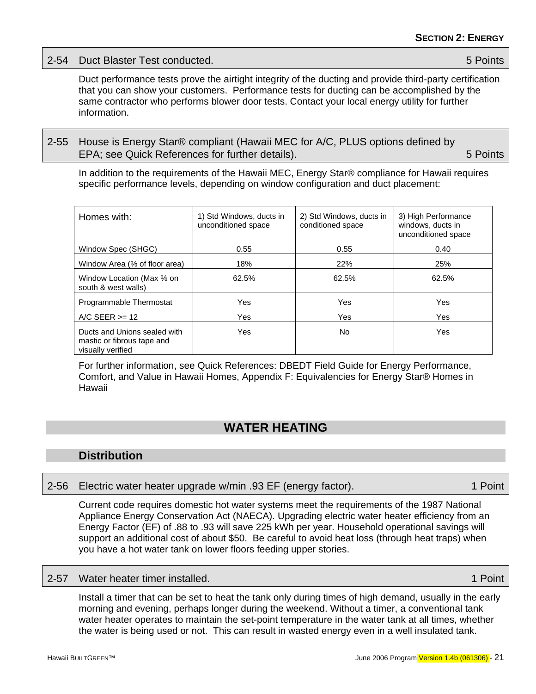<span id="page-30-0"></span>

| 2-54 Duct Blaster Test conducted. | 5 Points |
|-----------------------------------|----------|
|                                   |          |

Duct performance tests prove the airtight integrity of the ducting and provide third-party certification that you can show your customers. Performance tests for ducting can be accomplished by the same contractor who performs blower door tests. Contact your local energy utility for further information.

2-55 House is Energy Star® compliant (Hawaii MEC for A/C, PLUS options defined by EPA; see Quick References for further details). **EPA**; see Quick References for further details).

In addition to the requirements of the Hawaii MEC, Energy Star® compliance for Hawaii requires specific performance levels, depending on window configuration and duct placement:

| Homes with:                                                                     | 1) Std Windows, ducts in<br>unconditioned space | 2) Std Windows, ducts in<br>conditioned space | 3) High Performance<br>windows, ducts in<br>unconditioned space |
|---------------------------------------------------------------------------------|-------------------------------------------------|-----------------------------------------------|-----------------------------------------------------------------|
| Window Spec (SHGC)                                                              | 0.55                                            | 0.55                                          | 0.40                                                            |
| Window Area (% of floor area)                                                   | 18%                                             | 22%                                           | 25%                                                             |
| Window Location (Max % on<br>south & west walls)                                | 62.5%                                           | 62.5%                                         | 62.5%                                                           |
| Programmable Thermostat                                                         | Yes                                             | Yes                                           | Yes                                                             |
| $\triangle$ A/C SEER $\ge$ = 12                                                 | Yes                                             | Yes                                           | Yes                                                             |
| Ducts and Unions sealed with<br>mastic or fibrous tape and<br>visually verified | Yes                                             | No.                                           | Yes                                                             |

For further information, see Quick References: DBEDT Field Guide for Energy Performance, Comfort, and Value in Hawaii Homes, Appendix F: Equivalencies for Energy Star® Homes in Hawaii

### **WATER HEATING**

### **Distribution**

### 2-56 Electric water heater upgrade w/min .93 EF (energy factor). 1 Point

Current code requires domestic hot water systems meet the requirements of the 1987 National Appliance Energy Conservation Act (NAECA). Upgrading electric water heater efficiency from an Energy Factor (EF) of .88 to .93 will save 225 kWh per year. Household operational savings will support an additional cost of about \$50. Be careful to avoid heat loss (through heat traps) when you have a hot water tank on lower floors feeding upper stories.

### 2-57 Water heater timer installed. 1 Point 1 Point 1 Point 1 Point 1 Point

Install a timer that can be set to heat the tank only during times of high demand, usually in the early morning and evening, perhaps longer during the weekend. Without a timer, a conventional tank water heater operates to maintain the set-point temperature in the water tank at all times, whether the water is being used or not. This can result in wasted energy even in a well insulated tank.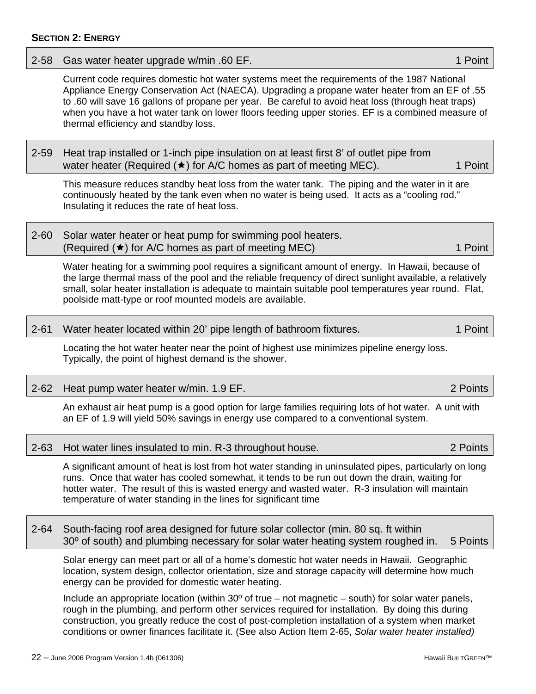### **SECTION 2: ENERGY**

### $22 -$  June 2006 Program Version 1.4b (061306) Hawaii BUILTGREEN™

Current code requires domestic hot water systems meet the requirements of the 1987 National Appliance Energy Conservation Act (NAECA). Upgrading a propane water heater from an EF of .55 to .60 will save 16 gallons of propane per year. Be careful to avoid heat loss (through heat traps) when you have a hot water tank on lower floors feeding upper stories. EF is a combined measure of thermal efficiency and standby loss.

2-59 Heat trap installed or 1-inch pipe insulation on at least first 8' of outlet pipe from water heater (Required  $(\star)$  for A/C homes as part of meeting MEC). 1 Point

This measure reduces standby heat loss from the water tank. The piping and the water in it are continuously heated by the tank even when no water is being used. It acts as a "cooling rod." Insulating it reduces the rate of heat loss.

2-60 Solar water heater or heat pump for swimming pool heaters. (Required  $(\star)$  for A/C homes as part of meeting MEC) 1 Point

Water heating for a swimming pool requires a significant amount of energy. In Hawaii, because of the large thermal mass of the pool and the reliable frequency of direct sunlight available, a relatively small, solar heater installation is adequate to maintain suitable pool temperatures year round. Flat, poolside matt-type or roof mounted models are available.

2-61 Water heater located within 20' pipe length of bathroom fixtures. 1 1 Point

Locating the hot water heater near the point of highest use minimizes pipeline energy loss. Typically, the point of highest demand is the shower.

2-62 Heat pump water heater w/min. 1.9 EF. 2 Points

An exhaust air heat pump is a good option for large families requiring lots of hot water. A unit with an EF of 1.9 will yield 50% savings in energy use compared to a conventional system.

|  | 2-63 Hot water lines insulated to min. R-3 throughout house. |  | 2 Points |
|--|--------------------------------------------------------------|--|----------|
|--|--------------------------------------------------------------|--|----------|

A significant amount of heat is lost from hot water standing in uninsulated pipes, particularly on long runs. Once that water has cooled somewhat, it tends to be run out down the drain, waiting for hotter water. The result of this is wasted energy and wasted water. R-3 insulation will maintain temperature of water standing in the lines for significant time

2-64 South-facing roof area designed for future solar collector (min. 80 sq. ft within 30<sup>o</sup> of south) and plumbing necessary for solar water heating system roughed in. 5 Points

Solar energy can meet part or all of a home's domestic hot water needs in Hawaii. Geographic location, system design, collector orientation, size and storage capacity will determine how much energy can be provided for domestic water heating.

Include an appropriate location (within  $30^{\circ}$  of true – not magnetic – south) for solar water panels, rough in the plumbing, and perform other services required for installation. By doing this during construction, you greatly reduce the cost of post-completion installation of a system when market conditions or owner finances facilitate it. (See also Action Item 2-65, *Solar water heater installed)* 

2-58 Gas water heater upgrade w/min .60 EF. 1 Point 1 Point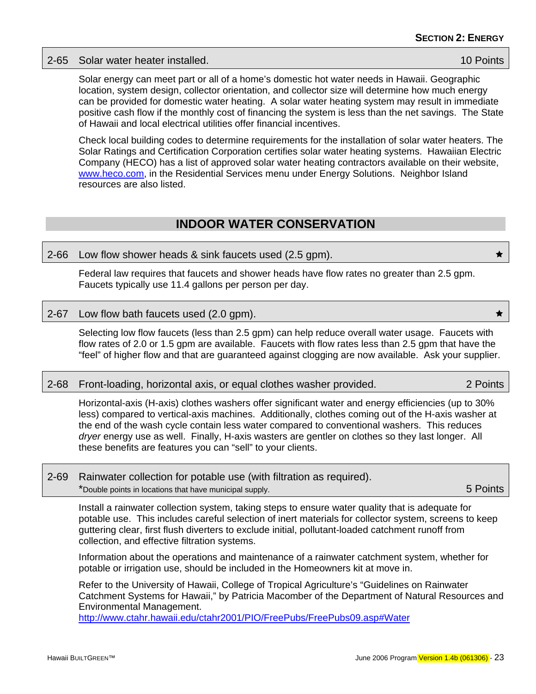<span id="page-32-0"></span>2-65 Solar water heater installed. 10 Points

Solar energy can meet part or all of a home's domestic hot water needs in Hawaii. Geographic location, system design, collector orientation, and collector size will determine how much energy can be provided for domestic water heating. A solar water heating system may result in immediate positive cash flow if the monthly cost of financing the system is less than the net savings. The State of Hawaii and local electrical utilities offer financial incentives.

Check local building codes to determine requirements for the installation of solar water heaters. The Solar Ratings and Certification Corporation certifies solar water heating systems. Hawaiian Electric Company (HECO) has a list of approved solar water heating contractors available on their website, [www.heco.com,](http://www.heco.com/) in the Residential Services menu under Energy Solutions. Neighbor Island resources are also listed.

### **INDOOR WATER CONSERVATION**

### 2-66 Low flow shower heads & sink faucets used (2.5 gpm).  $\qquad \qquad \star$

Federal law requires that faucets and shower heads have flow rates no greater than 2.5 gpm. Faucets typically use 11.4 gallons per person per day.

### 2-67 Low flow bath faucets used (2.0 gpm).  $\star$

Selecting low flow faucets (less than 2.5 gpm) can help reduce overall water usage. Faucets with flow rates of 2.0 or 1.5 gpm are available. Faucets with flow rates less than 2.5 gpm that have the "feel" of higher flow and that are guaranteed against clogging are now available. Ask your supplier.

#### 2-68 Front-loading, horizontal axis, or equal clothes washer provided. 2 Points

Horizontal-axis (H-axis) clothes washers offer significant water and energy efficiencies (up to 30% less) compared to vertical-axis machines. Additionally, clothes coming out of the H-axis washer at the end of the wash cycle contain less water compared to conventional washers. This reduces *dryer* energy use as well. Finally, H-axis wasters are gentler on clothes so they last longer. All these benefits are features you can "sell" to your clients.

### 2-69 Rainwater collection for potable use (with filtration as required). \*Double points in locations that have municipal supply. 5 Points

Install a rainwater collection system, taking steps to ensure water quality that is adequate for potable use. This includes careful selection of inert materials for collector system, screens to keep guttering clear, first flush diverters to exclude initial, pollutant-loaded catchment runoff from collection, and effective filtration systems.

Information about the operations and maintenance of a rainwater catchment system, whether for potable or irrigation use, should be included in the Homeowners kit at move in.

Refer to the University of Hawaii, College of Tropical Agriculture's "Guidelines on Rainwater Catchment Systems for Hawaii," by Patricia Macomber of the Department of Natural Resources and Environmental Management.

<http://www.ctahr.hawaii.edu/ctahr2001/PIO/FreePubs/FreePubs09.asp#Water>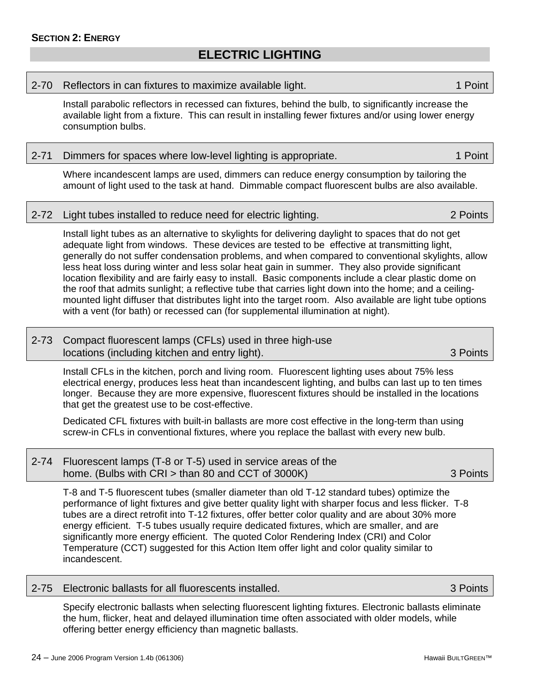### **ELECTRIC LIGHTING**

#### <span id="page-33-0"></span>2-70 Reflectors in can fixtures to maximize available light. 1 Point 1 Point

Install parabolic reflectors in recessed can fixtures, behind the bulb, to significantly increase the available light from a fixture. This can result in installing fewer fixtures and/or using lower energy consumption bulbs.

| 2-71 Dimmers for spaces where low-level lighting is appropriate. | 1 Point |
|------------------------------------------------------------------|---------|
|------------------------------------------------------------------|---------|

Where incandescent lamps are used, dimmers can reduce energy consumption by tailoring the amount of light used to the task at hand. Dimmable compact fluorescent bulbs are also available.

2-72 Light tubes installed to reduce need for electric lighting. 2 Points

Install light tubes as an alternative to skylights for delivering daylight to spaces that do not get adequate light from windows. These devices are tested to be effective at transmitting light, generally do not suffer condensation problems, and when compared to conventional skylights, allow less heat loss during winter and less solar heat gain in summer. They also provide significant location flexibility and are fairly easy to install. Basic components include a clear plastic dome on the roof that admits sunlight; a reflective tube that carries light down into the home; and a ceilingmounted light diffuser that distributes light into the target room. Also available are light tube options with a vent (for bath) or recessed can (for supplemental illumination at night).

### 2-73 Compact fluorescent lamps (CFLs) used in three high-use locations (including kitchen and entry light). 3 Points

Install CFLs in the kitchen, porch and living room. Fluorescent lighting uses about 75% less electrical energy, produces less heat than incandescent lighting, and bulbs can last up to ten times longer. Because they are more expensive, fluorescent fixtures should be installed in the locations that get the greatest use to be cost-effective.

Dedicated CFL fixtures with built-in ballasts are more cost effective in the long-term than using screw-in CFLs in conventional fixtures, where you replace the ballast with every new bulb.

| 2-74 Fluorescent lamps (T-8 or T-5) used in service areas of the |          |
|------------------------------------------------------------------|----------|
| home. (Bulbs with CRI $>$ than 80 and CCT of 3000K)              | 3 Points |

T-8 and T-5 fluorescent tubes (smaller diameter than old T-12 standard tubes) optimize the performance of light fixtures and give better quality light with sharper focus and less flicker. T-8 tubes are a direct retrofit into T-12 fixtures, offer better color quality and are about 30% more energy efficient. T-5 tubes usually require dedicated fixtures, which are smaller, and are significantly more energy efficient. The quoted Color Rendering Index (CRI) and Color Temperature (CCT) suggested for this Action Item offer light and color quality similar to incandescent.

### 2-75 Electronic ballasts for all fluorescents installed. 3 Points

Specify electronic ballasts when selecting fluorescent lighting fixtures. Electronic ballasts eliminate the hum, flicker, heat and delayed illumination time often associated with older models, while offering better energy efficiency than magnetic ballasts.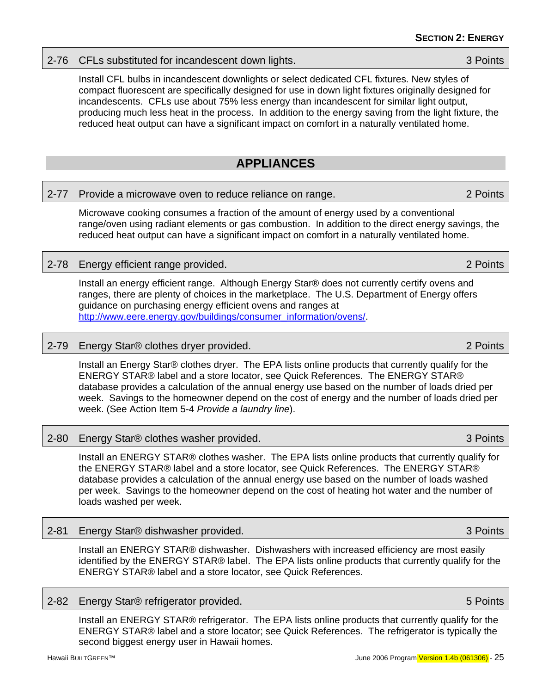### <span id="page-34-0"></span>2-76 CFLs substituted for incandescent down lights. 3 Points 3 Points

Install CFL bulbs in incandescent downlights or select dedicated CFL fixtures. New styles of compact fluorescent are specifically designed for use in down light fixtures originally designed for incandescents. CFLs use about 75% less energy than incandescent for similar light output, producing much less heat in the process. In addition to the energy saving from the light fixture, the reduced heat output can have a significant impact on comfort in a naturally ventilated home.

### **APPLIANCES**

### 2-77 Provide a microwave oven to reduce reliance on range. 2 Points

Microwave cooking consumes a fraction of the amount of energy used by a conventional range/oven using radiant elements or gas combustion. In addition to the direct energy savings, the reduced heat output can have a significant impact on comfort in a naturally ventilated home.

### 2-78 Energy efficient range provided. 2 Points

Install an energy efficient range. Although Energy Star® does not currently certify ovens and ranges, there are plenty of choices in the marketplace. The U.S. Department of Energy offers guidance on purchasing energy efficient ovens and ranges at [http://www.eere.energy.gov/buildings/consumer\\_information/ovens/.](http://www.eere.energy.gov/buildings/consumer_information/ovens/)

### 2-79 Energy Star® clothes dryer provided. 2 Points 2 Points

Install an Energy Star® clothes dryer. The EPA lists online products that currently qualify for the ENERGY STAR® label and a store locator, see Quick References. The ENERGY STAR® database provides a calculation of the annual energy use based on the number of loads dried per week. Savings to the homeowner depend on the cost of energy and the number of loads dried per week. (See Action Item 5-4 *Provide a laundry line*).

### 2-80 Energy Star® clothes washer provided. 3 Points and the state of the state of the state of the 3 Points

Install an ENERGY STAR® clothes washer. The EPA lists online products that currently qualify for the ENERGY STAR® label and a store locator, see Quick References. The ENERGY STAR® database provides a calculation of the annual energy use based on the number of loads washed per week. Savings to the homeowner depend on the cost of heating hot water and the number of loads washed per week.

### 2-81 Energy Star® dishwasher provided. 3 Points

Install an ENERGY STAR® dishwasher. Dishwashers with increased efficiency are most easily identified by the ENERGY STAR® label. The EPA lists online products that currently qualify for the ENERGY STAR® label and a store locator, see Quick References.

### 2-82 Energy Star® refrigerator provided. 5 Points

Install an ENERGY STAR® refrigerator. The EPA lists online products that currently qualify for the ENERGY STAR® label and a store locator; see Quick References. The refrigerator is typically the second biggest energy user in Hawaii homes.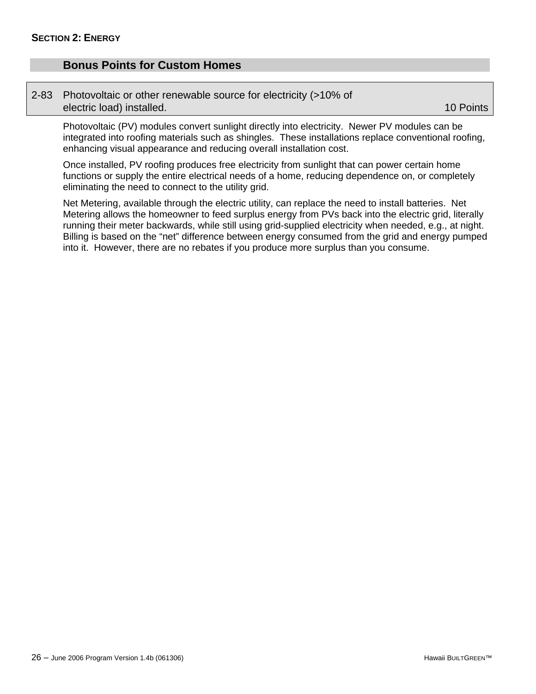### <span id="page-35-0"></span>**Bonus Points for Custom Homes**

#### 2-83 Photovoltaic or other renewable source for electricity (>10% of electric load) installed. The contraction of the contraction of the contraction of the contraction of the contraction of the contraction of the contraction of the contraction of the contraction of the contraction of the co

Photovoltaic (PV) modules convert sunlight directly into electricity. Newer PV modules can be integrated into roofing materials such as shingles. These installations replace conventional roofing, enhancing visual appearance and reducing overall installation cost.

Once installed, PV roofing produces free electricity from sunlight that can power certain home functions or supply the entire electrical needs of a home, reducing dependence on, or completely eliminating the need to connect to the utility grid.

Net Metering, available through the electric utility, can replace the need to install batteries. Net Metering allows the homeowner to feed surplus energy from PVs back into the electric grid, literally running their meter backwards, while still using grid-supplied electricity when needed, e.g., at night. Billing is based on the "net" difference between energy consumed from the grid and energy pumped into it. However, there are no rebates if you produce more surplus than you consume.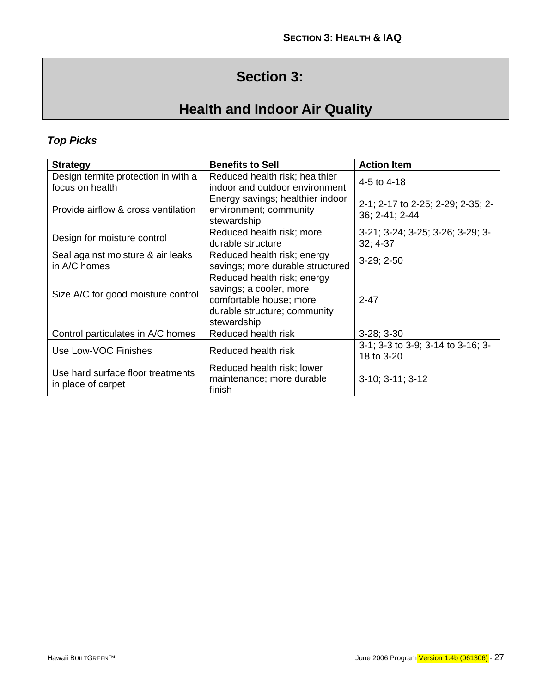# **Section 3:**

# **Health and Indoor Air Quality**

### <span id="page-36-0"></span>*Top Picks*

| <b>Strategy</b>                     | <b>Benefits to Sell</b>                                                   | <b>Action Item</b>                                  |
|-------------------------------------|---------------------------------------------------------------------------|-----------------------------------------------------|
| Design termite protection in with a | Reduced health risk; healthier                                            | 4-5 to 4-18                                         |
| focus on health                     | indoor and outdoor environment                                            |                                                     |
| Provide airflow & cross ventilation | Energy savings; healthier indoor<br>environment; community<br>stewardship | 2-1; 2-17 to 2-25; 2-29; 2-35; 2-<br>36; 2-41; 2-44 |
| Design for moisture control         | Reduced health risk; more                                                 | 3-21; 3-24; 3-25; 3-26; 3-29; 3-                    |
|                                     | durable structure                                                         | $32; 4-37$                                          |
| Seal against moisture & air leaks   | Reduced health risk; energy                                               | $3-29; 2-50$                                        |
| in A/C homes                        | savings; more durable structured                                          |                                                     |
|                                     | Reduced health risk; energy                                               |                                                     |
| Size A/C for good moisture control  | savings; a cooler, more                                                   |                                                     |
|                                     | comfortable house; more                                                   | $2 - 47$                                            |
|                                     | durable structure; community                                              |                                                     |
|                                     | stewardship                                                               |                                                     |
| Control particulates in A/C homes   | Reduced health risk                                                       | $3-28; 3-30$                                        |
| Use Low-VOC Finishes                | Reduced health risk                                                       | 3-1; 3-3 to 3-9; 3-14 to 3-16; 3-<br>18 to 3-20     |
|                                     | Reduced health risk; lower                                                |                                                     |
| Use hard surface floor treatments   | maintenance; more durable                                                 | $3-10$ ; $3-11$ ; $3-12$                            |
| in place of carpet                  | finish                                                                    |                                                     |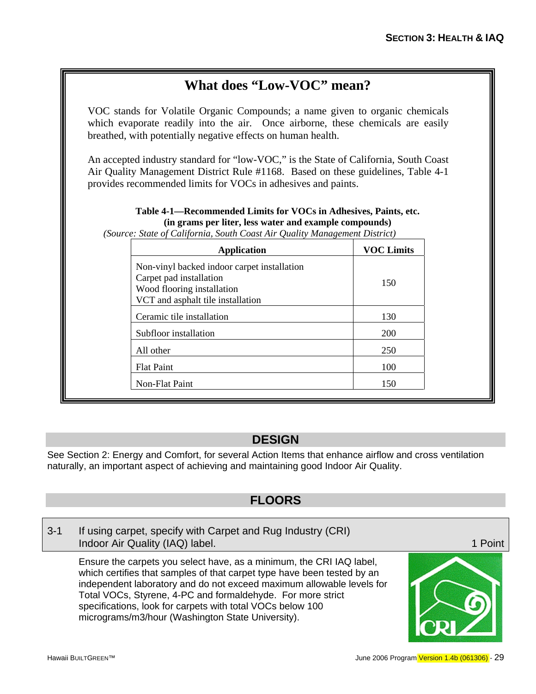## **What does "Low-VOC" mean?**

<span id="page-38-0"></span>VOC stands for Volatile Organic Compounds; a name given to organic chemicals which evaporate readily into the air. Once airborne, these chemicals are easily breathed, with potentially negative effects on human health.

An accepted industry standard for "low-VOC," is the State of California, South Coast Air Quality Management District Rule #1168. Based on these guidelines, Table 4-1 provides recommended limits for VOCs in adhesives and paints.

### **Table 4-1—Recommended Limits for VOCs in Adhesives, Paints, etc. (in grams per liter, less water and example compounds)**

*(Source: State of California, South Coast Air Quality Management District)* 

| <b>Application</b>                                                                                                                        | <b>VOC Limits</b> |
|-------------------------------------------------------------------------------------------------------------------------------------------|-------------------|
| Non-vinyl backed indoor carpet installation<br>Carpet pad installation<br>Wood flooring installation<br>VCT and asphalt tile installation | 150               |
| Ceramic tile installation                                                                                                                 | 130               |
| Subfloor installation                                                                                                                     | 200               |
| All other                                                                                                                                 | 250               |
| <b>Flat Paint</b>                                                                                                                         | 100               |
| Non-Flat Paint                                                                                                                            | 150               |

### **DESIGN**

See Section 2: Energy and Comfort, for several Action Items that enhance airflow and cross ventilation naturally, an important aspect of achieving and maintaining good Indoor Air Quality.

### **FLOORS**

3-1 If using carpet, specify with Carpet and Rug Industry (CRI) Indoor Air Quality (IAQ) label. 1 Point 1 Point 1 Point

Ensure the carpets you select have, as a minimum, the CRI IAQ label, which certifies that samples of that carpet type have been tested by an independent laboratory and do not exceed maximum allowable levels for Total VOCs, Styrene, 4-PC and formaldehyde. For more strict specifications, look for carpets with total VOCs below 100 micrograms/m3/hour (Washington State University).

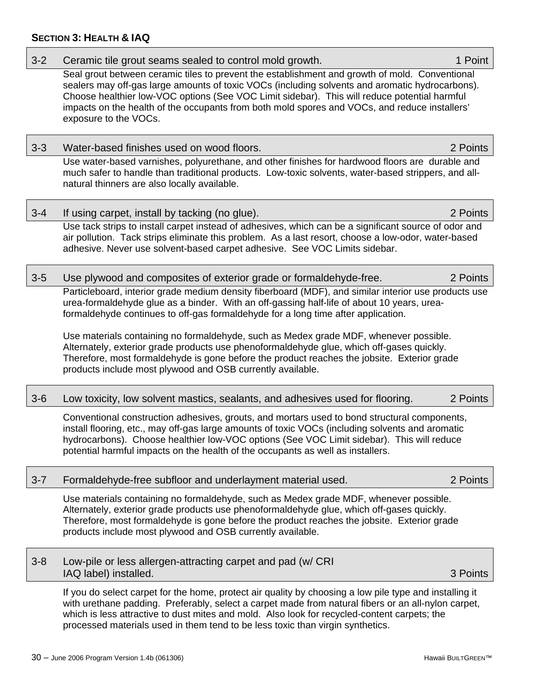### **SECTION 3: HEALTH & IAQ**

| $3 - 2$ | Ceramic tile grout seams sealed to control mold growth.                                                                                                                                                                                                                                                                                                                                                                                                                                                                                                                                                                                    | 1 Point  |
|---------|--------------------------------------------------------------------------------------------------------------------------------------------------------------------------------------------------------------------------------------------------------------------------------------------------------------------------------------------------------------------------------------------------------------------------------------------------------------------------------------------------------------------------------------------------------------------------------------------------------------------------------------------|----------|
|         | Seal grout between ceramic tiles to prevent the establishment and growth of mold. Conventional<br>sealers may off-gas large amounts of toxic VOCs (including solvents and aromatic hydrocarbons).<br>Choose healthier low-VOC options (See VOC Limit sidebar). This will reduce potential harmful<br>impacts on the health of the occupants from both mold spores and VOCs, and reduce installers'<br>exposure to the VOCs.                                                                                                                                                                                                                |          |
| $3 - 3$ | Water-based finishes used on wood floors.                                                                                                                                                                                                                                                                                                                                                                                                                                                                                                                                                                                                  | 2 Points |
|         | Use water-based varnishes, polyurethane, and other finishes for hardwood floors are durable and<br>much safer to handle than traditional products. Low-toxic solvents, water-based strippers, and all-<br>natural thinners are also locally available.                                                                                                                                                                                                                                                                                                                                                                                     |          |
| $3 - 4$ | If using carpet, install by tacking (no glue).                                                                                                                                                                                                                                                                                                                                                                                                                                                                                                                                                                                             | 2 Points |
|         | Use tack strips to install carpet instead of adhesives, which can be a significant source of odor and<br>air pollution. Tack strips eliminate this problem. As a last resort, choose a low-odor, water-based<br>adhesive. Never use solvent-based carpet adhesive. See VOC Limits sidebar.                                                                                                                                                                                                                                                                                                                                                 |          |
| $3-5$   | Use plywood and composites of exterior grade or formaldehyde-free.                                                                                                                                                                                                                                                                                                                                                                                                                                                                                                                                                                         | 2 Points |
|         | Particleboard, interior grade medium density fiberboard (MDF), and similar interior use products use<br>urea-formaldehyde glue as a binder. With an off-gassing half-life of about 10 years, urea-<br>formaldehyde continues to off-gas formaldehyde for a long time after application.<br>Use materials containing no formaldehyde, such as Medex grade MDF, whenever possible.<br>Alternately, exterior grade products use phenoformaldehyde glue, which off-gases quickly.<br>Therefore, most formaldehyde is gone before the product reaches the jobsite. Exterior grade<br>products include most plywood and OSB currently available. |          |
| $3-6$   | Low toxicity, low solvent mastics, sealants, and adhesives used for flooring.                                                                                                                                                                                                                                                                                                                                                                                                                                                                                                                                                              | 2 Points |
|         | Conventional construction adhesives, grouts, and mortars used to bond structural components,<br>install flooring, etc., may off-gas large amounts of toxic VOCs (including solvents and aromatic<br>hydrocarbons). Choose healthier low-VOC options (See VOC Limit sidebar). This will reduce<br>potential harmful impacts on the health of the occupants as well as installers.                                                                                                                                                                                                                                                           |          |
| $3 - 7$ | Formaldehyde-free subfloor and underlayment material used.                                                                                                                                                                                                                                                                                                                                                                                                                                                                                                                                                                                 | 2 Points |
|         | Use materials containing no formaldehyde, such as Medex grade MDF, whenever possible.<br>Alternately, exterior grade products use phenoformaldehyde glue, which off-gases quickly.<br>Therefore, most formaldehyde is gone before the product reaches the jobsite. Exterior grade<br>products include most plywood and OSB currently available.                                                                                                                                                                                                                                                                                            |          |
| $3 - 8$ | Low-pile or less allergen-attracting carpet and pad (w/ CRI<br>IAQ label) installed.                                                                                                                                                                                                                                                                                                                                                                                                                                                                                                                                                       | 3 Points |
|         | If you do select carpet for the home, protect air quality by choosing a low pile type and installing it<br>with urethane padding. Preferably, select a carpet made from natural fibers or an all-nylon carpet,                                                                                                                                                                                                                                                                                                                                                                                                                             |          |

which is less attractive to dust mites and mold. Also look for recycled-content carpets; the

processed materials used in them tend to be less toxic than virgin synthetics.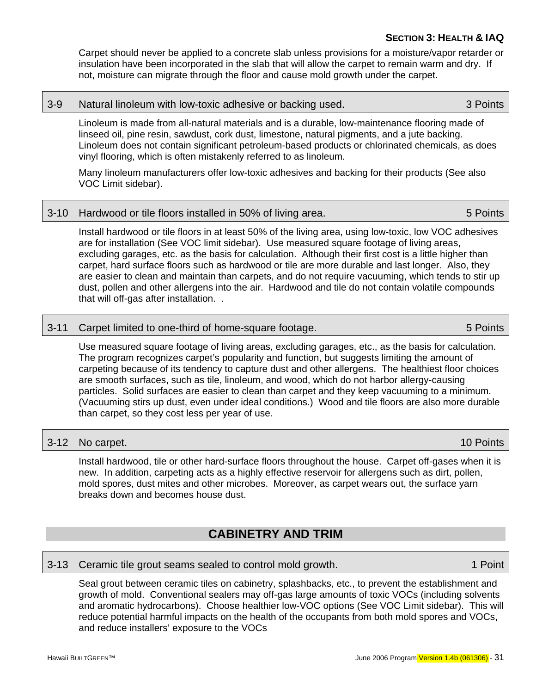### **SECTION 3: HEALTH & IAQ**

<span id="page-40-0"></span>Carpet should never be applied to a concrete slab unless provisions for a moisture/vapor retarder or insulation have been incorporated in the slab that will allow the carpet to remain warm and dry. If not, moisture can migrate through the floor and cause mold growth under the carpet.

#### 3-9 Natural linoleum with low-toxic adhesive or backing used. 3 Points

Linoleum is made from all-natural materials and is a durable, low-maintenance flooring made of linseed oil, pine resin, sawdust, cork dust, limestone, natural pigments, and a jute backing. Linoleum does not contain significant petroleum-based products or chlorinated chemicals, as does vinyl flooring, which is often mistakenly referred to as linoleum.

Many linoleum manufacturers offer low-toxic adhesives and backing for their products (See also VOC Limit sidebar).

### 3-10 Hardwood or tile floors installed in 50% of living area. 5 Points 5 Points

Install hardwood or tile floors in at least 50% of the living area, using low-toxic, low VOC adhesives are for installation (See VOC limit sidebar). Use measured square footage of living areas, excluding garages, etc. as the basis for calculation. Although their first cost is a little higher than carpet, hard surface floors such as hardwood or tile are more durable and last longer. Also, they are easier to clean and maintain than carpets, and do not require vacuuming, which tends to stir up dust, pollen and other allergens into the air. Hardwood and tile do not contain volatile compounds that will off-gas after installation. .

### 3-11 Carpet limited to one-third of home-square footage. 5 Points

Use measured square footage of living areas, excluding garages, etc., as the basis for calculation. The program recognizes carpet's popularity and function, but suggests limiting the amount of carpeting because of its tendency to capture dust and other allergens. The healthiest floor choices are smooth surfaces, such as tile, linoleum, and wood, which do not harbor allergy-causing particles. Solid surfaces are easier to clean than carpet and they keep vacuuming to a minimum. (Vacuuming stirs up dust, even under ideal conditions.) Wood and tile floors are also more durable than carpet, so they cost less per year of use.

#### 3-12 No carpet. 2012 10 Points

Install hardwood, tile or other hard-surface floors throughout the house. Carpet off-gases when it is new. In addition, carpeting acts as a highly effective reservoir for allergens such as dirt, pollen, mold spores, dust mites and other microbes. Moreover, as carpet wears out, the surface yarn breaks down and becomes house dust.

### **CABINETRY AND TRIM**

#### 3-13 Ceramic tile grout seams sealed to control mold growth. 1 1 Point

Seal grout between ceramic tiles on cabinetry, splashbacks, etc., to prevent the establishment and growth of mold. Conventional sealers may off-gas large amounts of toxic VOCs (including solvents and aromatic hydrocarbons). Choose healthier low-VOC options (See VOC Limit sidebar). This will reduce potential harmful impacts on the health of the occupants from both mold spores and VOCs, and reduce installers' exposure to the VOCs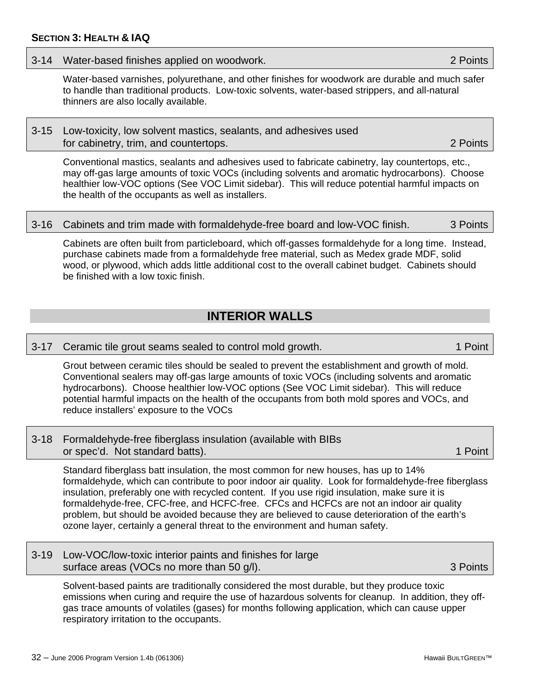### <span id="page-41-0"></span>3-14 Water-based finishes applied on woodwork. 2 Points

Water-based varnishes, polyurethane, and other finishes for woodwork are durable and much safer to handle than traditional products. Low-toxic solvents, water-based strippers, and all-natural thinners are also locally available.

### 3-15 Low-toxicity, low solvent mastics, sealants, and adhesives used for cabinetry, trim, and countertops. **2** Points **2** Points

Conventional mastics, sealants and adhesives used to fabricate cabinetry, lay countertops, etc., may off-gas large amounts of toxic VOCs (including solvents and aromatic hydrocarbons). Choose healthier low-VOC options (See VOC Limit sidebar). This will reduce potential harmful impacts on the health of the occupants as well as installers.

### 3-16 Cabinets and trim made with formaldehyde-free board and low-VOC finish. 3 Points

Cabinets are often built from particleboard, which off-gasses formaldehyde for a long time. Instead, purchase cabinets made from a formaldehyde free material, such as Medex grade MDF, solid wood, or plywood, which adds little additional cost to the overall cabinet budget. Cabinets should be finished with a low toxic finish.

### **INTERIOR WALLS**

3-17 Ceramic tile grout seams sealed to control mold growth. 1 1 Point

Grout between ceramic tiles should be sealed to prevent the establishment and growth of mold. Conventional sealers may off-gas large amounts of toxic VOCs (including solvents and aromatic hydrocarbons). Choose healthier low-VOC options (See VOC Limit sidebar). This will reduce potential harmful impacts on the health of the occupants from both mold spores and VOCs, and reduce installers' exposure to the VOCs

### 3-18 Formaldehyde-free fiberglass insulation (available with BIBs or spec'd. Not standard batts). 1 Point 1 Point 1 Point 1 Point 1 Point 1 Point

Standard fiberglass batt insulation, the most common for new houses, has up to 14% formaldehyde, which can contribute to poor indoor air quality. Look for formaldehyde-free fiberglass insulation, preferably one with recycled content. If you use rigid insulation, make sure it is formaldehyde-free, CFC-free, and HCFC-free. CFCs and HCFCs are not an indoor air quality problem, but should be avoided because they are believed to cause deterioration of the earth's ozone layer, certainly a general threat to the environment and human safety.

### 3-19 Low-VOC/low-toxic interior paints and finishes for large surface areas (VOCs no more than 50 g/l).  $\qquad \qquad$  3 Points

Solvent-based paints are traditionally considered the most durable, but they produce toxic emissions when curing and require the use of hazardous solvents for cleanup. In addition, they offgas trace amounts of volatiles (gases) for months following application, which can cause upper respiratory irritation to the occupants.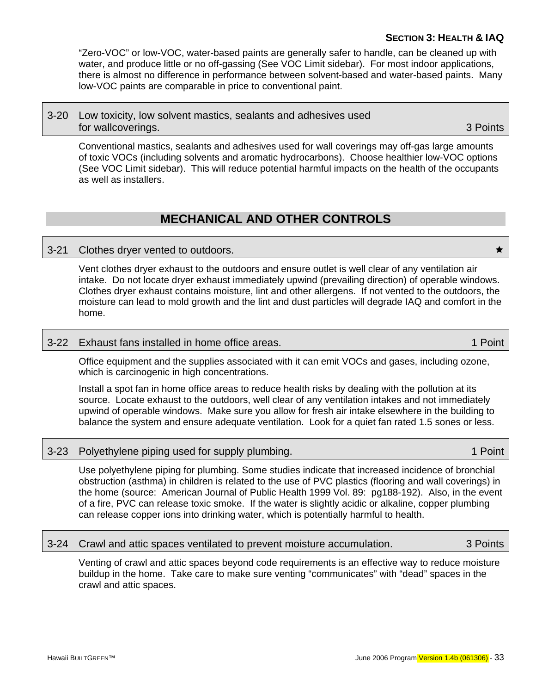### **SECTION 3: HEALTH & IAQ**

<span id="page-42-0"></span>"Zero-VOC" or low-VOC, water-based paints are generally safer to handle, can be cleaned up with water, and produce little or no off-gassing (See VOC Limit sidebar). For most indoor applications, there is almost no difference in performance between solvent-based and water-based paints. Many low-VOC paints are comparable in price to conventional paint.

### 3-20 Low toxicity, low solvent mastics, sealants and adhesives used for wallcoverings. **3 Points**

Conventional mastics, sealants and adhesives used for wall coverings may off-gas large amounts of toxic VOCs (including solvents and aromatic hydrocarbons). Choose healthier low-VOC options (See VOC Limit sidebar). This will reduce potential harmful impacts on the health of the occupants as well as installers.

### **MECHANICAL AND OTHER CONTROLS**

### 3-21 Clothes dryer vented to outdoors.  $\star$

Vent clothes dryer exhaust to the outdoors and ensure outlet is well clear of any ventilation air intake. Do not locate dryer exhaust immediately upwind (prevailing direction) of operable windows. Clothes dryer exhaust contains moisture, lint and other allergens. If not vented to the outdoors, the moisture can lead to mold growth and the lint and dust particles will degrade IAQ and comfort in the home.

### 3-22 Exhaust fans installed in home office areas. 1 Australian 1 Point

Office equipment and the supplies associated with it can emit VOCs and gases, including ozone, which is carcinogenic in high concentrations.

Install a spot fan in home office areas to reduce health risks by dealing with the pollution at its source. Locate exhaust to the outdoors, well clear of any ventilation intakes and not immediately upwind of operable windows. Make sure you allow for fresh air intake elsewhere in the building to balance the system and ensure adequate ventilation. Look for a quiet fan rated 1.5 sones or less.

### 3-23 Polyethylene piping used for supply plumbing. 1 Apr 23 Point 1 Point

Use polyethylene piping for plumbing. Some studies indicate that increased incidence of bronchial obstruction (asthma) in children is related to the use of PVC plastics (flooring and wall coverings) in the home (source: American Journal of Public Health 1999 Vol. 89: pg188-192). Also, in the event of a fire, PVC can release toxic smoke. If the water is slightly acidic or alkaline, copper plumbing can release copper ions into drinking water, which is potentially harmful to health.

#### 3-24 Crawl and attic spaces ventilated to prevent moisture accumulation. 3 Points

Venting of crawl and attic spaces beyond code requirements is an effective way to reduce moisture buildup in the home. Take care to make sure venting "communicates" with "dead" spaces in the crawl and attic spaces.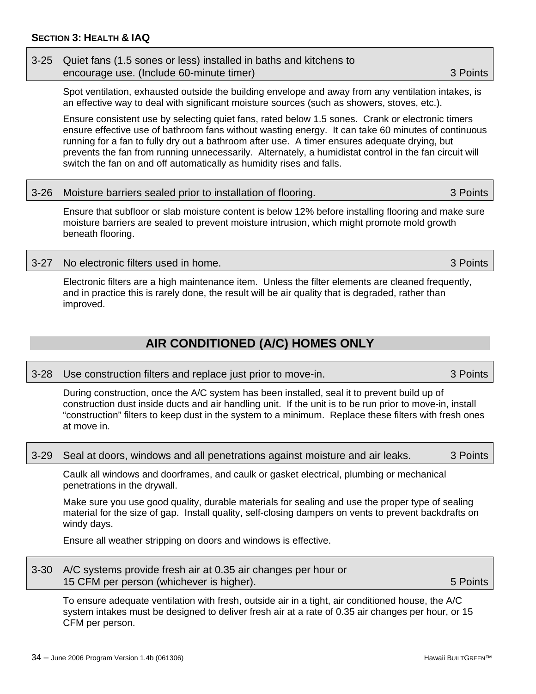### <span id="page-43-0"></span>3-25 Quiet fans (1.5 sones or less) installed in baths and kitchens to encourage use. (Include 60-minute timer) 3 Points

Spot ventilation, exhausted outside the building envelope and away from any ventilation intakes, is an effective way to deal with significant moisture sources (such as showers, stoves, etc.).

Ensure consistent use by selecting quiet fans, rated below 1.5 sones. Crank or electronic timers ensure effective use of bathroom fans without wasting energy. It can take 60 minutes of continuous running for a fan to fully dry out a bathroom after use. A timer ensures adequate drying, but prevents the fan from running unnecessarily. Alternately, a humidistat control in the fan circuit will switch the fan on and off automatically as humidity rises and falls.

|  | 3-26 Moisture barriers sealed prior to installation of flooring. | 3 Points |
|--|------------------------------------------------------------------|----------|
|--|------------------------------------------------------------------|----------|

Ensure that subfloor or slab moisture content is below 12% before installing flooring and make sure moisture barriers are sealed to prevent moisture intrusion, which might promote mold growth beneath flooring.

### 3-27 No electronic filters used in home. 3 Points

Electronic filters are a high maintenance item. Unless the filter elements are cleaned frequently, and in practice this is rarely done, the result will be air quality that is degraded, rather than improved.

### **AIR CONDITIONED (A/C) HOMES ONLY**

3-28 Use construction filters and replace just prior to move-in. 3 Points

During construction, once the A/C system has been installed, seal it to prevent build up of construction dust inside ducts and air handling unit. If the unit is to be run prior to move-in, install "construction" filters to keep dust in the system to a minimum. Replace these filters with fresh ones at move in.

#### 3-29 Seal at doors, windows and all penetrations against moisture and air leaks. 3 Points

Caulk all windows and doorframes, and caulk or gasket electrical, plumbing or mechanical penetrations in the drywall.

Make sure you use good quality, durable materials for sealing and use the proper type of sealing material for the size of gap. Install quality, self-closing dampers on vents to prevent backdrafts on windy days.

Ensure all weather stripping on doors and windows is effective.

| 3-30 A/C systems provide fresh air at 0.35 air changes per hour or |          |
|--------------------------------------------------------------------|----------|
| 15 CFM per person (whichever is higher).                           | 5 Points |

To ensure adequate ventilation with fresh, outside air in a tight, air conditioned house, the A/C system intakes must be designed to deliver fresh air at a rate of 0.35 air changes per hour, or 15 CFM per person.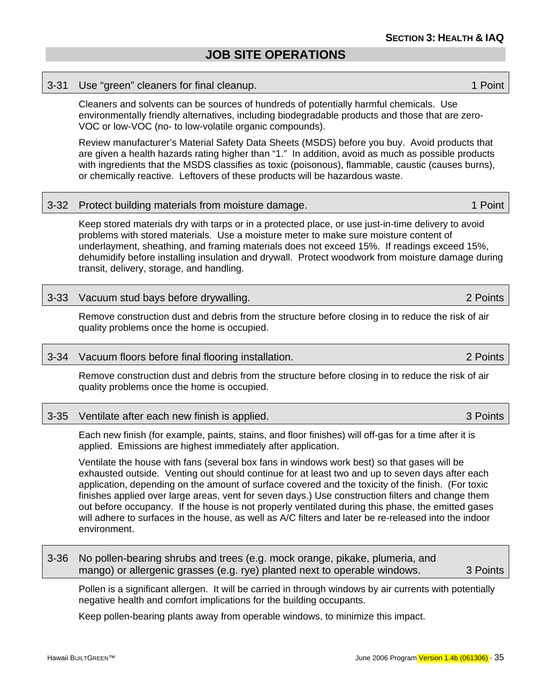#### <span id="page-44-0"></span>3-31 Use "green" cleaners for final cleanup. 1 Point

Cleaners and solvents can be sources of hundreds of potentially harmful chemicals. Use environmentally friendly alternatives, including biodegradable products and those that are zero-VOC or low-VOC (no- to low-volatile organic compounds).

Review manufacturer's Material Safety Data Sheets (MSDS) before you buy. Avoid products that are given a health hazards rating higher than "1." In addition, avoid as much as possible products with ingredients that the MSDS classifies as toxic (poisonous), flammable, caustic (causes burns), or chemically reactive. Leftovers of these products will be hazardous waste.

#### 3-32 Protect building materials from moisture damage. 1 1 Point

Keep stored materials dry with tarps or in a protected place, or use just-in-time delivery to avoid problems with stored materials. Use a moisture meter to make sure moisture content of underlayment, sheathing, and framing materials does not exceed 15%. If readings exceed 15%, dehumidify before installing insulation and drywall. Protect woodwork from moisture damage during transit, delivery, storage, and handling.

### 3-33 Vacuum stud bays before drywalling. 2 Points

Remove construction dust and debris from the structure before closing in to reduce the risk of air quality problems once the home is occupied.

#### 3-34 Vacuum floors before final flooring installation. 2 Points

Remove construction dust and debris from the structure before closing in to reduce the risk of air quality problems once the home is occupied.

#### 3-35 Ventilate after each new finish is applied. 3 Points

Each new finish (for example, paints, stains, and floor finishes) will off-gas for a time after it is applied. Emissions are highest immediately after application.

Ventilate the house with fans (several box fans in windows work best) so that gases will be exhausted outside. Venting out should continue for at least two and up to seven days after each application, depending on the amount of surface covered and the toxicity of the finish. (For toxic finishes applied over large areas, vent for seven days.) Use construction filters and change them out before occupancy. If the house is not properly ventilated during this phase, the emitted gases will adhere to surfaces in the house, as well as A/C filters and later be re-released into the indoor environment.

### 3-36 No pollen-bearing shrubs and trees (e.g. mock orange, pikake, plumeria, and mango) or allergenic grasses (e.g. rye) planted next to operable windows. 3 Points

Pollen is a significant allergen. It will be carried in through windows by air currents with potentially negative health and comfort implications for the building occupants.

Keep pollen-bearing plants away from operable windows, to minimize this impact.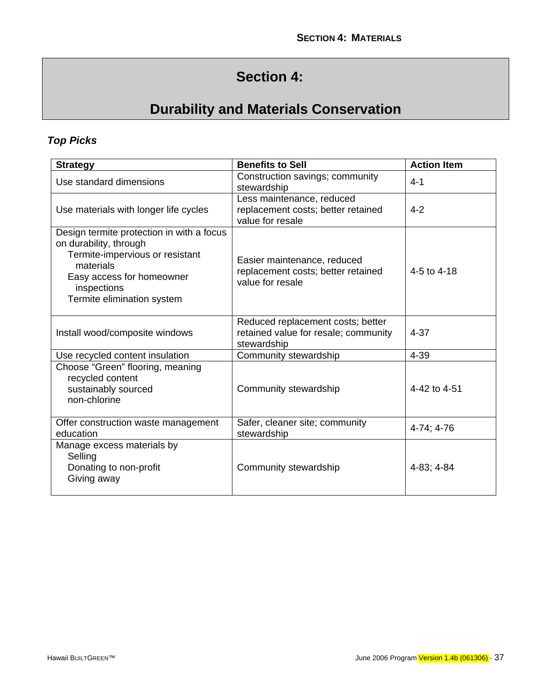# **Section 4:**

# **Durability and Materials Conservation**

### <span id="page-46-0"></span>*Top Picks*

| <b>Strategy</b>                                                                                                                                                                               | <b>Benefits to Sell</b>                                                                  | <b>Action Item</b> |
|-----------------------------------------------------------------------------------------------------------------------------------------------------------------------------------------------|------------------------------------------------------------------------------------------|--------------------|
| Use standard dimensions                                                                                                                                                                       | Construction savings; community<br>stewardship                                           | $4 - 1$            |
| Use materials with longer life cycles                                                                                                                                                         | Less maintenance, reduced<br>replacement costs; better retained<br>value for resale      | $4 - 2$            |
| Design termite protection in with a focus<br>on durability, through<br>Termite-impervious or resistant<br>materials<br>Easy access for homeowner<br>inspections<br>Termite elimination system | Easier maintenance, reduced<br>replacement costs; better retained<br>value for resale    | 4-5 to 4-18        |
| Install wood/composite windows                                                                                                                                                                | Reduced replacement costs; better<br>retained value for resale; community<br>stewardship | $4 - 37$           |
| Use recycled content insulation                                                                                                                                                               | Community stewardship                                                                    | $4 - 39$           |
| Choose "Green" flooring, meaning<br>recycled content<br>sustainably sourced<br>non-chlorine                                                                                                   | Community stewardship                                                                    | 4-42 to 4-51       |
| Offer construction waste management<br>education                                                                                                                                              | Safer, cleaner site; community<br>stewardship                                            | 4-74; 4-76         |
| Manage excess materials by<br>Selling<br>Donating to non-profit<br>Giving away                                                                                                                | Community stewardship                                                                    | 4-83; 4-84         |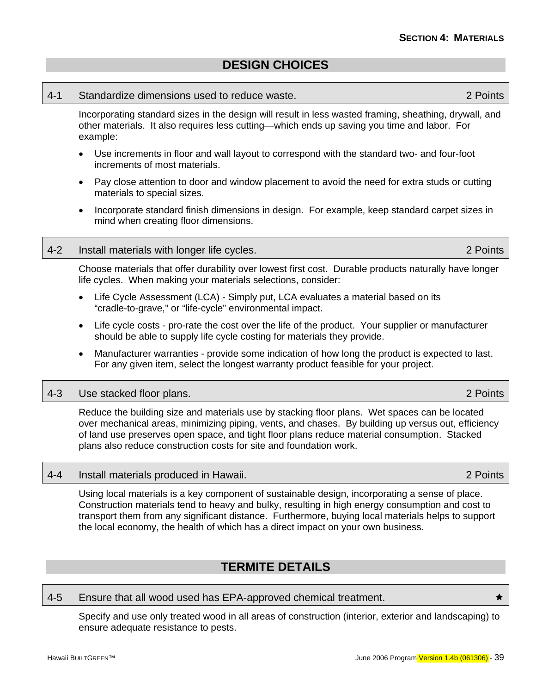### **DESIGN CHOICES**

#### <span id="page-48-0"></span>4-1 Standardize dimensions used to reduce waste. 2 Points

Incorporating standard sizes in the design will result in less wasted framing, sheathing, drywall, and other materials. It also requires less cutting—which ends up saving you time and labor. For example:

- Use increments in floor and wall layout to correspond with the standard two- and four-foot increments of most materials.
- Pay close attention to door and window placement to avoid the need for extra studs or cutting materials to special sizes.
- Incorporate standard finish dimensions in design. For example, keep standard carpet sizes in mind when creating floor dimensions.

### 4-2 Install materials with longer life cycles. 2 Points

Choose materials that offer durability over lowest first cost. Durable products naturally have longer life cycles. When making your materials selections, consider:

- Life Cycle Assessment (LCA) Simply put, LCA evaluates a material based on its "cradle-to-grave," or "life-cycle" environmental impact.
- Life cycle costs pro-rate the cost over the life of the product. Your supplier or manufacturer should be able to supply life cycle costing for materials they provide.
- Manufacturer warranties provide some indication of how long the product is expected to last. For any given item, select the longest warranty product feasible for your project.

### 4-3 Use stacked floor plans. 2 Points

Reduce the building size and materials use by stacking floor plans. Wet spaces can be located over mechanical areas, minimizing piping, vents, and chases. By building up versus out, efficiency of land use preserves open space, and tight floor plans reduce material consumption. Stacked plans also reduce construction costs for site and foundation work.

#### 4-4 Install materials produced in Hawaii. 2 Points

Using local materials is a key component of sustainable design, incorporating a sense of place. Construction materials tend to heavy and bulky, resulting in high energy consumption and cost to transport them from any significant distance. Furthermore, buying local materials helps to support the local economy, the health of which has a direct impact on your own business.

### **TERMITE DETAILS**

#### 4-5 Ensure that all wood used has EPA-approved chemical treatment.

Specify and use only treated wood in all areas of construction (interior, exterior and landscaping) to ensure adequate resistance to pests.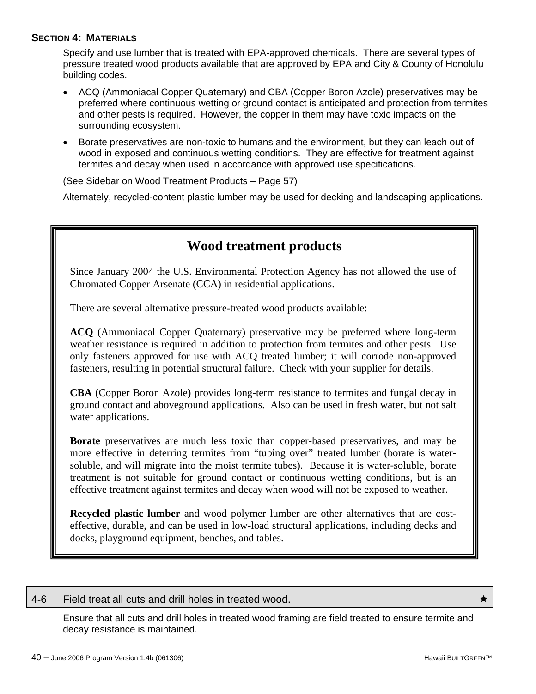### **SECTION 4: MATERIALS**

Specify and use lumber that is treated with EPA-approved chemicals. There are several types of pressure treated wood products available that are approved by EPA and City & County of Honolulu building codes.

- ACQ (Ammoniacal Copper Quaternary) and CBA (Copper Boron Azole) preservatives may be preferred where continuous wetting or ground contact is anticipated and protection from termites and other pests is required. However, the copper in them may have toxic impacts on the surrounding ecosystem.
- Borate preservatives are non-toxic to humans and the environment, but they can leach out of wood in exposed and continuous wetting conditions. They are effective for treatment against termites and decay when used in accordance with approved use specifications.

(See Sidebar on Wood Treatment Products – Page 57)

Alternately, recycled-content plastic lumber may be used for decking and landscaping applications.

### **Wood treatment products**

Since January 2004 the U.S. Environmental Protection Agency has not allowed the use of Chromated Copper Arsenate (CCA) in residential applications.

There are several alternative pressure-treated wood products available:

**ACQ** (Ammoniacal Copper Quaternary) preservative may be preferred where long-term weather resistance is required in addition to protection from termites and other pests. Use only fasteners approved for use with ACQ treated lumber; it will corrode non-approved fasteners, resulting in potential structural failure. Check with your supplier for details.

**CBA** (Copper Boron Azole) provides long-term resistance to termites and fungal decay in ground contact and aboveground applications. Also can be used in fresh water, but not salt water applications.

**Borate** preservatives are much less toxic than copper-based preservatives, and may be more effective in deterring termites from "tubing over" treated lumber (borate is watersoluble, and will migrate into the moist termite tubes). Because it is water-soluble, borate treatment is not suitable for ground contact or continuous wetting conditions, but is an effective treatment against termites and decay when wood will not be exposed to weather.

**Recycled plastic lumber** and wood polymer lumber are other alternatives that are costeffective, durable, and can be used in low-load structural applications, including decks and docks, playground equipment, benches, and tables.

#### 4-6 Field treat all cuts and drill holes in treated wood.  $\star$

Ensure that all cuts and drill holes in treated wood framing are field treated to ensure termite and decay resistance is maintained.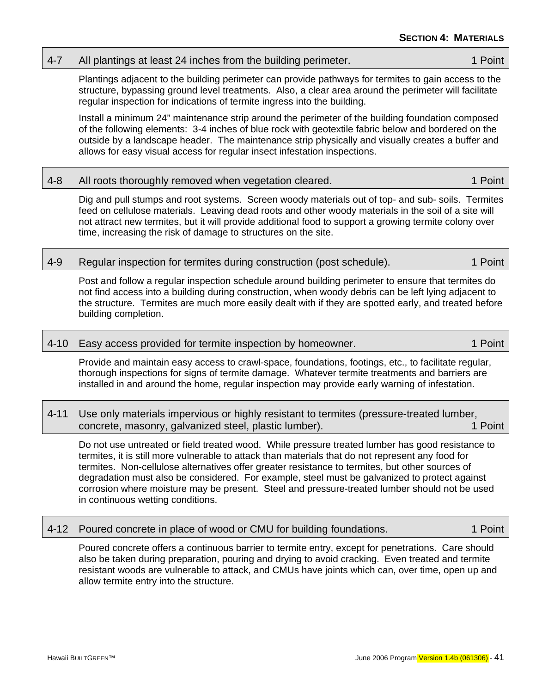Dig and pull stumps and root systems. Screen woody materials out of top- and sub- soils. Termites feed on cellulose materials. Leaving dead roots and other woody materials in the soil of a site will not attract new termites, but it will provide additional food to support a growing termite colony over time, increasing the risk of damage to structures on the site.

4-7 All plantings at least 24 inches from the building perimeter. 1 All plantings at least 24 inches from the building perimeter.

Plantings adjacent to the building perimeter can provide pathways for termites to gain access to the

Install a minimum 24" maintenance strip around the perimeter of the building foundation composed of the following elements: 3-4 inches of blue rock with geotextile fabric below and bordered on the outside by a landscape header. The maintenance strip physically and visually creates a buffer and

### 4-9 Regular inspection for termites during construction (post schedule). 1 Point

regular inspection for indications of termite ingress into the building.

allows for easy visual access for regular insect infestation inspections.

Post and follow a regular inspection schedule around building perimeter to ensure that termites do not find access into a building during construction, when woody debris can be left lying adjacent to the structure. Termites are much more easily dealt with if they are spotted early, and treated before building completion.

### 4-10 Easy access provided for termite inspection by homeowner. 1 1 Point

Provide and maintain easy access to crawl-space, foundations, footings, etc., to facilitate regular, thorough inspections for signs of termite damage. Whatever termite treatments and barriers are installed in and around the home, regular inspection may provide early warning of infestation.

### 4-11 Use only materials impervious or highly resistant to termites (pressure-treated lumber, concrete, masonry, galvanized steel, plastic lumber). 1 Point

Do not use untreated or field treated wood. While pressure treated lumber has good resistance to termites, it is still more vulnerable to attack than materials that do not represent any food for termites. Non-cellulose alternatives offer greater resistance to termites, but other sources of degradation must also be considered. For example, steel must be galvanized to protect against corrosion where moisture may be present. Steel and pressure-treated lumber should not be used in continuous wetting conditions.

### 4-12 Poured concrete in place of wood or CMU for building foundations. 1 Point

Poured concrete offers a continuous barrier to termite entry, except for penetrations. Care should also be taken during preparation, pouring and drying to avoid cracking. Even treated and termite resistant woods are vulnerable to attack, and CMUs have joints which can, over time, open up and allow termite entry into the structure.

structure, bypassing ground level treatments. Also, a clear area around the perimeter will facilitate

4-8 All roots thoroughly removed when vegetation cleared. 1 November 2012 1 Point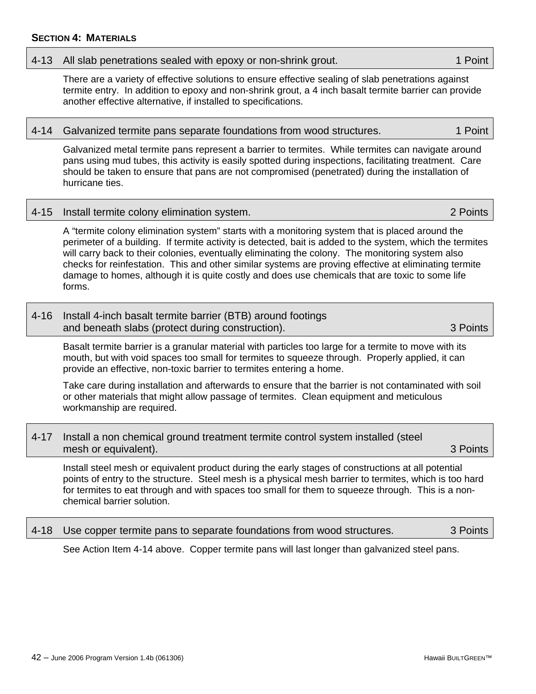### 4-13 All slab penetrations sealed with epoxy or non-shrink grout. 1 1 Point

There are a variety of effective solutions to ensure effective sealing of slab penetrations against termite entry. In addition to epoxy and non-shrink grout, a 4 inch basalt termite barrier can provide another effective alternative, if installed to specifications.

#### 4-14 Galvanized termite pans separate foundations from wood structures. 1 Point

Galvanized metal termite pans represent a barrier to termites. While termites can navigate around pans using mud tubes, this activity is easily spotted during inspections, facilitating treatment. Care should be taken to ensure that pans are not compromised (penetrated) during the installation of hurricane ties.

#### 4-15 Install termite colony elimination system. 2 Points

A "termite colony elimination system" starts with a monitoring system that is placed around the perimeter of a building. If termite activity is detected, bait is added to the system, which the termites will carry back to their colonies, eventually eliminating the colony. The monitoring system also checks for reinfestation. This and other similar systems are proving effective at eliminating termite damage to homes, although it is quite costly and does use chemicals that are toxic to some life forms.

| 4-16 Install 4-inch basalt termite barrier (BTB) around footings |          |
|------------------------------------------------------------------|----------|
| and beneath slabs (protect during construction).                 | 3 Points |

Basalt termite barrier is a granular material with particles too large for a termite to move with its mouth, but with void spaces too small for termites to squeeze through. Properly applied, it can provide an effective, non-toxic barrier to termites entering a home.

Take care during installation and afterwards to ensure that the barrier is not contaminated with soil or other materials that might allow passage of termites. Clean equipment and meticulous workmanship are required.

### 4-17 Install a non chemical ground treatment termite control system installed (steel mesh or equivalent). **3 Points**  $\sim$  3 Points  $\sim$  3 Points  $\sim$  3 Points

Install steel mesh or equivalent product during the early stages of constructions at all potential points of entry to the structure. Steel mesh is a physical mesh barrier to termites, which is too hard for termites to eat through and with spaces too small for them to squeeze through. This is a nonchemical barrier solution.

### 4-18 Use copper termite pans to separate foundations from wood structures. 3 Points

See Action Item 4-14 above. Copper termite pans will last longer than galvanized steel pans.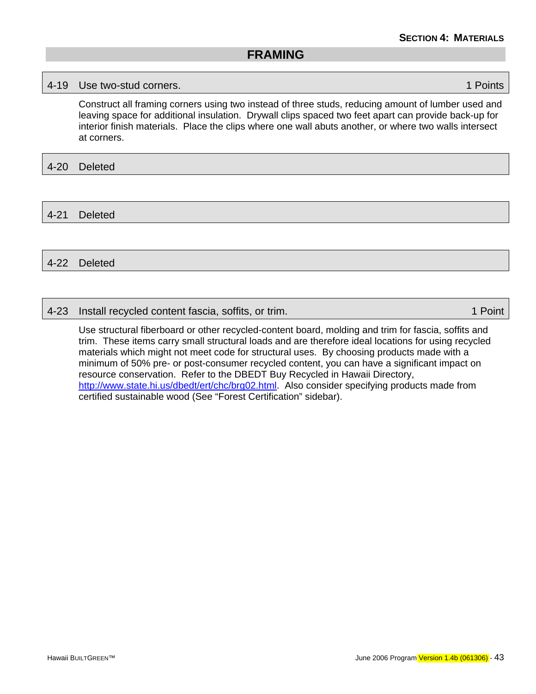### <span id="page-52-0"></span>4-19 Use two-stud corners. 1 Points

Construct all framing corners using two instead of three studs, reducing amount of lumber used and leaving space for additional insulation. Drywall clips spaced two feet apart can provide back-up for interior finish materials. Place the clips where one wall abuts another, or where two walls intersect at corners.

### 4-20 Deleted

4-21 Deleted

### 4-22 Deleted

### 4-23 Install recycled content fascia, soffits, or trim. 1 Am and 23 Install recycled content fascia, soffits, or trim.

Use structural fiberboard or other recycled-content board, molding and trim for fascia, soffits and trim. These items carry small structural loads and are therefore ideal locations for using recycled materials which might not meet code for structural uses. By choosing products made with a minimum of 50% pre- or post-consumer recycled content, you can have a significant impact on resource conservation. Refer to the DBEDT Buy Recycled in Hawaii Directory, <http://www.state.hi.us/dbedt/ert/chc/brg02.html>. Also consider specifying products made from certified sustainable wood (See "Forest Certification" sidebar).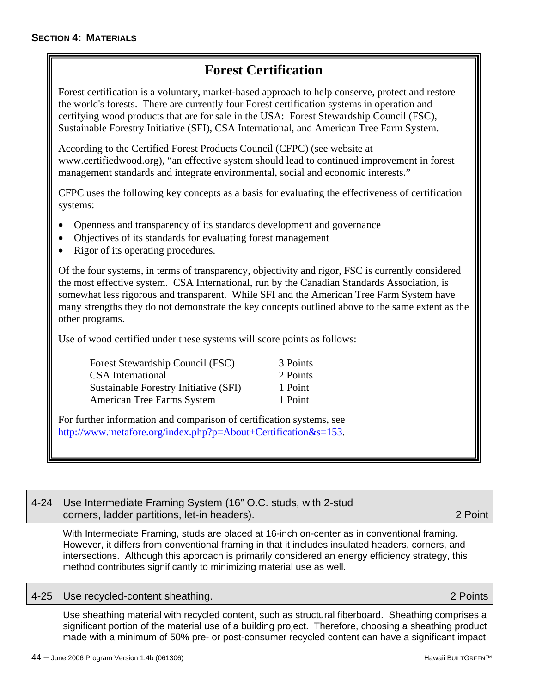## **Forest Certification**

Forest certification is a voluntary, market-based approach to help conserve, protect and restore the world's forests. There are currently four Forest certification systems in operation and certifying wood products that are for sale in the USA: Forest Stewardship Council (FSC), Sustainable Forestry Initiative (SFI), CSA International, and American Tree Farm System.

According to the Certified Forest Products Council (CFPC) (see website at www.certifiedwood.org), "an effective system should lead to continued improvement in forest management standards and integrate environmental, social and economic interests."

CFPC uses the following key concepts as a basis for evaluating the effectiveness of certification systems:

- Openness and transparency of its standards development and governance
- Objectives of its standards for evaluating forest management
- Rigor of its operating procedures.

Of the four systems, in terms of transparency, objectivity and rigor, FSC is currently considered the most effective system. CSA International, run by the Canadian Standards Association, is somewhat less rigorous and transparent. While SFI and the American Tree Farm System have many strengths they do not demonstrate the key concepts outlined above to the same extent as the other programs.

Use of wood certified under these systems will score points as follows:

Forest Stewardship Council (FSC) 3 Points CSA International 2 Points Sustainable Forestry Initiative (SFI) 1 Point American Tree Farms System 1 Point

For further information and comparison of certification systems, see <http://www.metafore.org/index.php?p=About+Certification&s=153>.

### 4-24 Use Intermediate Framing System (16" O.C. studs, with 2-stud corners, ladder partitions, let-in headers). 2 Point

With Intermediate Framing, studs are placed at 16-inch on-center as in conventional framing. However, it differs from conventional framing in that it includes insulated headers, corners, and intersections. Although this approach is primarily considered an energy efficiency strategy, this method contributes significantly to minimizing material use as well.

### 4-25 Use recycled-content sheathing. 2 Points

Use sheathing material with recycled content, such as structural fiberboard. Sheathing comprises a significant portion of the material use of a building project. Therefore, choosing a sheathing product made with a minimum of 50% pre- or post-consumer recycled content can have a significant impact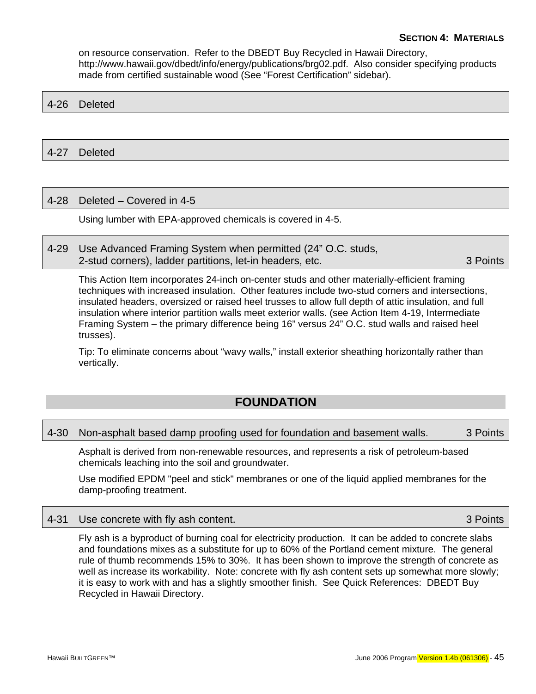<span id="page-54-0"></span>on resource conservation. Refer to the DBEDT Buy Recycled in Hawaii Directory, http://www.hawaii.gov/dbedt/info/energy/publications/brg02.pdf. Also consider specifying products made from certified sustainable wood (See "Forest Certification" sidebar).

### 4-26 Deleted

### 4-27 Deleted

### 4-28 Deleted – Covered in 4-5

Using lumber with EPA-approved chemicals is covered in 4-5.

4-29 Use Advanced Framing System when permitted (24" O.C. studs, 2-stud corners), ladder partitions, let-in headers, etc. 3 Points

This Action Item incorporates 24-inch on-center studs and other materially-efficient framing techniques with increased insulation. Other features include two-stud corners and intersections, insulated headers, oversized or raised heel trusses to allow full depth of attic insulation, and full insulation where interior partition walls meet exterior walls. (see Action Item 4-19, Intermediate Framing System – the primary difference being 16" versus 24" O.C. stud walls and raised heel trusses).

Tip: To eliminate concerns about "wavy walls," install exterior sheathing horizontally rather than vertically.

### **FOUNDATION**

#### 4-30 Non-asphalt based damp proofing used for foundation and basement walls. 3 Points

Asphalt is derived from non-renewable resources, and represents a risk of petroleum-based chemicals leaching into the soil and groundwater.

Use modified EPDM "peel and stick" membranes or one of the liquid applied membranes for the damp-proofing treatment.

#### 4-31 Use concrete with fly ash content. **3 Points** 3 Points

Fly ash is a byproduct of burning coal for electricity production. It can be added to concrete slabs and foundations mixes as a substitute for up to 60% of the Portland cement mixture. The general rule of thumb recommends 15% to 30%. It has been shown to improve the strength of concrete as well as increase its workability. Note: concrete with fly ash content sets up somewhat more slowly; it is easy to work with and has a slightly smoother finish. See Quick References: DBEDT Buy Recycled in Hawaii Directory.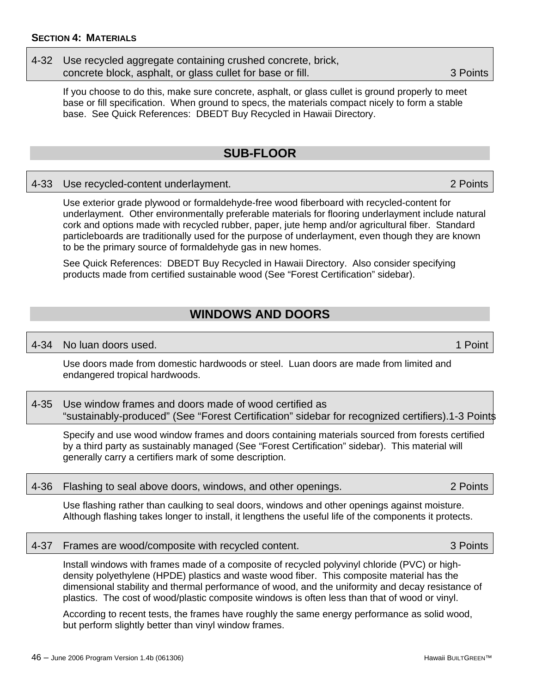### <span id="page-55-0"></span>4-32 Use recycled aggregate containing crushed concrete, brick, concrete block, asphalt, or glass cullet for base or fill. 3 Points

If you choose to do this, make sure concrete, asphalt, or glass cullet is ground properly to meet base or fill specification. When ground to specs, the materials compact nicely to form a stable base. See Quick References: DBEDT Buy Recycled in Hawaii Directory.

### **SUB-FLOOR**

### 4-33 Use recycled-content underlayment. 2 Points

Use exterior grade plywood or formaldehyde-free wood fiberboard with recycled-content for underlayment. Other environmentally preferable materials for flooring underlayment include natural cork and options made with recycled rubber, paper, jute hemp and/or agricultural fiber. Standard particleboards are traditionally used for the purpose of underlayment, even though they are known to be the primary source of formaldehyde gas in new homes.

See Quick References: DBEDT Buy Recycled in Hawaii Directory. Also consider specifying products made from certified sustainable wood (See "Forest Certification" sidebar).

## **WINDOWS AND DOORS**

### 4-34 No luan doors used. 1 Point

Use doors made from domestic hardwoods or steel. Luan doors are made from limited and endangered tropical hardwoods.

4-35 Use window frames and doors made of wood certified as "sustainably-produced" (See "Forest Certification" sidebar for recognized certifiers).1-3 Points

Specify and use wood window frames and doors containing materials sourced from forests certified by a third party as sustainably managed (See "Forest Certification" sidebar). This material will generally carry a certifiers mark of some description.

|  | 4-36 Flashing to seal above doors, windows, and other openings. | 2 Points |
|--|-----------------------------------------------------------------|----------|
|--|-----------------------------------------------------------------|----------|

Use flashing rather than caulking to seal doors, windows and other openings against moisture. Although flashing takes longer to install, it lengthens the useful life of the components it protects.

### 4-37 Frames are wood/composite with recycled content. 3 Points

Install windows with frames made of a composite of recycled polyvinyl chloride (PVC) or highdensity polyethylene (HPDE) plastics and waste wood fiber. This composite material has the dimensional stability and thermal performance of wood, and the uniformity and decay resistance of plastics. The cost of wood/plastic composite windows is often less than that of wood or vinyl.

According to recent tests, the frames have roughly the same energy performance as solid wood, but perform slightly better than vinyl window frames.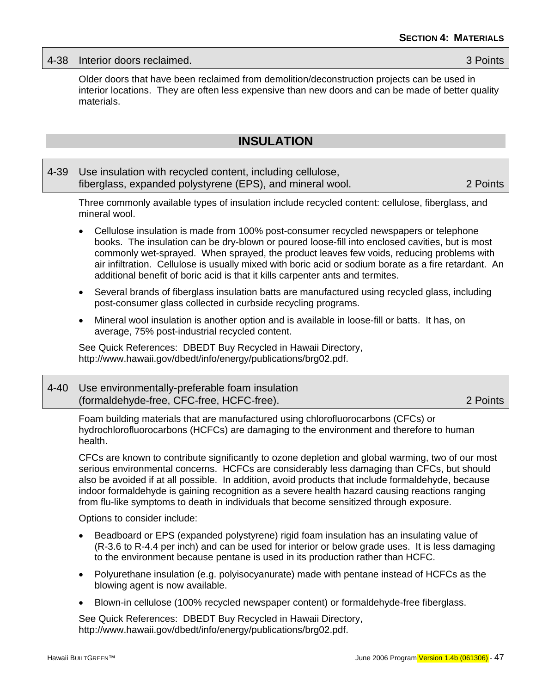<span id="page-56-0"></span>

|  | 4-38 Interior doors reclaimed. | 3 Points |
|--|--------------------------------|----------|
|--|--------------------------------|----------|

Older doors that have been reclaimed from demolition/deconstruction projects can be used in interior locations. They are often less expensive than new doors and can be made of better quality materials.

### **INSULATION**

### 4-39 Use insulation with recycled content, including cellulose, fiberglass, expanded polystyrene (EPS), and mineral wool. 2 Points

Three commonly available types of insulation include recycled content: cellulose, fiberglass, and mineral wool.

- Cellulose insulation is made from 100% post-consumer recycled newspapers or telephone books. The insulation can be dry-blown or poured loose-fill into enclosed cavities, but is most commonly wet-sprayed. When sprayed, the product leaves few voids, reducing problems with air infiltration. Cellulose is usually mixed with boric acid or sodium borate as a fire retardant. An additional benefit of boric acid is that it kills carpenter ants and termites.
- Several brands of fiberglass insulation batts are manufactured using recycled glass, including post-consumer glass collected in curbside recycling programs.
- Mineral wool insulation is another option and is available in loose-fill or batts. It has, on average, 75% post-industrial recycled content.

See Quick References: DBEDT Buy Recycled in Hawaii Directory, http://www.hawaii.gov/dbedt/info/energy/publications/brg02.pdf.

| 4-40 Use environmentally-preferable foam insulation |          |
|-----------------------------------------------------|----------|
| (formaldehyde-free, CFC-free, HCFC-free).           | 2 Points |

Foam building materials that are manufactured using chlorofluorocarbons (CFCs) or hydrochlorofluorocarbons (HCFCs) are damaging to the environment and therefore to human health.

CFCs are known to contribute significantly to ozone depletion and global warming, two of our most serious environmental concerns. HCFCs are considerably less damaging than CFCs, but should also be avoided if at all possible. In addition, avoid products that include formaldehyde, because indoor formaldehyde is gaining recognition as a severe health hazard causing reactions ranging from flu-like symptoms to death in individuals that become sensitized through exposure.

Options to consider include:

- Beadboard or EPS (expanded polystyrene) rigid foam insulation has an insulating value of (R-3.6 to R-4.4 per inch) and can be used for interior or below grade uses. It is less damaging to the environment because pentane is used in its production rather than HCFC.
- Polyurethane insulation (e.g. polyisocyanurate) made with pentane instead of HCFCs as the blowing agent is now available.
- Blown-in cellulose (100% recycled newspaper content) or formaldehyde-free fiberglass.

See Quick References: DBEDT Buy Recycled in Hawaii Directory, http://www.hawaii.gov/dbedt/info/energy/publications/brg02.pdf.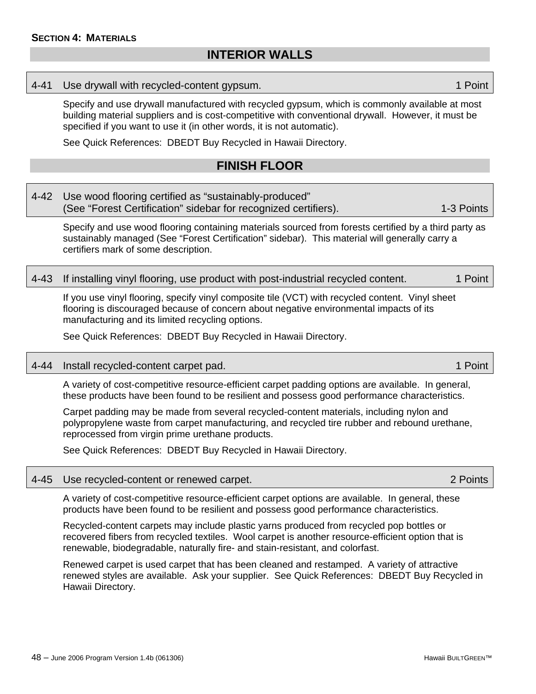### **INTERIOR WALLS**

#### <span id="page-57-0"></span>4-41 Use drywall with recycled-content gypsum.

Specify and use drywall manufactured with recycled gypsum, which is commonly available at most building material suppliers and is cost-competitive with conventional drywall. However, it must be specified if you want to use it (in other words, it is not automatic).

See Quick References: DBEDT Buy Recycled in Hawaii Directory.

### **FINISH FLOOR**

| 4-42 Use wood flooring certified as "sustainably-produced"      |            |
|-----------------------------------------------------------------|------------|
| (See "Forest Certification" sidebar for recognized certifiers). | 1-3 Points |

Specify and use wood flooring containing materials sourced from forests certified by a third party as sustainably managed (See "Forest Certification" sidebar). This material will generally carry a certifiers mark of some description.

### 4-43 If installing vinyl flooring, use product with post-industrial recycled content. 1 Point

If you use vinyl flooring, specify vinyl composite tile (VCT) with recycled content. Vinyl sheet flooring is discouraged because of concern about negative environmental impacts of its manufacturing and its limited recycling options.

See Quick References: DBEDT Buy Recycled in Hawaii Directory.

### 4-44 Install recycled-content carpet pad. 1 Point

A variety of cost-competitive resource-efficient carpet padding options are available. In general, these products have been found to be resilient and possess good performance characteristics.

Carpet padding may be made from several recycled-content materials, including nylon and polypropylene waste from carpet manufacturing, and recycled tire rubber and rebound urethane, reprocessed from virgin prime urethane products.

See Quick References: DBEDT Buy Recycled in Hawaii Directory.

#### 4-45 Use recycled-content or renewed carpet. 2 Points

A variety of cost-competitive resource-efficient carpet options are available. In general, these products have been found to be resilient and possess good performance characteristics.

Recycled-content carpets may include plastic yarns produced from recycled pop bottles or recovered fibers from recycled textiles. Wool carpet is another resource-efficient option that is renewable, biodegradable, naturally fire- and stain-resistant, and colorfast.

Renewed carpet is used carpet that has been cleaned and restamped. A variety of attractive renewed styles are available. Ask your supplier. See Quick References: DBEDT Buy Recycled in Hawaii Directory.

 $48 -$  June 2006 Program Version 1.4b (061306) Hawaii BUILTGREEN™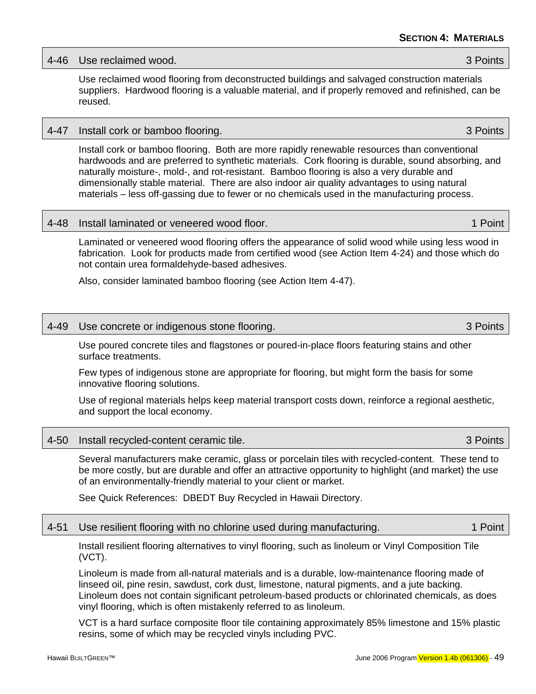### 4-46 Use reclaimed wood. 3 Points

Use reclaimed wood flooring from deconstructed buildings and salvaged construction materials suppliers. Hardwood flooring is a valuable material, and if properly removed and refinished, can be reused.

### 4-47 Install cork or bamboo flooring. 3 Points

Install cork or bamboo flooring. Both are more rapidly renewable resources than conventional hardwoods and are preferred to synthetic materials. Cork flooring is durable, sound absorbing, and naturally moisture-, mold-, and rot-resistant. Bamboo flooring is also a very durable and dimensionally stable material. There are also indoor air quality advantages to using natural materials – less off-gassing due to fewer or no chemicals used in the manufacturing process.

### 4-48 Install laminated or veneered wood floor. 1 Point

Laminated or veneered wood flooring offers the appearance of solid wood while using less wood in fabrication. Look for products made from certified wood (see Action Item 4-24) and those which do not contain urea formaldehyde-based adhesives.

Also, consider laminated bamboo flooring (see Action Item 4-47).

### 4-49 Use concrete or indigenous stone flooring. 3 Points

Use poured concrete tiles and flagstones or poured-in-place floors featuring stains and other surface treatments.

Few types of indigenous stone are appropriate for flooring, but might form the basis for some innovative flooring solutions.

Use of regional materials helps keep material transport costs down, reinforce a regional aesthetic, and support the local economy.

### 4-50 Install recycled-content ceramic tile. 3 Points

Several manufacturers make ceramic, glass or porcelain tiles with recycled-content. These tend to be more costly, but are durable and offer an attractive opportunity to highlight (and market) the use of an environmentally-friendly material to your client or market.

See Quick References: DBEDT Buy Recycled in Hawaii Directory.

### 4-51 Use resilient flooring with no chlorine used during manufacturing. 4-51 Use resilient 1 Point

Install resilient flooring alternatives to vinyl flooring, such as linoleum or Vinyl Composition Tile (VCT).

Linoleum is made from all-natural materials and is a durable, low-maintenance flooring made of linseed oil, pine resin, sawdust, cork dust, limestone, natural pigments, and a jute backing. Linoleum does not contain significant petroleum-based products or chlorinated chemicals, as does vinyl flooring, which is often mistakenly referred to as linoleum.

VCT is a hard surface composite floor tile containing approximately 85% limestone and 15% plastic resins, some of which may be recycled vinyls including PVC.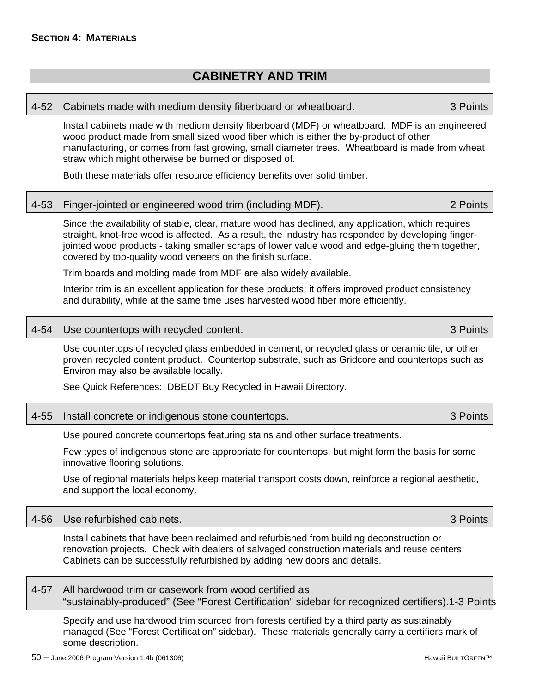### **CABINETRY AND TRIM**

#### <span id="page-59-0"></span>4-52 Cabinets made with medium density fiberboard or wheatboard. 3 Points

Install cabinets made with medium density fiberboard (MDF) or wheatboard. MDF is an engineered wood product made from small sized wood fiber which is either the by-product of other manufacturing, or comes from fast growing, small diameter trees. Wheatboard is made from wheat straw which might otherwise be burned or disposed of.

Both these materials offer resource efficiency benefits over solid timber.

### 4-53 Finger-jointed or engineered wood trim (including MDF). 2 Points

Since the availability of stable, clear, mature wood has declined, any application, which requires straight, knot-free wood is affected. As a result, the industry has responded by developing fingerjointed wood products - taking smaller scraps of lower value wood and edge-gluing them together, covered by top-quality wood veneers on the finish surface.

Trim boards and molding made from MDF are also widely available.

Interior trim is an excellent application for these products; it offers improved product consistency and durability, while at the same time uses harvested wood fiber more efficiently.

### 4-54 Use countertops with recycled content. 3 Points

Use countertops of recycled glass embedded in cement, or recycled glass or ceramic tile, or other proven recycled content product. Countertop substrate, such as Gridcore and countertops such as Environ may also be available locally.

See Quick References: DBEDT Buy Recycled in Hawaii Directory.

|  | 4-55 Install concrete or indigenous stone countertops. | 3 Points |
|--|--------------------------------------------------------|----------|
|--|--------------------------------------------------------|----------|

Use poured concrete countertops featuring stains and other surface treatments.

Few types of indigenous stone are appropriate for countertops, but might form the basis for some innovative flooring solutions.

Use of regional materials helps keep material transport costs down, reinforce a regional aesthetic, and support the local economy.

|  | 4-56 Use refurbished cabinets. | 3 Points |
|--|--------------------------------|----------|
|--|--------------------------------|----------|

Install cabinets that have been reclaimed and refurbished from building deconstruction or renovation projects. Check with dealers of salvaged construction materials and reuse centers. Cabinets can be successfully refurbished by adding new doors and details.

4-57 All hardwood trim or casework from wood certified as "sustainably-produced" (See "Forest Certification" sidebar for recognized certifiers).1-3 Points

Specify and use hardwood trim sourced from forests certified by a third party as sustainably managed (See "Forest Certification" sidebar). These materials generally carry a certifiers mark of some description.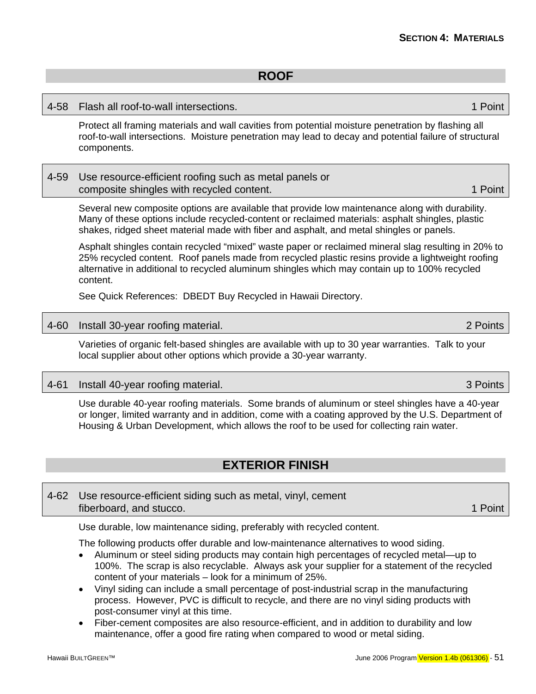### **ROOF**

### <span id="page-60-0"></span>4-58 Flash all roof-to-wall intersections. 1 Point

Protect all framing materials and wall cavities from potential moisture penetration by flashing all roof-to-wall intersections. Moisture penetration may lead to decay and potential failure of structural components.

### 4-59 Use resource-efficient roofing such as metal panels or composite shingles with recycled content. 1 **Point** 2 Point

Several new composite options are available that provide low maintenance along with durability. Many of these options include recycled-content or reclaimed materials: asphalt shingles, plastic shakes, ridged sheet material made with fiber and asphalt, and metal shingles or panels.

Asphalt shingles contain recycled "mixed" waste paper or reclaimed mineral slag resulting in 20% to 25% recycled content. Roof panels made from recycled plastic resins provide a lightweight roofing alternative in additional to recycled aluminum shingles which may contain up to 100% recycled content.

See Quick References: DBEDT Buy Recycled in Hawaii Directory.

### 4-60 Install 30-year roofing material. 2 Points

Varieties of organic felt-based shingles are available with up to 30 year warranties. Talk to your local supplier about other options which provide a 30-year warranty.

### 4-61 Install 40-year roofing material. 3 Points

Use durable 40-year roofing materials. Some brands of aluminum or steel shingles have a 40-year or longer, limited warranty and in addition, come with a coating approved by the U.S. Department of Housing & Urban Development, which allows the roof to be used for collecting rain water.

### **EXTERIOR FINISH**

### 4-62 Use resource-efficient siding such as metal, vinyl, cement fiberboard, and stucco. **1 Point** the studies of the studies of the studies of the studies of the studies of the studies of the studies of the studies of the studies of the studies of the studies of the studies of the stud

Use durable, low maintenance siding, preferably with recycled content.

The following products offer durable and low-maintenance alternatives to wood siding.

- Aluminum or steel siding products may contain high percentages of recycled metal—up to 100%. The scrap is also recyclable. Always ask your supplier for a statement of the recycled content of your materials – look for a minimum of 25%.
- Vinyl siding can include a small percentage of post-industrial scrap in the manufacturing process. However, PVC is difficult to recycle, and there are no vinyl siding products with post-consumer vinyl at this time.
- Fiber-cement composites are also resource-efficient, and in addition to durability and low maintenance, offer a good fire rating when compared to wood or metal siding.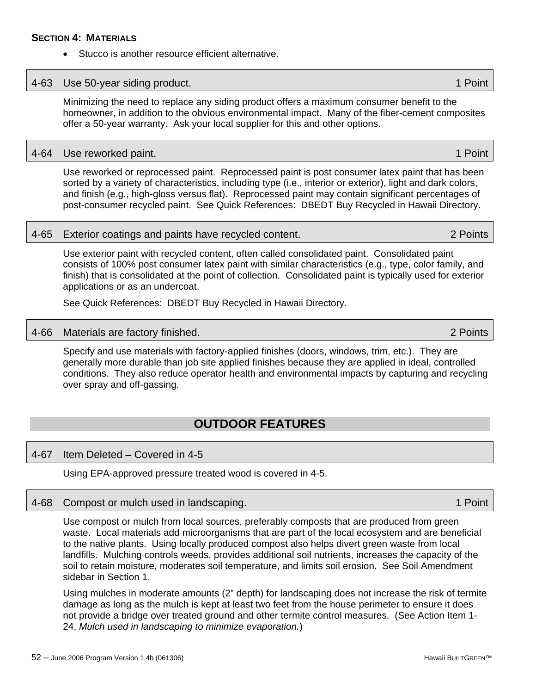# 4-64 Use reworked paint. The contract of the contract of the contract of the contract of the contract of the contract of the contract of the contract of the contract of the contract of the contract of the contract of the c

Use reworked or reprocessed paint. Reprocessed paint is post consumer latex paint that has been sorted by a variety of characteristics, including type (i.e., interior or exterior), light and dark colors, and finish (e.g., high-gloss versus flat). Reprocessed paint may contain significant percentages of post-consumer recycled paint. See Quick References: DBEDT Buy Recycled in Hawaii Directory.

#### 4-65 Exterior coatings and paints have recycled content. 2 Points

Use exterior paint with recycled content, often called consolidated paint. Consolidated paint consists of 100% post consumer latex paint with similar characteristics (e.g., type, color family, and finish) that is consolidated at the point of collection. Consolidated paint is typically used for exterior applications or as an undercoat.

See Quick References: DBEDT Buy Recycled in Hawaii Directory.

#### 4-66 Materials are factory finished. 2 Points

Specify and use materials with factory-applied finishes (doors, windows, trim, etc.). They are generally more durable than job site applied finishes because they are applied in ideal, controlled conditions. They also reduce operator health and environmental impacts by capturing and recycling over spray and off-gassing.

### **OUTDOOR FEATURES**

#### 4-67 Item Deleted – Covered in 4-5

Using EPA-approved pressure treated wood is covered in 4-5.

#### 4-68 Compost or mulch used in landscaping. 1 Point 1 Point 1 Point

Use compost or mulch from local sources, preferably composts that are produced from green waste. Local materials add microorganisms that are part of the local ecosystem and are beneficial to the native plants. Using locally produced compost also helps divert green waste from local landfills. Mulching controls weeds, provides additional soil nutrients, increases the capacity of the soil to retain moisture, moderates soil temperature, and limits soil erosion. See Soil Amendment sidebar in Section 1.

Using mulches in moderate amounts (2" depth) for landscaping does not increase the risk of termite damage as long as the mulch is kept at least two feet from the house perimeter to ensure it does not provide a bridge over treated ground and other termite control measures. (See Action Item 1- 24, *Mulch used in landscaping to minimize evaporation.*)

### <span id="page-61-0"></span>**SECTION 4: MATERIALS** Stucco is another resource efficient alternative.

#### 4-63 Use 50-year siding product. 1 Point

Minimizing the need to replace any siding product offers a maximum consumer benefit to the homeowner, in addition to the obvious environmental impact. Many of the fiber-cement composites offer a 50-year warranty. Ask your local supplier for this and other options.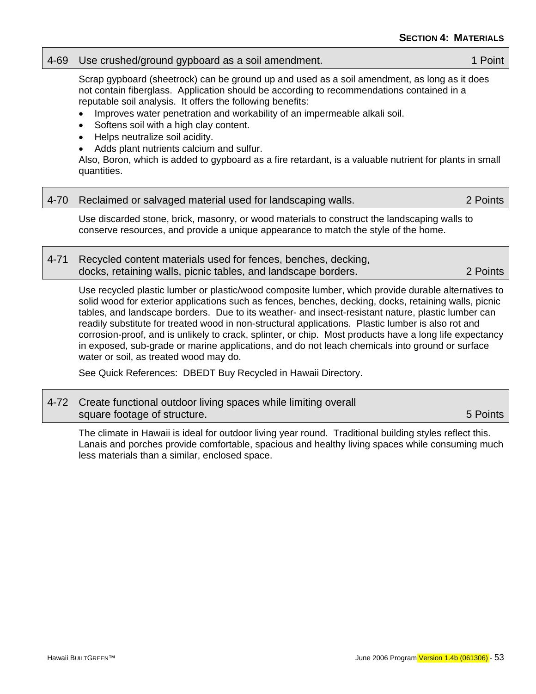### 4-69 Use crushed/ground gypboard as a soil amendment. 1 No. 1 Point

Scrap gypboard (sheetrock) can be ground up and used as a soil amendment, as long as it does not contain fiberglass. Application should be according to recommendations contained in a reputable soil analysis. It offers the following benefits:

- Improves water penetration and workability of an impermeable alkali soil.
- Softens soil with a high clay content.
- Helps neutralize soil acidity.
- Adds plant nutrients calcium and sulfur.

Also, Boron, which is added to gypboard as a fire retardant, is a valuable nutrient for plants in small quantities.

|                                                                 | 2 Points |
|-----------------------------------------------------------------|----------|
| 4-70 Reclaimed or salvaged material used for landscaping walls. |          |

Use discarded stone, brick, masonry, or wood materials to construct the landscaping walls to conserve resources, and provide a unique appearance to match the style of the home.

| 4-71 Recycled content materials used for fences, benches, decking, |          |
|--------------------------------------------------------------------|----------|
| docks, retaining walls, picnic tables, and landscape borders.      | 2 Points |

Use recycled plastic lumber or plastic/wood composite lumber, which provide durable alternatives to solid wood for exterior applications such as fences, benches, decking, docks, retaining walls, picnic tables, and landscape borders. Due to its weather- and insect-resistant nature, plastic lumber can readily substitute for treated wood in non-structural applications. Plastic lumber is also rot and corrosion-proof, and is unlikely to crack, splinter, or chip. Most products have a long life expectancy in exposed, sub-grade or marine applications, and do not leach chemicals into ground or surface water or soil, as treated wood may do.

See Quick References: DBEDT Buy Recycled in Hawaii Directory.

| 4-72 Create functional outdoor living spaces while limiting overall |             |
|---------------------------------------------------------------------|-------------|
| square footage of structure.                                        | ∕5 Points I |

The climate in Hawaii is ideal for outdoor living year round. Traditional building styles reflect this. Lanais and porches provide comfortable, spacious and healthy living spaces while consuming much less materials than a similar, enclosed space.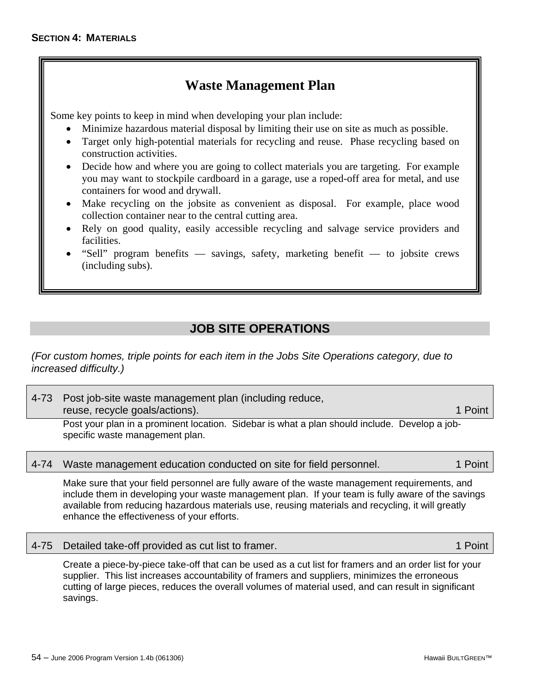## **Waste Management Plan**

<span id="page-63-0"></span>Some key points to keep in mind when developing your plan include:

- Minimize hazardous material disposal by limiting their use on site as much as possible.
- Target only high-potential materials for recycling and reuse. Phase recycling based on construction activities.
- Decide how and where you are going to collect materials you are targeting. For example you may want to stockpile cardboard in a garage, use a roped-off area for metal, and use containers for wood and drywall.
- Make recycling on the jobsite as convenient as disposal. For example, place wood collection container near to the central cutting area.
- Rely on good quality, easily accessible recycling and salvage service providers and facilities.
- "Sell" program benefits savings, safety, marketing benefit to jobsite crews (including subs).

### **JOB SITE OPERATIONS**

*(For custom homes, triple points for each item in the Jobs Site Operations category, due to increased difficulty.)*

| 4-73 Post job-site waste management plan (including reduce,                                                                      |         |  |  |
|----------------------------------------------------------------------------------------------------------------------------------|---------|--|--|
| reuse, recycle goals/actions).                                                                                                   | 1 Point |  |  |
| Post your plan in a prominent location. Sidebar is what a plan should include. Develop a job-<br>specific waste management plan. |         |  |  |

### 4-74 Waste management education conducted on site for field personnel. 1 Point

Make sure that your field personnel are fully aware of the waste management requirements, and include them in developing your waste management plan. If your team is fully aware of the savings available from reducing hazardous materials use, reusing materials and recycling, it will greatly enhance the effectiveness of your efforts.

4-75 Detailed take-off provided as cut list to framer. 1 Point

Create a piece-by-piece take-off that can be used as a cut list for framers and an order list for your supplier. This list increases accountability of framers and suppliers, minimizes the erroneous cutting of large pieces, reduces the overall volumes of material used, and can result in significant savings.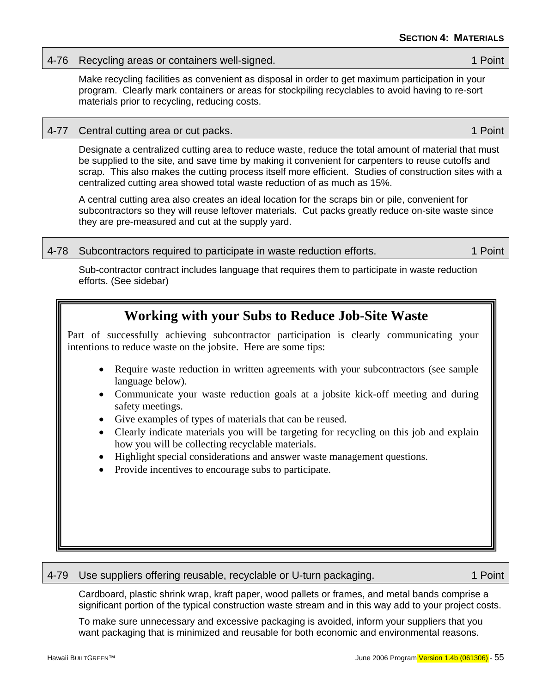### 4-76 Recycling areas or containers well-signed. 1 November 2012 1 Point

Make recycling facilities as convenient as disposal in order to get maximum participation in your program. Clearly mark containers or areas for stockpiling recyclables to avoid having to re-sort materials prior to recycling, reducing costs.

### 4-77 Central cutting area or cut packs. 1 Point 1 Point 1 Point

Designate a centralized cutting area to reduce waste, reduce the total amount of material that must be supplied to the site, and save time by making it convenient for carpenters to reuse cutoffs and scrap. This also makes the cutting process itself more efficient. Studies of construction sites with a centralized cutting area showed total waste reduction of as much as 15%.

A central cutting area also creates an ideal location for the scraps bin or pile, convenient for subcontractors so they will reuse leftover materials. Cut packs greatly reduce on-site waste since they are pre-measured and cut at the supply yard.

### 4-78 Subcontractors required to participate in waste reduction efforts. 1 Notation 1 Point

Sub-contractor contract includes language that requires them to participate in waste reduction efforts. (See sidebar)

### **Working with your Subs to Reduce Job-Site Waste**

Part of successfully achieving subcontractor participation is clearly communicating your intentions to reduce waste on the jobsite. Here are some tips:

- Require waste reduction in written agreements with your subcontractors (see sample language below).
- Communicate your waste reduction goals at a jobsite kick-off meeting and during safety meetings.
- Give examples of types of materials that can be reused.
- Clearly indicate materials you will be targeting for recycling on this job and explain how you will be collecting recyclable materials.
- Highlight special considerations and answer waste management questions.
- Provide incentives to encourage subs to participate.

### 4-79 Use suppliers offering reusable, recyclable or U-turn packaging. 1 Point

Cardboard, plastic shrink wrap, kraft paper, wood pallets or frames, and metal bands comprise a significant portion of the typical construction waste stream and in this way add to your project costs.

To make sure unnecessary and excessive packaging is avoided, inform your suppliers that you want packaging that is minimized and reusable for both economic and environmental reasons.

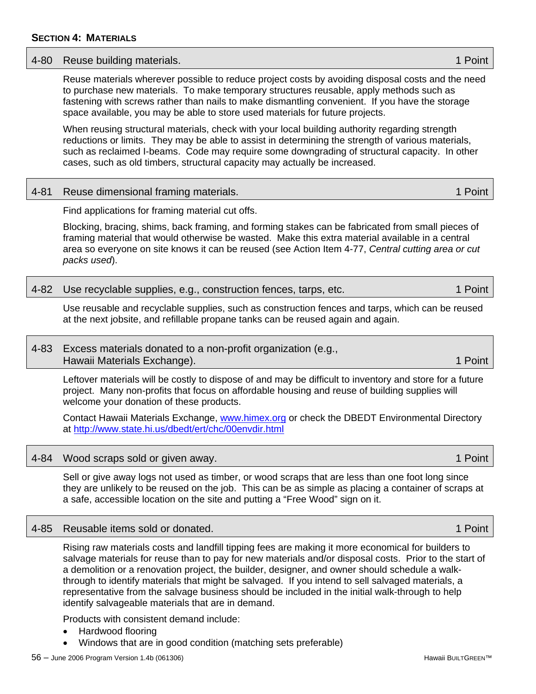## A-80 Reuse building materials. And the state of the state of the state of the state of the state of the state of the state of the state of the state of the state of the state of the state of the state of the state of the s Reuse materials wherever possible to reduce project costs by avoiding disposal costs and the need

to purchase new materials. To make temporary structures reusable, apply methods such as fastening with screws rather than nails to make dismantling convenient. If you have the storage space available, you may be able to store used materials for future projects.

When reusing structural materials, check with your local building authority regarding strength reductions or limits. They may be able to assist in determining the strength of various materials, such as reclaimed I-beams. Code may require some downgrading of structural capacity. In other cases, such as old timbers, structural capacity may actually be increased.

### 4-81 Reuse dimensional framing materials. 1 Australia 1 Point 1 Point

Find applications for framing material cut offs.

Blocking, bracing, shims, back framing, and forming stakes can be fabricated from small pieces of framing material that would otherwise be wasted. Make this extra material available in a central area so everyone on site knows it can be reused (see Action Item 4-77, *Central cutting area or cut packs used*).

### 4-82 Use recyclable supplies, e.g., construction fences, tarps, etc. 1 Point

Use reusable and recyclable supplies, such as construction fences and tarps, which can be reused at the next jobsite, and refillable propane tanks can be reused again and again.

### 4-83 Excess materials donated to a non-profit organization (e.g., Hawaii Materials Exchange). 1 Point

Leftover materials will be costly to dispose of and may be difficult to inventory and store for a future project. Many non-profits that focus on affordable housing and reuse of building supplies will welcome your donation of these products.

Contact Hawaii Materials Exchange, [www.himex.org](http://www.himex.org/) or check the DBEDT Environmental Directory at<http://www.state.hi.us/dbedt/ert/chc/00envdir.html>

### 4-84 Wood scraps sold or given away. 1 Point

Sell or give away logs not used as timber, or wood scraps that are less than one foot long since they are unlikely to be reused on the job. This can be as simple as placing a container of scraps at a safe, accessible location on the site and putting a "Free Wood" sign on it.

### 4-85 Reusable items sold or donated. 1 Point

Rising raw materials costs and landfill tipping fees are making it more economical for builders to salvage materials for reuse than to pay for new materials and/or disposal costs. Prior to the start of a demolition or a renovation project, the builder, designer, and owner should schedule a walkthrough to identify materials that might be salvaged. If you intend to sell salvaged materials, a representative from the salvage business should be included in the initial walk-through to help identify salvageable materials that are in demand.

Products with consistent demand include:

- Hardwood flooring
- Windows that are in good condition (matching sets preferable)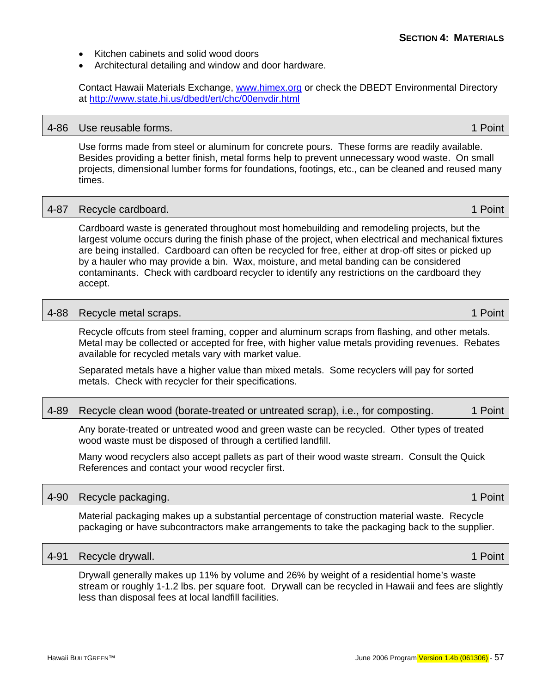- Kitchen cabinets and solid wood doors
- Architectural detailing and window and door hardware.

Contact Hawaii Materials Exchange, [www.himex.org](http://www.himex.org/) or check the DBEDT Environmental Directory at<http://www.state.hi.us/dbedt/ert/chc/00envdir.html>

#### 4-86 Use reusable forms. 1 Point

Use forms made from steel or aluminum for concrete pours. These forms are readily available. Besides providing a better finish, metal forms help to prevent unnecessary wood waste. On small projects, dimensional lumber forms for foundations, footings, etc., can be cleaned and reused many times.

#### A-87 Recycle cardboard. And the state of the state of the state of the state of the state of the state of the state of the state of the state of the state of the state of the state of the state of the state of the state of

Cardboard waste is generated throughout most homebuilding and remodeling projects, but the largest volume occurs during the finish phase of the project, when electrical and mechanical fixtures are being installed. Cardboard can often be recycled for free, either at drop-off sites or picked up by a hauler who may provide a bin. Wax, moisture, and metal banding can be considered contaminants. Check with cardboard recycler to identify any restrictions on the cardboard they accept.

#### 4-88 Recycle metal scraps. 1 Point

Recycle offcuts from steel framing, copper and aluminum scraps from flashing, and other metals. Metal may be collected or accepted for free, with higher value metals providing revenues. Rebates available for recycled metals vary with market value.

Separated metals have a higher value than mixed metals. Some recyclers will pay for sorted metals. Check with recycler for their specifications.

### 4-89 Recycle clean wood (borate-treated or untreated scrap), i.e., for composting. 1 Point

Any borate-treated or untreated wood and green waste can be recycled. Other types of treated wood waste must be disposed of through a certified landfill.

Many wood recyclers also accept pallets as part of their wood waste stream. Consult the Quick References and contact your wood recycler first.

#### 4-90 Recycle packaging. 1 Point that the control of the control of the control of the control of the control of the control of the control of the control of the control of the control of the control of the control of the c

Material packaging makes up a substantial percentage of construction material waste. Recycle packaging or have subcontractors make arrangements to take the packaging back to the supplier.

#### 4-91 Recycle drywall. **1 Point 2 Point 2 Point 2 Point 2 Point** 2 Point 2 Point 2 Point

Drywall generally makes up 11% by volume and 26% by weight of a residential home's waste stream or roughly 1-1.2 lbs. per square foot. Drywall can be recycled in Hawaii and fees are slightly less than disposal fees at local landfill facilities.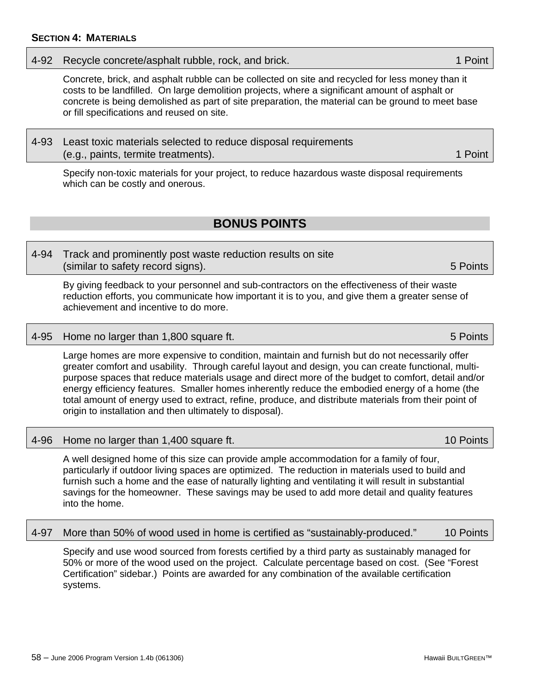### <span id="page-67-0"></span>4-92 Recycle concrete/asphalt rubble, rock, and brick. 1 April 1 Point 1 Point

Concrete, brick, and asphalt rubble can be collected on site and recycled for less money than it costs to be landfilled. On large demolition projects, where a significant amount of asphalt or concrete is being demolished as part of site preparation, the material can be ground to meet base or fill specifications and reused on site.

### 4-93 Least toxic materials selected to reduce disposal requirements (e.g., paints, termite treatments). 1 Point

Specify non-toxic materials for your project, to reduce hazardous waste disposal requirements which can be costly and onerous.

### **BONUS POINTS**

4-94 Track and prominently post waste reduction results on site (similar to safety record signs). 5 Points

By giving feedback to your personnel and sub-contractors on the effectiveness of their waste reduction efforts, you communicate how important it is to you, and give them a greater sense of achievement and incentive to do more.

### 4-95 Home no larger than 1,800 square ft. **5 Points** 5 Points

Large homes are more expensive to condition, maintain and furnish but do not necessarily offer greater comfort and usability. Through careful layout and design, you can create functional, multipurpose spaces that reduce materials usage and direct more of the budget to comfort, detail and/or energy efficiency features. Smaller homes inherently reduce the embodied energy of a home (the total amount of energy used to extract, refine, produce, and distribute materials from their point of origin to installation and then ultimately to disposal).

### 4-96 Home no larger than 1,400 square ft. 10 Points and 10 Points in the 10 Points

A well designed home of this size can provide ample accommodation for a family of four, particularly if outdoor living spaces are optimized. The reduction in materials used to build and furnish such a home and the ease of naturally lighting and ventilating it will result in substantial savings for the homeowner. These savings may be used to add more detail and quality features into the home.

#### 4-97 More than 50% of wood used in home is certified as "sustainably-produced." 10 Points

Specify and use wood sourced from forests certified by a third party as sustainably managed for 50% or more of the wood used on the project. Calculate percentage based on cost. (See "Forest Certification" sidebar.) Points are awarded for any combination of the available certification systems.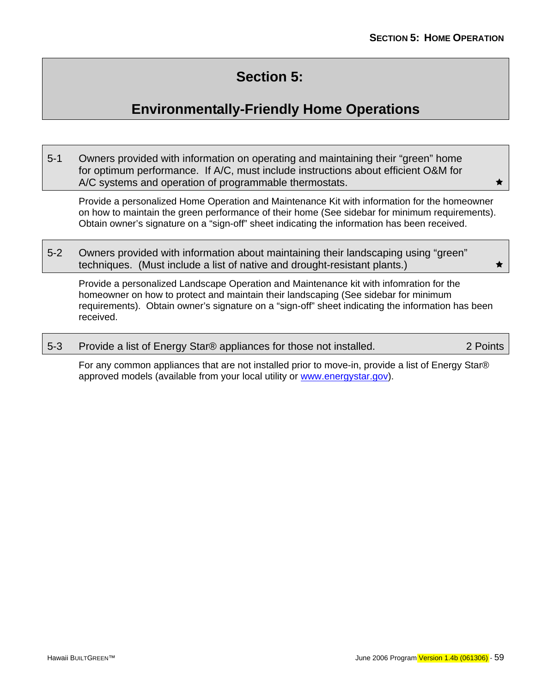# **Section 5:**

# **Environmentally-Friendly Home Operations**

<span id="page-68-0"></span>5-1 Owners provided with information on operating and maintaining their "green" home for optimum performance. If A/C, must include instructions about efficient O&M for A/C systems and operation of programmable thermostats.  $\star$ 

Provide a personalized Home Operation and Maintenance Kit with information for the homeowner on how to maintain the green performance of their home (See sidebar for minimum requirements). Obtain owner's signature on a "sign-off" sheet indicating the information has been received.

5-2 Owners provided with information about maintaining their landscaping using "green" techniques. (Must include a list of native and drought-resistant plants.)  $\star$ 

Provide a personalized Landscape Operation and Maintenance kit with infomration for the homeowner on how to protect and maintain their landscaping (See sidebar for minimum requirements). Obtain owner's signature on a "sign-off" sheet indicating the information has been received.

5-3 Provide a list of Energy Star® appliances for those not installed. 2 Points

For any common appliances that are not installed prior to move-in, provide a list of Energy Star® approved models (available from your local utility or [www.energystar.gov](http://www.energystar.gov/)).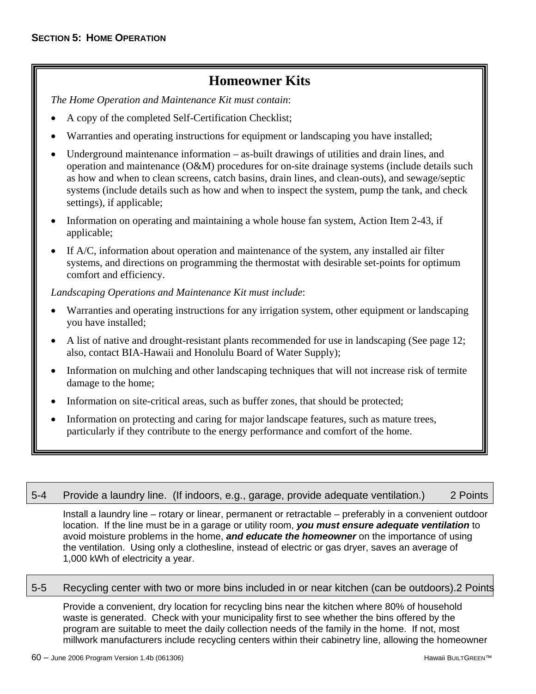## **Homeowner Kits**

*The Home Operation and Maintenance Kit must contain*:

- A copy of the completed Self-Certification Checklist;
- Warranties and operating instructions for equipment or landscaping you have installed;
- Underground maintenance information as-built drawings of utilities and drain lines, and operation and maintenance (O&M) procedures for on-site drainage systems (include details such as how and when to clean screens, catch basins, drain lines, and clean-outs), and sewage/septic systems (include details such as how and when to inspect the system, pump the tank, and check settings), if applicable;
- Information on operating and maintaining a whole house fan system, Action Item 2-43, if applicable;
- If A/C, information about operation and maintenance of the system, any installed air filter systems, and directions on programming the thermostat with desirable set-points for optimum comfort and efficiency.

*Landscaping Operations and Maintenance Kit must include*:

- Warranties and operating instructions for any irrigation system, other equipment or landscaping you have installed;
- A list of native and drought-resistant plants recommended for use in landscaping (See page 12; also, contact BIA-Hawaii and Honolulu Board of Water Supply);
- Information on mulching and other landscaping techniques that will not increase risk of termite damage to the home;
- Information on site-critical areas, such as buffer zones, that should be protected;
- Information on protecting and caring for major landscape features, such as mature trees, particularly if they contribute to the energy performance and comfort of the home.

| 5-4 Provide a laundry line. (If indoors, e.g., garage, provide adequate ventilation.) |  |  | 2 Points |
|---------------------------------------------------------------------------------------|--|--|----------|
|                                                                                       |  |  |          |

Install a laundry line – rotary or linear, permanent or retractable – preferably in a convenient outdoor location. If the line must be in a garage or utility room, *you must ensure adequate ventilation* to avoid moisture problems in the home, *and educate the homeowner* on the importance of using the ventilation. Using only a clothesline, instead of electric or gas dryer, saves an average of 1,000 kWh of electricity a year.

### 5-5 Recycling center with two or more bins included in or near kitchen (can be outdoors).2 Points

Provide a convenient, dry location for recycling bins near the kitchen where 80% of household waste is generated. Check with your municipality first to see whether the bins offered by the program are suitable to meet the daily collection needs of the family in the home. If not, most millwork manufacturers include recycling centers within their cabinetry line, allowing the homeowner